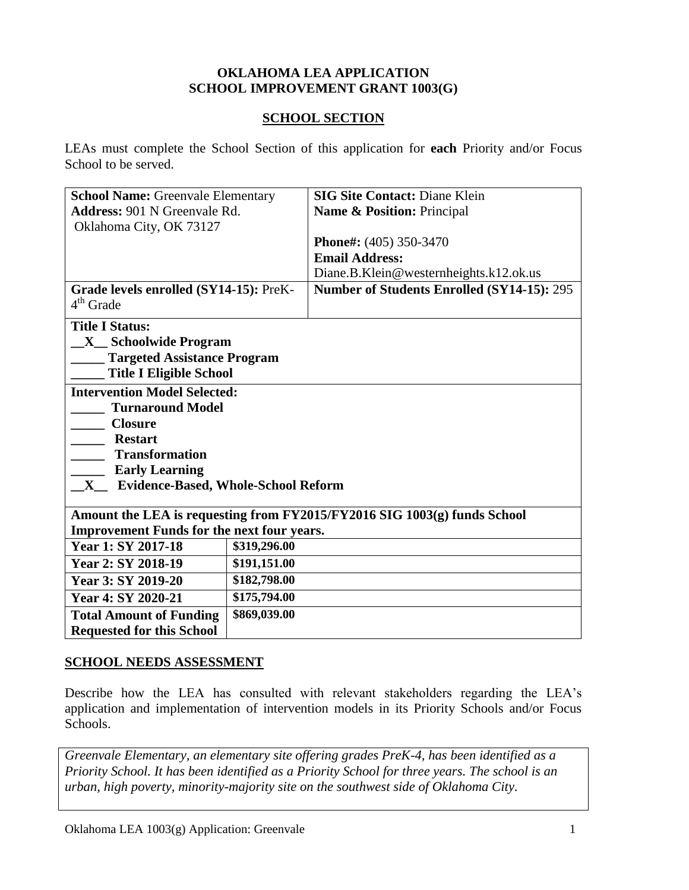#### **OKLAHOMA LEA APPLICATION SCHOOL IMPROVEMENT GRANT 1003(G)**

#### **SCHOOL SECTION**

LEAs must complete the School Section of this application for **each** Priority and/or Focus School to be served.

| <b>School Name: Greenvale Elementary</b>                                 |                            | <b>SIG Site Contact: Diane Klein</b>       |  |
|--------------------------------------------------------------------------|----------------------------|--------------------------------------------|--|
| <b>Address: 901 N Greenvale Rd.</b>                                      | Name & Position: Principal |                                            |  |
| Oklahoma City, OK 73127                                                  |                            |                                            |  |
|                                                                          |                            | Phone#: (405) 350-3470                     |  |
|                                                                          |                            | <b>Email Address:</b>                      |  |
|                                                                          |                            | Diane.B.Klein@westernheights.k12.ok.us     |  |
| Grade levels enrolled (SY14-15): PreK-<br>$4th$ Grade                    |                            | Number of Students Enrolled (SY14-15): 295 |  |
| <b>Title I Status:</b>                                                   |                            |                                            |  |
| <b>X</b> Schoolwide Program                                              |                            |                                            |  |
| <b>Targeted Assistance Program</b>                                       |                            |                                            |  |
| <b>Title I Eligible School</b>                                           |                            |                                            |  |
| <b>Intervention Model Selected:</b>                                      |                            |                                            |  |
| <b>Turnaround Model</b>                                                  |                            |                                            |  |
| <b>Closure</b>                                                           |                            |                                            |  |
| <b>Restart</b>                                                           |                            |                                            |  |
| <b>Transformation</b>                                                    |                            |                                            |  |
| <b>Early Learning</b>                                                    |                            |                                            |  |
| <b>Evidence-Based, Whole-School Reform</b><br>$\mathbf X$                |                            |                                            |  |
|                                                                          |                            |                                            |  |
| Amount the LEA is requesting from FY2015/FY2016 SIG 1003(g) funds School |                            |                                            |  |
| <b>Improvement Funds for the next four years.</b>                        |                            |                                            |  |
| Year 1: SY 2017-18                                                       | \$319,296.00               |                                            |  |
| Year 2: SY 2018-19                                                       | \$191,151.00               |                                            |  |
| Year 3: SY 2019-20                                                       | \$182,798.00               |                                            |  |
| Year 4: SY 2020-21                                                       | \$175,794.00               |                                            |  |
| <b>Total Amount of Funding</b>                                           | \$869,039.00               |                                            |  |
| <b>Requested for this School</b>                                         |                            |                                            |  |

### **SCHOOL NEEDS ASSESSMENT**

Describe how the LEA has consulted with relevant stakeholders regarding the LEA's application and implementation of intervention models in its Priority Schools and/or Focus Schools.

*Greenvale Elementary, an elementary site offering grades PreK-4, has been identified as a Priority School. It has been identified as a Priority School for three years. The school is an urban, high poverty, minority-majority site on the southwest side of Oklahoma City.*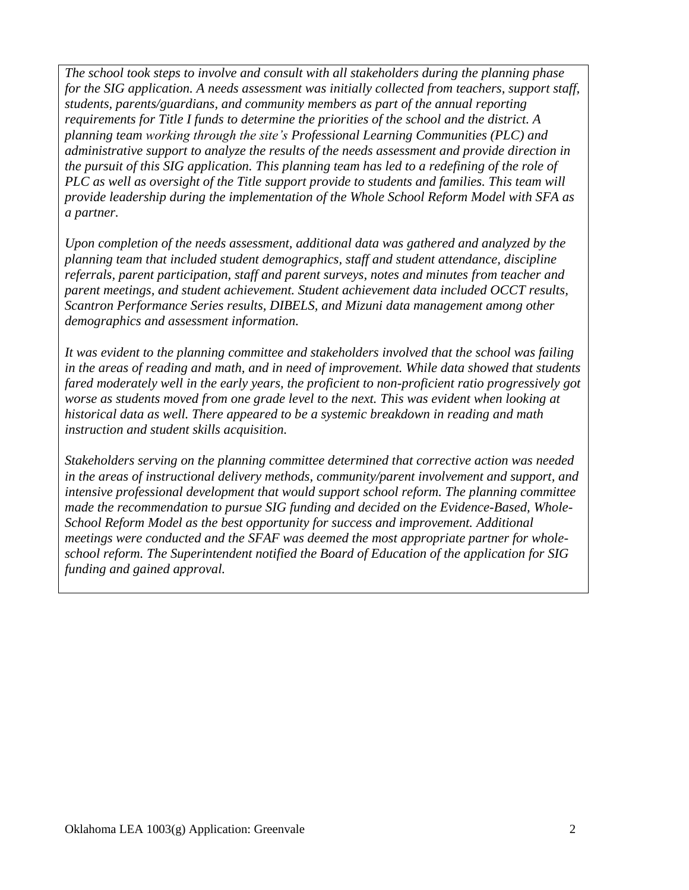*The school took steps to involve and consult with all stakeholders during the planning phase for the SIG application. A needs assessment was initially collected from teachers, support staff, students, parents/guardians, and community members as part of the annual reporting requirements for Title I funds to determine the priorities of the school and the district. A planning team working through the site's Professional Learning Communities (PLC) and administrative support to analyze the results of the needs assessment and provide direction in the pursuit of this SIG application. This planning team has led to a redefining of the role of PLC as well as oversight of the Title support provide to students and families. This team will provide leadership during the implementation of the Whole School Reform Model with SFA as a partner.* 

*Upon completion of the needs assessment, additional data was gathered and analyzed by the planning team that included student demographics, staff and student attendance, discipline referrals, parent participation, staff and parent surveys, notes and minutes from teacher and parent meetings, and student achievement. Student achievement data included OCCT results, Scantron Performance Series results, DIBELS, and Mizuni data management among other demographics and assessment information.* 

*It was evident to the planning committee and stakeholders involved that the school was failing in the areas of reading and math, and in need of improvement. While data showed that students fared moderately well in the early years, the proficient to non-proficient ratio progressively got worse as students moved from one grade level to the next. This was evident when looking at historical data as well. There appeared to be a systemic breakdown in reading and math instruction and student skills acquisition.* 

*Stakeholders serving on the planning committee determined that corrective action was needed in the areas of instructional delivery methods, community/parent involvement and support, and intensive professional development that would support school reform. The planning committee made the recommendation to pursue SIG funding and decided on the Evidence-Based, Whole-School Reform Model as the best opportunity for success and improvement. Additional meetings were conducted and the SFAF was deemed the most appropriate partner for wholeschool reform. The Superintendent notified the Board of Education of the application for SIG funding and gained approval.*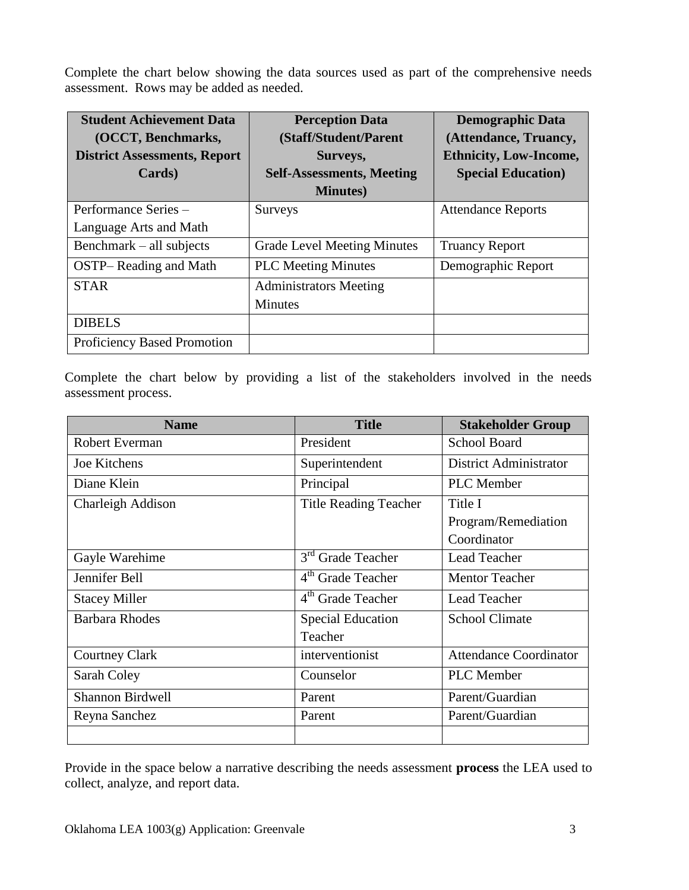Complete the chart below showing the data sources used as part of the comprehensive needs assessment. Rows may be added as needed.

| <b>Student Achievement Data</b>     | <b>Perception Data</b>             | <b>Demographic Data</b>       |
|-------------------------------------|------------------------------------|-------------------------------|
| (OCCT, Benchmarks,                  | (Staff/Student/Parent              | (Attendance, Truancy,         |
| <b>District Assessments, Report</b> | Surveys,                           | <b>Ethnicity, Low-Income,</b> |
| Cards)                              | <b>Self-Assessments, Meeting</b>   | <b>Special Education</b> )    |
|                                     | <b>Minutes</b> )                   |                               |
| Performance Series -                | <b>Surveys</b>                     | <b>Attendance Reports</b>     |
| Language Arts and Math              |                                    |                               |
| Benchmark – all subjects            | <b>Grade Level Meeting Minutes</b> | <b>Truancy Report</b>         |
| <b>OSTP-Reading and Math</b>        | <b>PLC Meeting Minutes</b>         | Demographic Report            |
| <b>STAR</b>                         | <b>Administrators Meeting</b>      |                               |
|                                     | <b>Minutes</b>                     |                               |
| <b>DIBELS</b>                       |                                    |                               |
| <b>Proficiency Based Promotion</b>  |                                    |                               |

Complete the chart below by providing a list of the stakeholders involved in the needs assessment process.

| <b>Name</b>             | <b>Title</b>                  | <b>Stakeholder Group</b>      |
|-------------------------|-------------------------------|-------------------------------|
| Robert Everman          | President                     | <b>School Board</b>           |
| Joe Kitchens            | Superintendent                | <b>District Administrator</b> |
| Diane Klein             | Principal                     | <b>PLC</b> Member             |
| Charleigh Addison       | <b>Title Reading Teacher</b>  | Title I                       |
|                         |                               | Program/Remediation           |
|                         |                               | Coordinator                   |
| Gayle Warehime          | 3 <sup>rd</sup> Grade Teacher | <b>Lead Teacher</b>           |
| Jennifer Bell           | 4 <sup>th</sup> Grade Teacher | <b>Mentor Teacher</b>         |
| <b>Stacey Miller</b>    | 4 <sup>th</sup> Grade Teacher | Lead Teacher                  |
| <b>Barbara Rhodes</b>   | <b>Special Education</b>      | <b>School Climate</b>         |
|                         | Teacher                       |                               |
| <b>Courtney Clark</b>   | interventionist               | <b>Attendance Coordinator</b> |
| Sarah Coley             | Counselor                     | <b>PLC</b> Member             |
| <b>Shannon Birdwell</b> | Parent                        | Parent/Guardian               |
| Reyna Sanchez           | Parent                        | Parent/Guardian               |
|                         |                               |                               |

Provide in the space below a narrative describing the needs assessment **process** the LEA used to collect, analyze, and report data.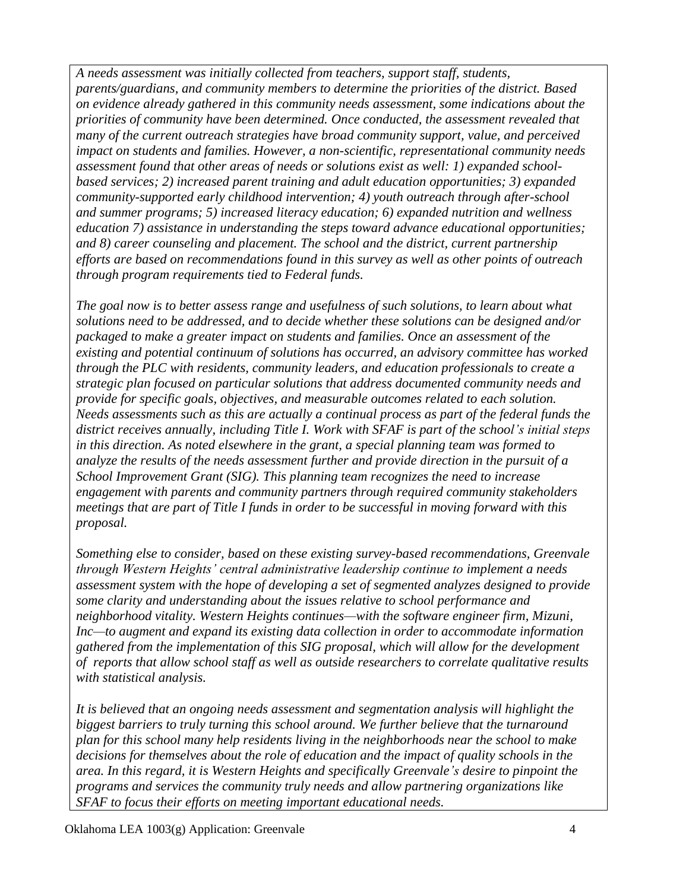*A needs assessment was initially collected from teachers, support staff, students, parents/guardians, and community members to determine the priorities of the district. Based on evidence already gathered in this community needs assessment, some indications about the priorities of community have been determined. Once conducted, the assessment revealed that many of the current outreach strategies have broad community support, value, and perceived impact on students and families. However, a non-scientific, representational community needs assessment found that other areas of needs or solutions exist as well: 1) expanded schoolbased services; 2) increased parent training and adult education opportunities; 3) expanded community-supported early childhood intervention; 4) youth outreach through after-school and summer programs; 5) increased literacy education; 6) expanded nutrition and wellness education 7) assistance in understanding the steps toward advance educational opportunities; and 8) career counseling and placement. The school and the district, current partnership efforts are based on recommendations found in this survey as well as other points of outreach through program requirements tied to Federal funds.* 

*The goal now is to better assess range and usefulness of such solutions, to learn about what solutions need to be addressed, and to decide whether these solutions can be designed and/or packaged to make a greater impact on students and families. Once an assessment of the existing and potential continuum of solutions has occurred, an advisory committee has worked through the PLC with residents, community leaders, and education professionals to create a strategic plan focused on particular solutions that address documented community needs and provide for specific goals, objectives, and measurable outcomes related to each solution. Needs assessments such as this are actually a continual process as part of the federal funds the district receives annually, including Title I. Work with SFAF is part of the school's initial steps in this direction. As noted elsewhere in the grant, a special planning team was formed to analyze the results of the needs assessment further and provide direction in the pursuit of a School Improvement Grant (SIG). This planning team recognizes the need to increase engagement with parents and community partners through required community stakeholders meetings that are part of Title I funds in order to be successful in moving forward with this proposal.*

*Something else to consider, based on these existing survey-based recommendations, Greenvale through Western Heights' central administrative leadership continue to implement a needs assessment system with the hope of developing a set of segmented analyzes designed to provide some clarity and understanding about the issues relative to school performance and neighborhood vitality. Western Heights continues—with the software engineer firm, Mizuni, Inc—to augment and expand its existing data collection in order to accommodate information gathered from the implementation of this SIG proposal, which will allow for the development of reports that allow school staff as well as outside researchers to correlate qualitative results with statistical analysis.* 

*It is believed that an ongoing needs assessment and segmentation analysis will highlight the biggest barriers to truly turning this school around. We further believe that the turnaround plan for this school many help residents living in the neighborhoods near the school to make decisions for themselves about the role of education and the impact of quality schools in the area. In this regard, it is Western Heights and specifically Greenvale's desire to pinpoint the programs and services the community truly needs and allow partnering organizations like SFAF to focus their efforts on meeting important educational needs.*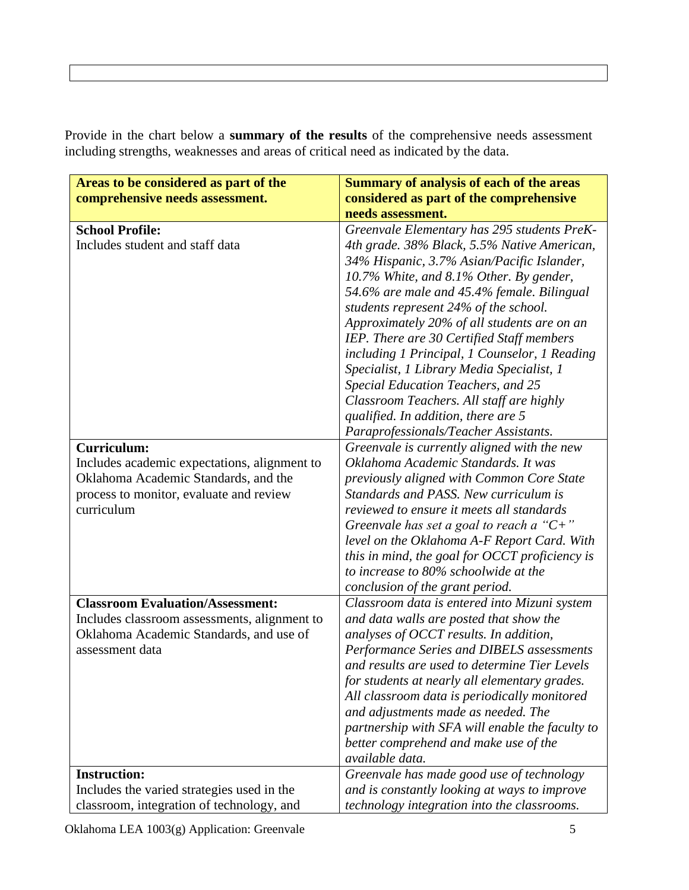Provide in the chart below a **summary of the results** of the comprehensive needs assessment including strengths, weaknesses and areas of critical need as indicated by the data.

| Areas to be considered as part of the        | <b>Summary of analysis of each of the areas</b> |
|----------------------------------------------|-------------------------------------------------|
| comprehensive needs assessment.              | considered as part of the comprehensive         |
|                                              | needs assessment.                               |
| <b>School Profile:</b>                       | Greenvale Elementary has 295 students PreK-     |
| Includes student and staff data              | 4th grade. 38% Black, 5.5% Native American,     |
|                                              | 34% Hispanic, 3.7% Asian/Pacific Islander,      |
|                                              | 10.7% White, and 8.1% Other. By gender,         |
|                                              | 54.6% are male and 45.4% female. Bilingual      |
|                                              | students represent 24% of the school.           |
|                                              | Approximately 20% of all students are on an     |
|                                              | IEP. There are 30 Certified Staff members       |
|                                              | including 1 Principal, 1 Counselor, 1 Reading   |
|                                              | Specialist, 1 Library Media Specialist, 1       |
|                                              | Special Education Teachers, and 25              |
|                                              | Classroom Teachers. All staff are highly        |
|                                              | qualified. In addition, there are 5             |
|                                              | Paraprofessionals/Teacher Assistants.           |
| <b>Curriculum:</b>                           | Greenvale is currently aligned with the new     |
| Includes academic expectations, alignment to | Oklahoma Academic Standards. It was             |
| Oklahoma Academic Standards, and the         | previously aligned with Common Core State       |
| process to monitor, evaluate and review      | Standards and PASS. New curriculum is           |
| curriculum                                   | reviewed to ensure it meets all standards       |
|                                              | Greenvale has set a goal to reach a " $C+$ "    |
|                                              | level on the Oklahoma A-F Report Card. With     |
|                                              | this in mind, the goal for OCCT proficiency is  |
|                                              | to increase to 80% schoolwide at the            |
|                                              | conclusion of the grant period.                 |
| <b>Classroom Evaluation/Assessment:</b>      | Classroom data is entered into Mizuni system    |
| Includes classroom assessments, alignment to | and data walls are posted that show the         |
| Oklahoma Academic Standards, and use of      | analyses of OCCT results. In addition,          |
| assessment data                              | Performance Series and DIBELS assessments       |
|                                              | and results are used to determine Tier Levels   |
|                                              | for students at nearly all elementary grades.   |
|                                              | All classroom data is periodically monitored    |
|                                              | and adjustments made as needed. The             |
|                                              | partnership with SFA will enable the faculty to |
|                                              | better comprehend and make use of the           |
|                                              | available data.                                 |
| <b>Instruction:</b>                          | Greenvale has made good use of technology       |
| Includes the varied strategies used in the   | and is constantly looking at ways to improve    |
| classroom, integration of technology, and    | technology integration into the classrooms.     |

Oklahoma LEA 1003(g) Application: Greenvale 5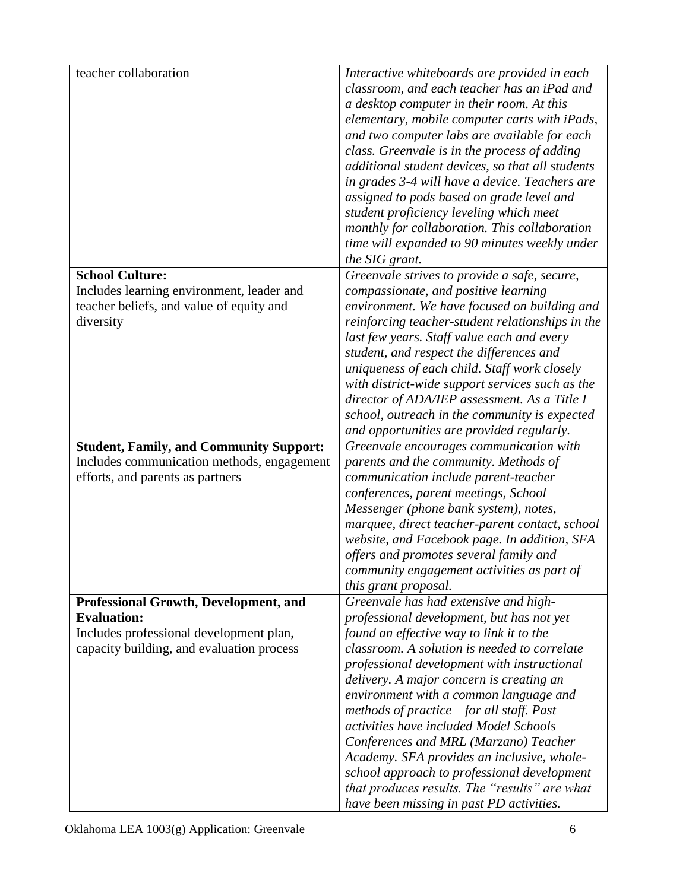| teacher collaboration                          | Interactive whiteboards are provided in each     |
|------------------------------------------------|--------------------------------------------------|
|                                                | classroom, and each teacher has an iPad and      |
|                                                | a desktop computer in their room. At this        |
|                                                |                                                  |
|                                                | elementary, mobile computer carts with iPads,    |
|                                                | and two computer labs are available for each     |
|                                                | class. Greenvale is in the process of adding     |
|                                                | additional student devices, so that all students |
|                                                | in grades 3-4 will have a device. Teachers are   |
|                                                | assigned to pods based on grade level and        |
|                                                | student proficiency leveling which meet          |
|                                                | monthly for collaboration. This collaboration    |
|                                                | time will expanded to 90 minutes weekly under    |
|                                                | the SIG grant.                                   |
| <b>School Culture:</b>                         | Greenvale strives to provide a safe, secure,     |
| Includes learning environment, leader and      | compassionate, and positive learning             |
| teacher beliefs, and value of equity and       | environment. We have focused on building and     |
| diversity                                      | reinforcing teacher-student relationships in the |
|                                                | last few years. Staff value each and every       |
|                                                | student, and respect the differences and         |
|                                                | uniqueness of each child. Staff work closely     |
|                                                | with district-wide support services such as the  |
|                                                | director of ADA/IEP assessment. As a Title I     |
|                                                | school, outreach in the community is expected    |
|                                                | and opportunities are provided regularly.        |
| <b>Student, Family, and Community Support:</b> | Greenvale encourages communication with          |
| Includes communication methods, engagement     | parents and the community. Methods of            |
| efforts, and parents as partners               | communication include parent-teacher             |
|                                                | conferences, parent meetings, School             |
|                                                | Messenger (phone bank system), notes,            |
|                                                |                                                  |
|                                                | marquee, direct teacher-parent contact, school   |
|                                                | website, and Facebook page. In addition, SFA     |
|                                                | offers and promotes several family and           |
|                                                | community engagement activities as part of       |
|                                                | this grant proposal.                             |
| Professional Growth, Development, and          | Greenvale has had extensive and high-            |
| <b>Evaluation:</b>                             | professional development, but has not yet        |
| Includes professional development plan,        | found an effective way to link it to the         |
| capacity building, and evaluation process      | classroom. A solution is needed to correlate     |
|                                                | professional development with instructional      |
|                                                | delivery. A major concern is creating an         |
|                                                | environment with a common language and           |
|                                                | methods of practice $-$ for all staff. Past      |
|                                                | activities have included Model Schools           |
|                                                | Conferences and MRL (Marzano) Teacher            |
|                                                | Academy. SFA provides an inclusive, whole-       |
|                                                | school approach to professional development      |
|                                                | that produces results. The "results" are what    |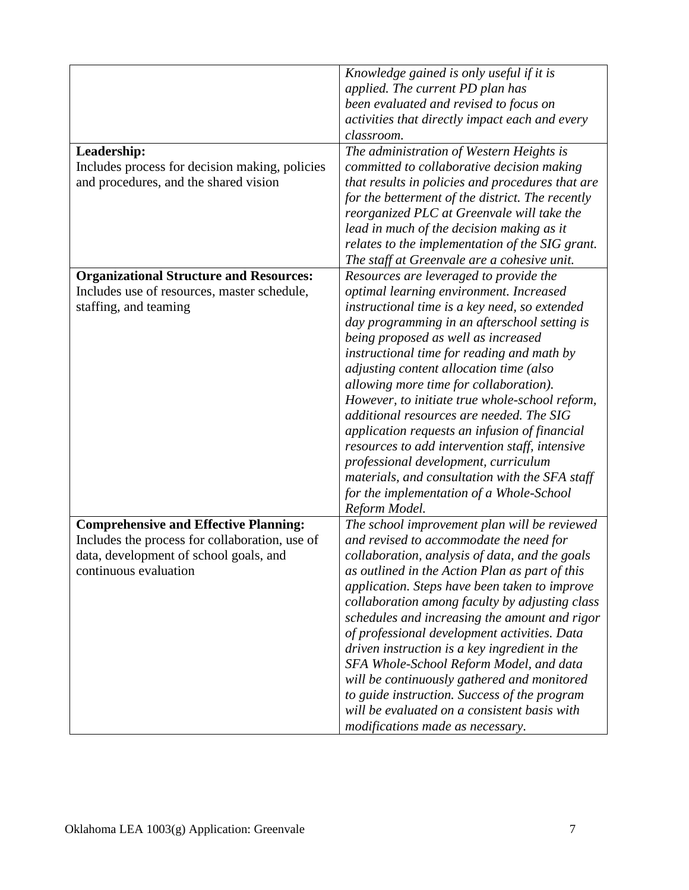| Leadership:<br>Includes process for decision making, policies<br>and procedures, and the shared vision                                                            | Knowledge gained is only useful if it is<br>applied. The current PD plan has<br>been evaluated and revised to focus on<br>activities that directly impact each and every<br>classroom.<br>The administration of Western Heights is<br>committed to collaborative decision making<br>that results in policies and procedures that are<br>for the betterment of the district. The recently<br>reorganized PLC at Greenvale will take the                                                                                                                                                                                                                                                                               |
|-------------------------------------------------------------------------------------------------------------------------------------------------------------------|----------------------------------------------------------------------------------------------------------------------------------------------------------------------------------------------------------------------------------------------------------------------------------------------------------------------------------------------------------------------------------------------------------------------------------------------------------------------------------------------------------------------------------------------------------------------------------------------------------------------------------------------------------------------------------------------------------------------|
|                                                                                                                                                                   | lead in much of the decision making as it<br>relates to the implementation of the SIG grant.<br>The staff at Greenvale are a cohesive unit.                                                                                                                                                                                                                                                                                                                                                                                                                                                                                                                                                                          |
| <b>Organizational Structure and Resources:</b><br>Includes use of resources, master schedule,<br>staffing, and teaming                                            | Resources are leveraged to provide the<br>optimal learning environment. Increased<br>instructional time is a key need, so extended<br>day programming in an afterschool setting is<br>being proposed as well as increased<br>instructional time for reading and math by<br>adjusting content allocation time (also<br>allowing more time for collaboration).<br>However, to initiate true whole-school reform,<br>additional resources are needed. The SIG<br>application requests an infusion of financial<br>resources to add intervention staff, intensive<br>professional development, curriculum<br>materials, and consultation with the SFA staff<br>for the implementation of a Whole-School<br>Reform Model. |
| <b>Comprehensive and Effective Planning:</b><br>Includes the process for collaboration, use of<br>data, development of school goals, and<br>continuous evaluation | The school improvement plan will be reviewed<br>and revised to accommodate the need for<br>collaboration, analysis of data, and the goals<br>as outlined in the Action Plan as part of this<br>application. Steps have been taken to improve<br>collaboration among faculty by adjusting class<br>schedules and increasing the amount and rigor<br>of professional development activities. Data<br>driven instruction is a key ingredient in the<br>SFA Whole-School Reform Model, and data<br>will be continuously gathered and monitored<br>to guide instruction. Success of the program<br>will be evaluated on a consistent basis with<br>modifications made as necessary.                                       |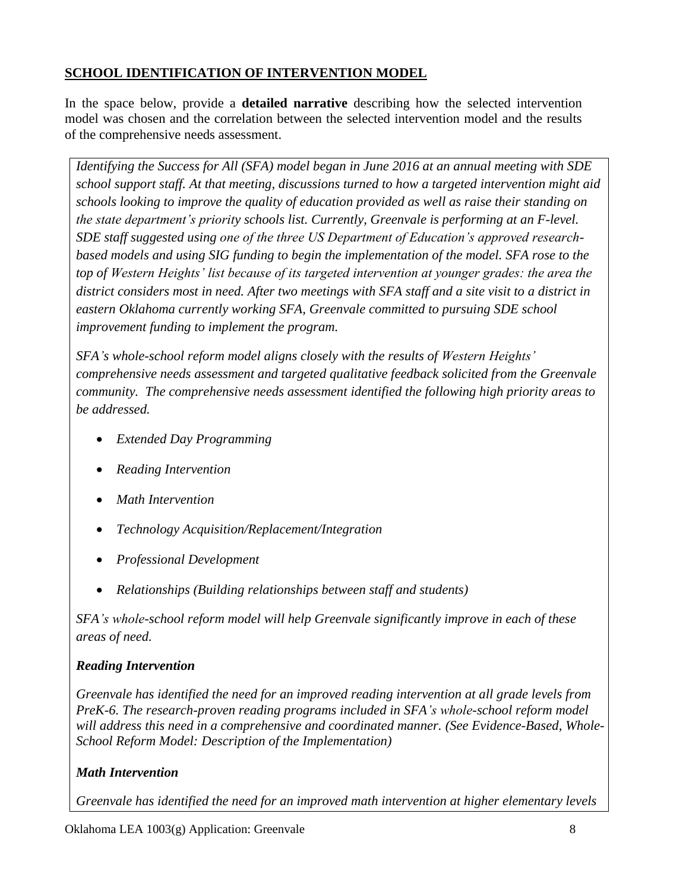## **SCHOOL IDENTIFICATION OF INTERVENTION MODEL**

In the space below, provide a **detailed narrative** describing how the selected intervention model was chosen and the correlation between the selected intervention model and the results of the comprehensive needs assessment.

*Identifying the Success for All (SFA) model began in June 2016 at an annual meeting with SDE school support staff. At that meeting, discussions turned to how a targeted intervention might aid schools looking to improve the quality of education provided as well as raise their standing on the state department's priority schools list. Currently, Greenvale is performing at an F-level. SDE staff suggested using one of the three US Department of Education's approved researchbased models and using SIG funding to begin the implementation of the model. SFA rose to the top of Western Heights' list because of its targeted intervention at younger grades: the area the district considers most in need. After two meetings with SFA staff and a site visit to a district in eastern Oklahoma currently working SFA, Greenvale committed to pursuing SDE school improvement funding to implement the program.*

*SFA's whole-school reform model aligns closely with the results of Western Heights' comprehensive needs assessment and targeted qualitative feedback solicited from the Greenvale community. The comprehensive needs assessment identified the following high priority areas to be addressed.*

- *Extended Day Programming*
- *Reading Intervention*
- *Math Intervention*
- *Technology Acquisition/Replacement/Integration*
- *Professional Development*
- *Relationships (Building relationships between staff and students)*

*SFA's whole-school reform model will help Greenvale significantly improve in each of these areas of need.*

## *Reading Intervention*

*Greenvale has identified the need for an improved reading intervention at all grade levels from PreK-6. The research-proven reading programs included in SFA's whole-school reform model will address this need in a comprehensive and coordinated manner. (See Evidence-Based, Whole-School Reform Model: Description of the Implementation)*

# *Math Intervention*

*Greenvale has identified the need for an improved math intervention at higher elementary levels*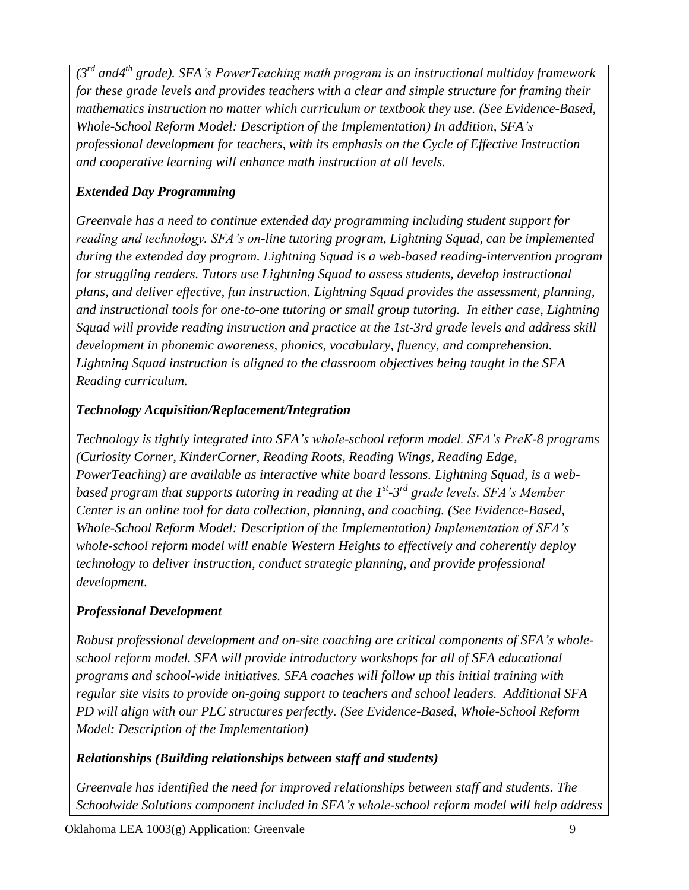*(3rd and4th grade). SFA's PowerTeaching math program is an instructional multiday framework for these grade levels and provides teachers with a clear and simple structure for framing their mathematics instruction no matter which curriculum or textbook they use. (See Evidence-Based, Whole-School Reform Model: Description of the Implementation) In addition, SFA's professional development for teachers, with its emphasis on the Cycle of Effective Instruction and cooperative learning will enhance math instruction at all levels.*

## *Extended Day Programming*

*Greenvale has a need to continue extended day programming including student support for reading and technology. SFA's on-line tutoring program, Lightning Squad, can be implemented during the extended day program. Lightning Squad is a web-based reading-intervention program for struggling readers. Tutors use Lightning Squad to assess students, develop instructional plans, and deliver effective, fun instruction. Lightning Squad provides the assessment, planning, and instructional tools for one-to-one tutoring or small group tutoring. In either case, Lightning Squad will provide reading instruction and practice at the 1st-3rd grade levels and address skill development in phonemic awareness, phonics, vocabulary, fluency, and comprehension. Lightning Squad instruction is aligned to the classroom objectives being taught in the SFA Reading curriculum.*

## *Technology Acquisition/Replacement/Integration*

*Technology is tightly integrated into SFA's whole-school reform model. SFA's PreK-8 programs (Curiosity Corner, KinderCorner, Reading Roots, Reading Wings, Reading Edge, PowerTeaching) are available as interactive white board lessons. Lightning Squad, is a web*based program that supports tutoring in reading at the 1<sup>st</sup>-3<sup>rd</sup> grade levels. SFA's Member *Center is an online tool for data collection, planning, and coaching. (See Evidence-Based, Whole-School Reform Model: Description of the Implementation) Implementation of SFA's whole-school reform model will enable Western Heights to effectively and coherently deploy technology to deliver instruction, conduct strategic planning, and provide professional development.* 

## *Professional Development*

*Robust professional development and on-site coaching are critical components of SFA's wholeschool reform model. SFA will provide introductory workshops for all of SFA educational programs and school-wide initiatives. SFA coaches will follow up this initial training with regular site visits to provide on-going support to teachers and school leaders. Additional SFA PD will align with our PLC structures perfectly. (See Evidence-Based, Whole-School Reform Model: Description of the Implementation)*

### *Relationships (Building relationships between staff and students)*

*Greenvale has identified the need for improved relationships between staff and students. The Schoolwide Solutions component included in SFA's whole-school reform model will help address*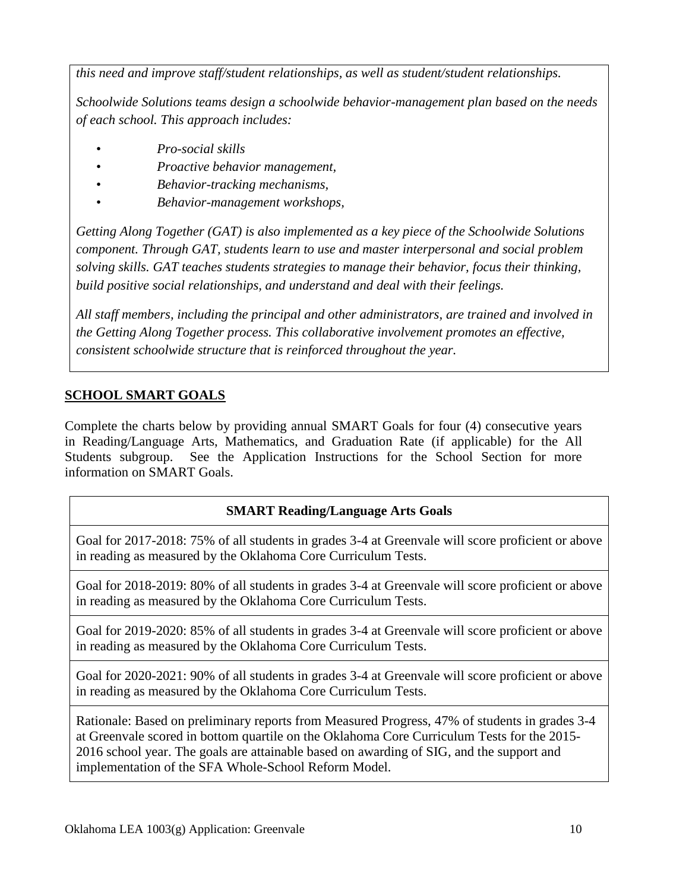*this need and improve staff/student relationships, as well as student/student relationships.* 

*Schoolwide Solutions teams design a schoolwide behavior-management plan based on the needs of each school. This approach includes:*

- *Pro-social skills*
- *Proactive behavior management,*
- *Behavior-tracking mechanisms,*
- *Behavior-management workshops,*

*Getting Along Together (GAT) is also implemented as a key piece of the Schoolwide Solutions component. Through GAT, students learn to use and master interpersonal and social problem solving skills. GAT teaches students strategies to manage their behavior, focus their thinking, build positive social relationships, and understand and deal with their feelings.*

*All staff members, including the principal and other administrators, are trained and involved in the Getting Along Together process. This collaborative involvement promotes an effective, consistent schoolwide structure that is reinforced throughout the year.*

# **SCHOOL SMART GOALS**

Complete the charts below by providing annual SMART Goals for four (4) consecutive years in Reading/Language Arts, Mathematics, and Graduation Rate (if applicable) for the All Students subgroup. See the Application Instructions for the School Section for more information on SMART Goals.

## **SMART Reading/Language Arts Goals**

Goal for 2017-2018: 75% of all students in grades 3-4 at Greenvale will score proficient or above in reading as measured by the Oklahoma Core Curriculum Tests.

Goal for 2018-2019: 80% of all students in grades 3-4 at Greenvale will score proficient or above in reading as measured by the Oklahoma Core Curriculum Tests.

Goal for 2019-2020: 85% of all students in grades 3-4 at Greenvale will score proficient or above in reading as measured by the Oklahoma Core Curriculum Tests.

Goal for 2020-2021: 90% of all students in grades 3-4 at Greenvale will score proficient or above in reading as measured by the Oklahoma Core Curriculum Tests.

Rationale: Based on preliminary reports from Measured Progress, 47% of students in grades 3-4 at Greenvale scored in bottom quartile on the Oklahoma Core Curriculum Tests for the 2015- 2016 school year. The goals are attainable based on awarding of SIG, and the support and implementation of the SFA Whole-School Reform Model.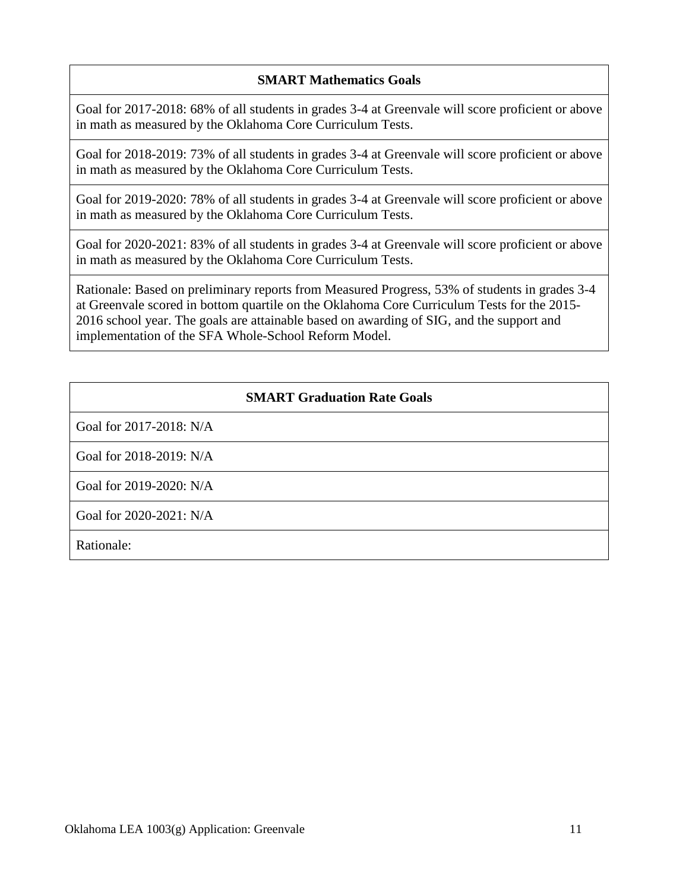### **SMART Mathematics Goals**

Goal for 2017-2018: 68% of all students in grades 3-4 at Greenvale will score proficient or above in math as measured by the Oklahoma Core Curriculum Tests.

Goal for 2018-2019: 73% of all students in grades 3-4 at Greenvale will score proficient or above in math as measured by the Oklahoma Core Curriculum Tests.

Goal for 2019-2020: 78% of all students in grades 3-4 at Greenvale will score proficient or above in math as measured by the Oklahoma Core Curriculum Tests.

Goal for 2020-2021: 83% of all students in grades 3-4 at Greenvale will score proficient or above in math as measured by the Oklahoma Core Curriculum Tests.

Rationale: Based on preliminary reports from Measured Progress, 53% of students in grades 3-4 at Greenvale scored in bottom quartile on the Oklahoma Core Curriculum Tests for the 2015- 2016 school year. The goals are attainable based on awarding of SIG, and the support and implementation of the SFA Whole-School Reform Model.

### **SMART Graduation Rate Goals**

Goal for 2017-2018: N/A

Goal for 2018-2019: N/A

Goal for 2019-2020: N/A

Goal for 2020-2021: N/A

Rationale: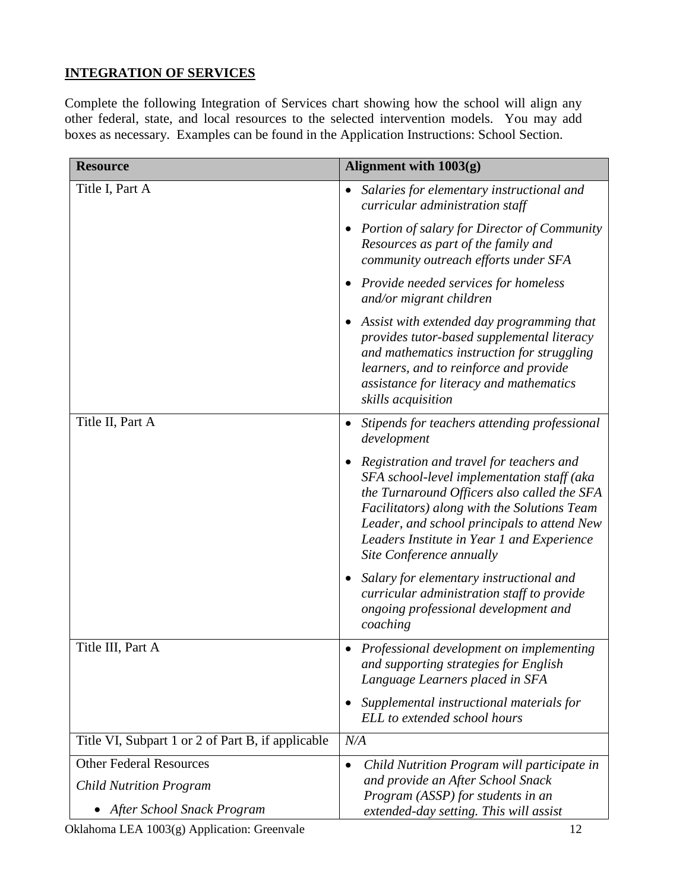## **INTEGRATION OF SERVICES**

Complete the following Integration of Services chart showing how the school will align any other federal, state, and local resources to the selected intervention models. You may add boxes as necessary. Examples can be found in the Application Instructions: School Section.

| <b>Resource</b>                                   | Alignment with 1003(g)                                                                                                                                                                                                                                                                                             |
|---------------------------------------------------|--------------------------------------------------------------------------------------------------------------------------------------------------------------------------------------------------------------------------------------------------------------------------------------------------------------------|
| Title I, Part A                                   | Salaries for elementary instructional and<br>$\bullet$<br>curricular administration staff                                                                                                                                                                                                                          |
|                                                   | <b>Portion of salary for Director of Community</b><br>$\bullet$<br>Resources as part of the family and<br>community outreach efforts under SFA                                                                                                                                                                     |
|                                                   | Provide needed services for homeless<br>$\bullet$<br>and/or migrant children                                                                                                                                                                                                                                       |
|                                                   | Assist with extended day programming that<br>provides tutor-based supplemental literacy<br>and mathematics instruction for struggling<br>learners, and to reinforce and provide<br>assistance for literacy and mathematics<br>skills acquisition                                                                   |
| Title II, Part A                                  | Stipends for teachers attending professional<br>development                                                                                                                                                                                                                                                        |
|                                                   | Registration and travel for teachers and<br>٠<br>SFA school-level implementation staff (aka<br>the Turnaround Officers also called the SFA<br>Facilitators) along with the Solutions Team<br>Leader, and school principals to attend New<br>Leaders Institute in Year 1 and Experience<br>Site Conference annually |
|                                                   | Salary for elementary instructional and<br>curricular administration staff to provide<br>ongoing professional development and<br>coaching                                                                                                                                                                          |
| Title III, Part A                                 | Professional development on implementing<br>and supporting strategies for English<br>Language Learners placed in SFA                                                                                                                                                                                               |
|                                                   | Supplemental instructional materials for<br>ELL to extended school hours                                                                                                                                                                                                                                           |
| Title VI, Subpart 1 or 2 of Part B, if applicable | N/A                                                                                                                                                                                                                                                                                                                |
| <b>Other Federal Resources</b>                    | Child Nutrition Program will participate in<br>$\bullet$                                                                                                                                                                                                                                                           |
| <b>Child Nutrition Program</b>                    | and provide an After School Snack<br>Program (ASSP) for students in an                                                                                                                                                                                                                                             |
| After School Snack Program                        | extended-day setting. This will assist                                                                                                                                                                                                                                                                             |

Oklahoma LEA 1003(g) Application: Greenvale 12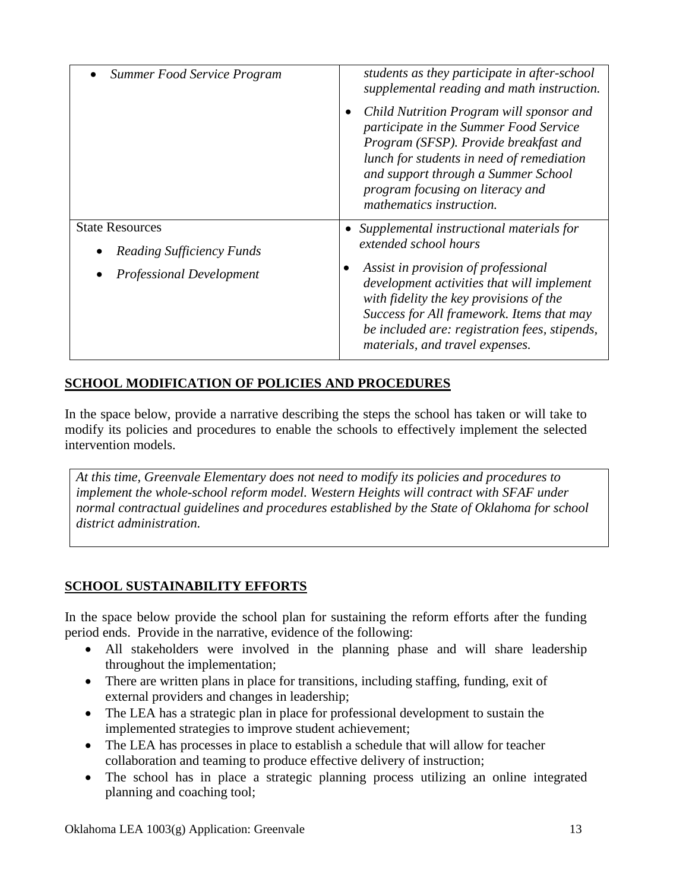| Summer Food Service Program                                | students as they participate in after-school<br>supplemental reading and math instruction.                                                                                                                                                                                      |
|------------------------------------------------------------|---------------------------------------------------------------------------------------------------------------------------------------------------------------------------------------------------------------------------------------------------------------------------------|
|                                                            | Child Nutrition Program will sponsor and<br>participate in the Summer Food Service<br>Program (SFSP). Provide breakfast and<br>lunch for students in need of remediation<br>and support through a Summer School<br>program focusing on literacy and<br>mathematics instruction. |
| <b>State Resources</b><br><b>Reading Sufficiency Funds</b> | Supplemental instructional materials for<br>extended school hours                                                                                                                                                                                                               |
| <b>Professional Development</b>                            | Assist in provision of professional<br>development activities that will implement<br>with fidelity the key provisions of the<br>Success for All framework. Items that may<br>be included are: registration fees, stipends,<br>materials, and travel expenses.                   |

## **SCHOOL MODIFICATION OF POLICIES AND PROCEDURES**

In the space below, provide a narrative describing the steps the school has taken or will take to modify its policies and procedures to enable the schools to effectively implement the selected intervention models.

*At this time, Greenvale Elementary does not need to modify its policies and procedures to implement the whole-school reform model. Western Heights will contract with SFAF under normal contractual guidelines and procedures established by the State of Oklahoma for school district administration.*

## **SCHOOL SUSTAINABILITY EFFORTS**

In the space below provide the school plan for sustaining the reform efforts after the funding period ends. Provide in the narrative, evidence of the following:

- All stakeholders were involved in the planning phase and will share leadership throughout the implementation;
- There are written plans in place for transitions, including staffing, funding, exit of external providers and changes in leadership;
- The LEA has a strategic plan in place for professional development to sustain the implemented strategies to improve student achievement;
- The LEA has processes in place to establish a schedule that will allow for teacher collaboration and teaming to produce effective delivery of instruction;
- The school has in place a strategic planning process utilizing an online integrated planning and coaching tool;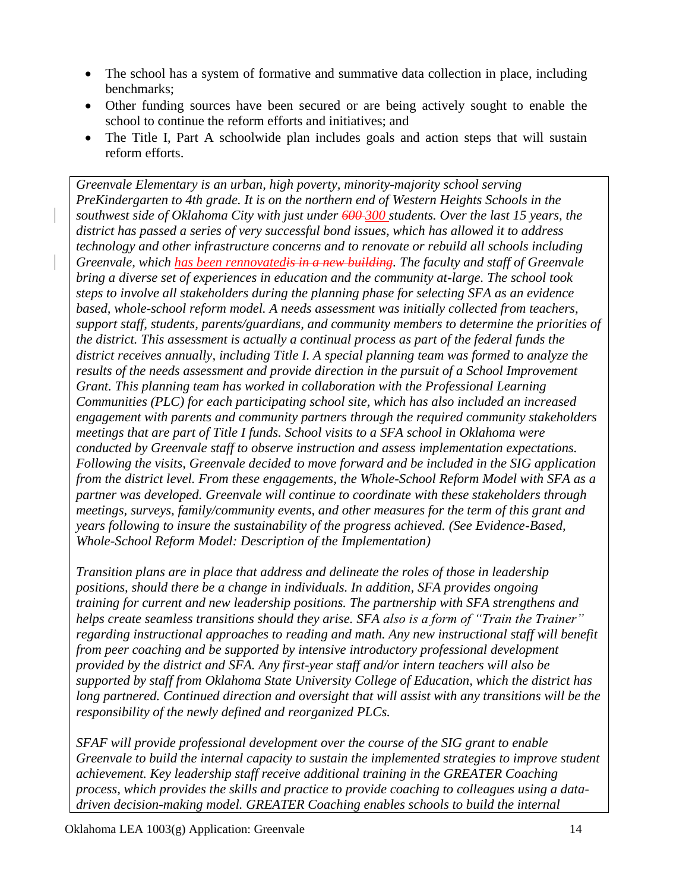- The school has a system of formative and summative data collection in place, including benchmarks;
- Other funding sources have been secured or are being actively sought to enable the school to continue the reform efforts and initiatives; and
- The Title I, Part A schoolwide plan includes goals and action steps that will sustain reform efforts.

*Greenvale Elementary is an urban, high poverty, minority-majority school serving PreKindergarten to 4th grade. It is on the northern end of Western Heights Schools in the southwest side of Oklahoma City with just under 600 300 students. Over the last 15 years, the district has passed a series of very successful bond issues, which has allowed it to address technology and other infrastructure concerns and to renovate or rebuild all schools including Greenvale, which has been rennovatedis in a new building. The faculty and staff of Greenvale bring a diverse set of experiences in education and the community at-large. The school took steps to involve all stakeholders during the planning phase for selecting SFA as an evidence based, whole-school reform model. A needs assessment was initially collected from teachers, support staff, students, parents/guardians, and community members to determine the priorities of the district. This assessment is actually a continual process as part of the federal funds the district receives annually, including Title I. A special planning team was formed to analyze the results of the needs assessment and provide direction in the pursuit of a School Improvement Grant. This planning team has worked in collaboration with the Professional Learning Communities (PLC) for each participating school site, which has also included an increased engagement with parents and community partners through the required community stakeholders meetings that are part of Title I funds. School visits to a SFA school in Oklahoma were conducted by Greenvale staff to observe instruction and assess implementation expectations. Following the visits, Greenvale decided to move forward and be included in the SIG application from the district level. From these engagements, the Whole-School Reform Model with SFA as a partner was developed. Greenvale will continue to coordinate with these stakeholders through meetings, surveys, family/community events, and other measures for the term of this grant and years following to insure the sustainability of the progress achieved. (See Evidence-Based, Whole-School Reform Model: Description of the Implementation)* 

*Transition plans are in place that address and delineate the roles of those in leadership positions, should there be a change in individuals. In addition, SFA provides ongoing training for current and new leadership positions. The partnership with SFA strengthens and helps create seamless transitions should they arise. SFA also is a form of "Train the Trainer" regarding instructional approaches to reading and math. Any new instructional staff will benefit from peer coaching and be supported by intensive introductory professional development provided by the district and SFA. Any first-year staff and/or intern teachers will also be supported by staff from Oklahoma State University College of Education, which the district has long partnered. Continued direction and oversight that will assist with any transitions will be the responsibility of the newly defined and reorganized PLCs.*

*SFAF will provide professional development over the course of the SIG grant to enable Greenvale to build the internal capacity to sustain the implemented strategies to improve student achievement. Key leadership staff receive additional training in the GREATER Coaching process, which provides the skills and practice to provide coaching to colleagues using a datadriven decision-making model. GREATER Coaching enables schools to build the internal*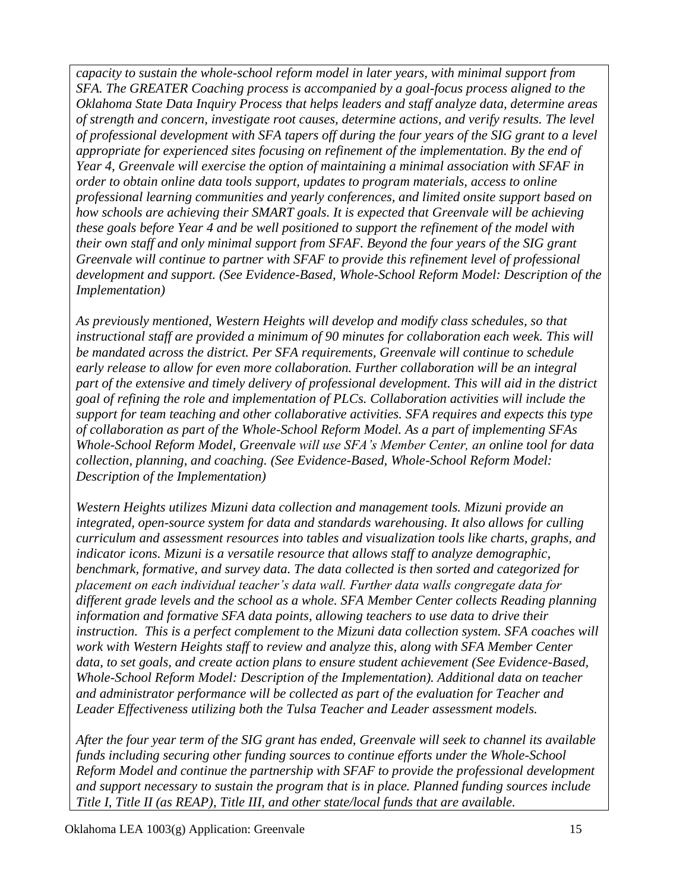*capacity to sustain the whole-school reform model in later years, with minimal support from SFA. The GREATER Coaching process is accompanied by a goal-focus process aligned to the Oklahoma State Data Inquiry Process that helps leaders and staff analyze data, determine areas of strength and concern, investigate root causes, determine actions, and verify results. The level of professional development with SFA tapers off during the four years of the SIG grant to a level appropriate for experienced sites focusing on refinement of the implementation. By the end of Year 4, Greenvale will exercise the option of maintaining a minimal association with SFAF in order to obtain online data tools support, updates to program materials, access to online professional learning communities and yearly conferences, and limited onsite support based on how schools are achieving their SMART goals. It is expected that Greenvale will be achieving these goals before Year 4 and be well positioned to support the refinement of the model with their own staff and only minimal support from SFAF. Beyond the four years of the SIG grant Greenvale will continue to partner with SFAF to provide this refinement level of professional development and support. (See Evidence-Based, Whole-School Reform Model: Description of the Implementation)* 

*As previously mentioned, Western Heights will develop and modify class schedules, so that instructional staff are provided a minimum of 90 minutes for collaboration each week. This will be mandated across the district. Per SFA requirements, Greenvale will continue to schedule early release to allow for even more collaboration. Further collaboration will be an integral part of the extensive and timely delivery of professional development. This will aid in the district goal of refining the role and implementation of PLCs. Collaboration activities will include the support for team teaching and other collaborative activities. SFA requires and expects this type of collaboration as part of the Whole-School Reform Model. As a part of implementing SFAs Whole-School Reform Model, Greenvale will use SFA's Member Center, an online tool for data collection, planning, and coaching. (See Evidence-Based, Whole-School Reform Model: Description of the Implementation)*

*Western Heights utilizes Mizuni data collection and management tools. Mizuni provide an integrated, open-source system for data and standards warehousing. It also allows for culling curriculum and assessment resources into tables and visualization tools like charts, graphs, and indicator icons. Mizuni is a versatile resource that allows staff to analyze demographic, benchmark, formative, and survey data. The data collected is then sorted and categorized for placement on each individual teacher's data wall. Further data walls congregate data for different grade levels and the school as a whole. SFA Member Center collects Reading planning information and formative SFA data points, allowing teachers to use data to drive their instruction. This is a perfect complement to the Mizuni data collection system. SFA coaches will work with Western Heights staff to review and analyze this, along with SFA Member Center data, to set goals, and create action plans to ensure student achievement (See Evidence-Based, Whole-School Reform Model: Description of the Implementation). Additional data on teacher and administrator performance will be collected as part of the evaluation for Teacher and Leader Effectiveness utilizing both the Tulsa Teacher and Leader assessment models.* 

*After the four year term of the SIG grant has ended, Greenvale will seek to channel its available funds including securing other funding sources to continue efforts under the Whole-School Reform Model and continue the partnership with SFAF to provide the professional development and support necessary to sustain the program that is in place. Planned funding sources include Title I, Title II (as REAP), Title III, and other state/local funds that are available.*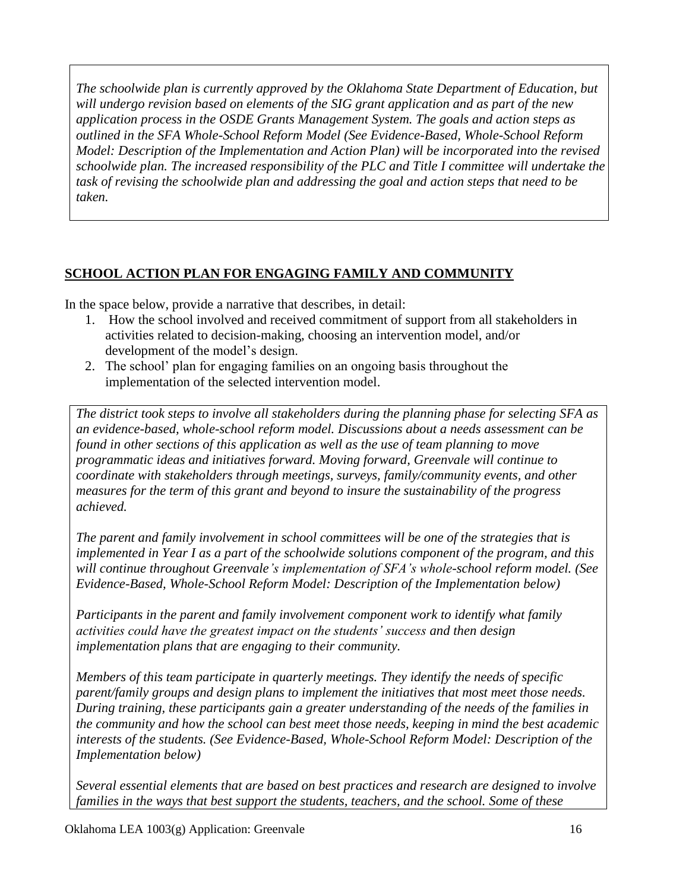*The schoolwide plan is currently approved by the Oklahoma State Department of Education, but will undergo revision based on elements of the SIG grant application and as part of the new application process in the OSDE Grants Management System. The goals and action steps as outlined in the SFA Whole-School Reform Model (See Evidence-Based, Whole-School Reform Model: Description of the Implementation and Action Plan) will be incorporated into the revised schoolwide plan. The increased responsibility of the PLC and Title I committee will undertake the task of revising the schoolwide plan and addressing the goal and action steps that need to be taken.*

## **SCHOOL ACTION PLAN FOR ENGAGING FAMILY AND COMMUNITY**

In the space below, provide a narrative that describes, in detail:

- 1. How the school involved and received commitment of support from all stakeholders in activities related to decision-making, choosing an intervention model, and/or development of the model's design.
- 2. The school' plan for engaging families on an ongoing basis throughout the implementation of the selected intervention model.

*The district took steps to involve all stakeholders during the planning phase for selecting SFA as an evidence-based, whole-school reform model. Discussions about a needs assessment can be found in other sections of this application as well as the use of team planning to move programmatic ideas and initiatives forward. Moving forward, Greenvale will continue to coordinate with stakeholders through meetings, surveys, family/community events, and other measures for the term of this grant and beyond to insure the sustainability of the progress achieved.*

*The parent and family involvement in school committees will be one of the strategies that is implemented in Year I as a part of the schoolwide solutions component of the program, and this will continue throughout Greenvale's implementation of SFA's whole-school reform model. (See Evidence-Based, Whole-School Reform Model: Description of the Implementation below)*

*Participants in the parent and family involvement component work to identify what family activities could have the greatest impact on the students' success and then design implementation plans that are engaging to their community.*

*Members of this team participate in quarterly meetings. They identify the needs of specific parent/family groups and design plans to implement the initiatives that most meet those needs. During training, these participants gain a greater understanding of the needs of the families in the community and how the school can best meet those needs, keeping in mind the best academic interests of the students. (See Evidence-Based, Whole-School Reform Model: Description of the Implementation below)*

*Several essential elements that are based on best practices and research are designed to involve families in the ways that best support the students, teachers, and the school. Some of these*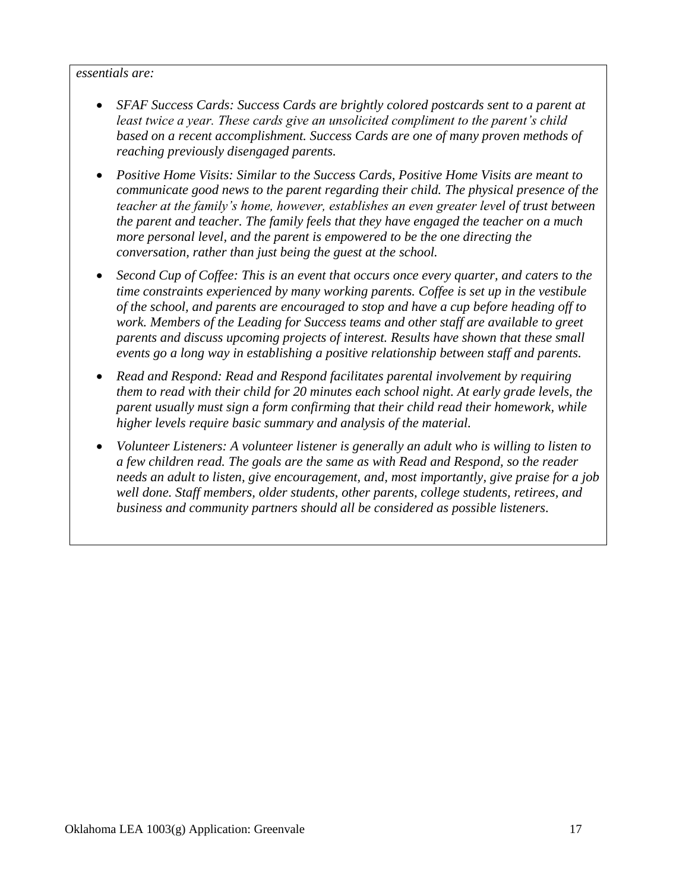#### *essentials are:*

- SFAF Success Cards: Success Cards are brightly colored postcards sent to a parent at *least twice a year. These cards give an unsolicited compliment to the parent's child based on a recent accomplishment. Success Cards are one of many proven methods of reaching previously disengaged parents.*
- *Positive Home Visits: Similar to the Success Cards, Positive Home Visits are meant to communicate good news to the parent regarding their child. The physical presence of the teacher at the family's home, however, establishes an even greater level of trust between the parent and teacher. The family feels that they have engaged the teacher on a much more personal level, and the parent is empowered to be the one directing the conversation, rather than just being the guest at the school.*
- *Second Cup of Coffee: This is an event that occurs once every quarter, and caters to the time constraints experienced by many working parents. Coffee is set up in the vestibule of the school, and parents are encouraged to stop and have a cup before heading off to work. Members of the Leading for Success teams and other staff are available to greet parents and discuss upcoming projects of interest. Results have shown that these small events go a long way in establishing a positive relationship between staff and parents.*
- *Read and Respond: Read and Respond facilitates parental involvement by requiring them to read with their child for 20 minutes each school night. At early grade levels, the parent usually must sign a form confirming that their child read their homework, while higher levels require basic summary and analysis of the material.*
- *Volunteer Listeners: A volunteer listener is generally an adult who is willing to listen to a few children read. The goals are the same as with Read and Respond, so the reader needs an adult to listen, give encouragement, and, most importantly, give praise for a job well done. Staff members, older students, other parents, college students, retirees, and business and community partners should all be considered as possible listeners.*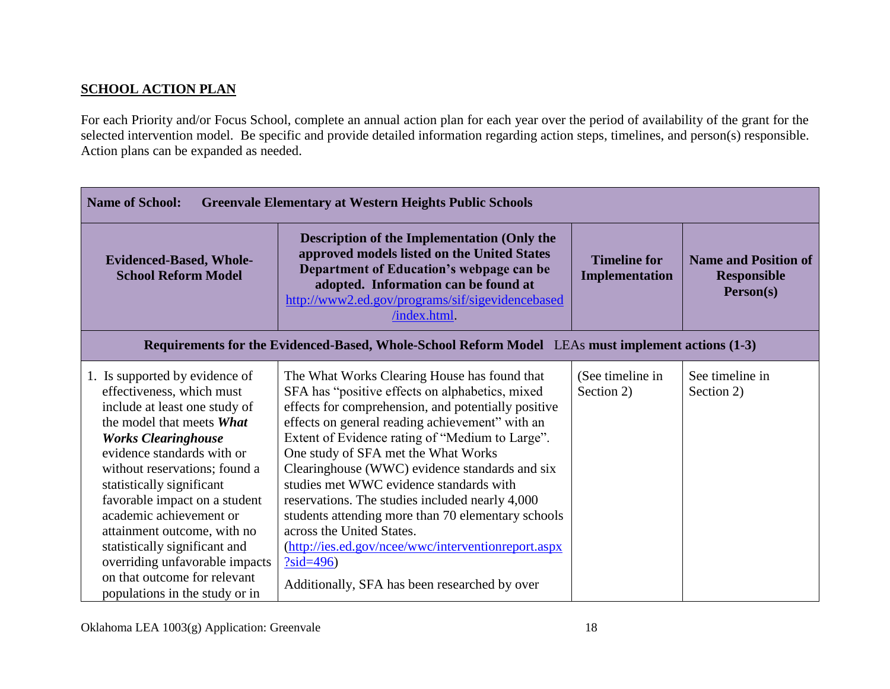### **SCHOOL ACTION PLAN**

For each Priority and/or Focus School, complete an annual action plan for each year over the period of availability of the grant for the selected intervention model. Be specific and provide detailed information regarding action steps, timelines, and person(s) responsible. Action plans can be expanded as needed.

| <b>Name of School:</b><br><b>Greenvale Elementary at Western Heights Public Schools</b>                                                                                                                                                                                                                                                                                                                                                                                             |                                                                                                                                                                                                                                                                                                                                                                                                                                                                                                                                                                                                                                                               |                                              |                                                                |
|-------------------------------------------------------------------------------------------------------------------------------------------------------------------------------------------------------------------------------------------------------------------------------------------------------------------------------------------------------------------------------------------------------------------------------------------------------------------------------------|---------------------------------------------------------------------------------------------------------------------------------------------------------------------------------------------------------------------------------------------------------------------------------------------------------------------------------------------------------------------------------------------------------------------------------------------------------------------------------------------------------------------------------------------------------------------------------------------------------------------------------------------------------------|----------------------------------------------|----------------------------------------------------------------|
| <b>Evidenced-Based, Whole-</b><br><b>School Reform Model</b>                                                                                                                                                                                                                                                                                                                                                                                                                        | <b>Description of the Implementation (Only the</b><br>approved models listed on the United States<br>Department of Education's webpage can be<br>adopted. Information can be found at<br>http://www2.ed.gov/programs/sif/sigevidencebased<br>/index.html                                                                                                                                                                                                                                                                                                                                                                                                      | <b>Timeline for</b><br><b>Implementation</b> | <b>Name and Position of</b><br><b>Responsible</b><br>Person(s) |
|                                                                                                                                                                                                                                                                                                                                                                                                                                                                                     | Requirements for the Evidenced-Based, Whole-School Reform Model LEAs must implement actions (1-3)                                                                                                                                                                                                                                                                                                                                                                                                                                                                                                                                                             |                                              |                                                                |
| 1. Is supported by evidence of<br>effectiveness, which must<br>include at least one study of<br>the model that meets What<br><b>Works Clearinghouse</b><br>evidence standards with or<br>without reservations; found a<br>statistically significant<br>favorable impact on a student<br>academic achievement or<br>attainment outcome, with no<br>statistically significant and<br>overriding unfavorable impacts<br>on that outcome for relevant<br>populations in the study or in | The What Works Clearing House has found that<br>SFA has "positive effects on alphabetics, mixed<br>effects for comprehension, and potentially positive<br>effects on general reading achievement" with an<br>Extent of Evidence rating of "Medium to Large".<br>One study of SFA met the What Works<br>Clearinghouse (WWC) evidence standards and six<br>studies met WWC evidence standards with<br>reservations. The studies included nearly 4,000<br>students attending more than 70 elementary schools<br>across the United States.<br>(http://ies.ed.gov/ncee/wwc/interventionreport.aspx<br>$?sid=496)$<br>Additionally, SFA has been researched by over | (See timeline in<br>Section 2)               | See timeline in<br>Section 2)                                  |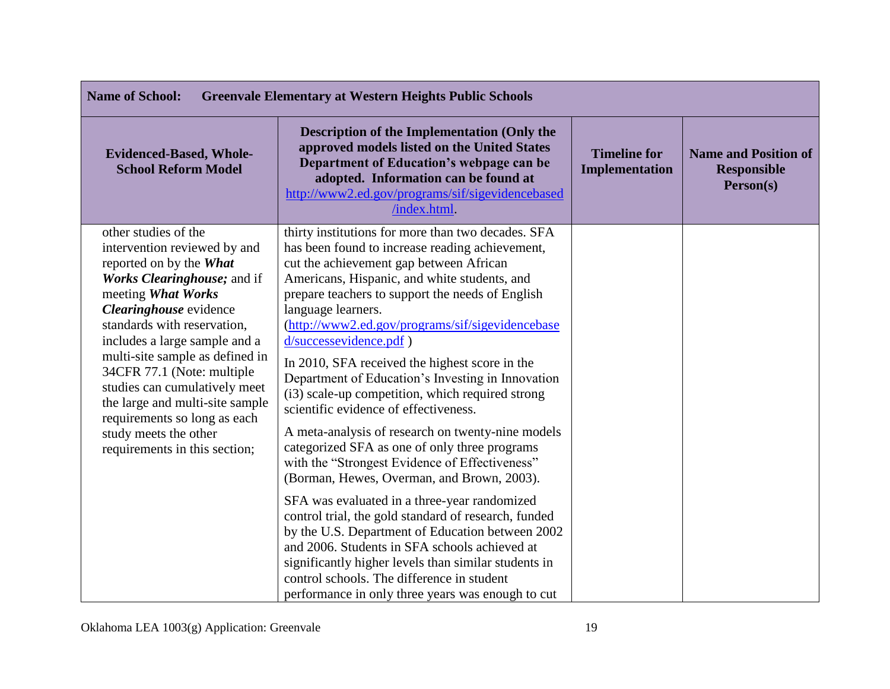| <b>Name of School:</b><br><b>Greenvale Elementary at Western Heights Public Schools</b>                                                                                                                                                                                                                                                                                                                                                                       |                                                                                                                                                                                                                                                                                                                                                                                                                                                                                                                                                                                                                                                                                                                                                                                                                                                                                                                                                                                                                                                                                                                                            |                                       |                                                                |
|---------------------------------------------------------------------------------------------------------------------------------------------------------------------------------------------------------------------------------------------------------------------------------------------------------------------------------------------------------------------------------------------------------------------------------------------------------------|--------------------------------------------------------------------------------------------------------------------------------------------------------------------------------------------------------------------------------------------------------------------------------------------------------------------------------------------------------------------------------------------------------------------------------------------------------------------------------------------------------------------------------------------------------------------------------------------------------------------------------------------------------------------------------------------------------------------------------------------------------------------------------------------------------------------------------------------------------------------------------------------------------------------------------------------------------------------------------------------------------------------------------------------------------------------------------------------------------------------------------------------|---------------------------------------|----------------------------------------------------------------|
| <b>Evidenced-Based, Whole-</b><br><b>School Reform Model</b>                                                                                                                                                                                                                                                                                                                                                                                                  | <b>Description of the Implementation (Only the</b><br>approved models listed on the United States<br>Department of Education's webpage can be<br>adopted. Information can be found at<br>http://www2.ed.gov/programs/sif/sigevidencebased<br>/index.html                                                                                                                                                                                                                                                                                                                                                                                                                                                                                                                                                                                                                                                                                                                                                                                                                                                                                   | <b>Timeline for</b><br>Implementation | <b>Name and Position of</b><br><b>Responsible</b><br>Person(s) |
| other studies of the<br>intervention reviewed by and<br>reported on by the What<br>Works Clearinghouse; and if<br>meeting What Works<br>Clearinghouse evidence<br>standards with reservation,<br>includes a large sample and a<br>multi-site sample as defined in<br>34CFR 77.1 (Note: multiple<br>studies can cumulatively meet<br>the large and multi-site sample<br>requirements so long as each<br>study meets the other<br>requirements in this section; | thirty institutions for more than two decades. SFA<br>has been found to increase reading achievement,<br>cut the achievement gap between African<br>Americans, Hispanic, and white students, and<br>prepare teachers to support the needs of English<br>language learners.<br>(http://www2.ed.gov/programs/sif/sigevidencebase<br>d/successevidence.pdf)<br>In 2010, SFA received the highest score in the<br>Department of Education's Investing in Innovation<br>(i3) scale-up competition, which required strong<br>scientific evidence of effectiveness.<br>A meta-analysis of research on twenty-nine models<br>categorized SFA as one of only three programs<br>with the "Strongest Evidence of Effectiveness"<br>(Borman, Hewes, Overman, and Brown, 2003).<br>SFA was evaluated in a three-year randomized<br>control trial, the gold standard of research, funded<br>by the U.S. Department of Education between 2002<br>and 2006. Students in SFA schools achieved at<br>significantly higher levels than similar students in<br>control schools. The difference in student<br>performance in only three years was enough to cut |                                       |                                                                |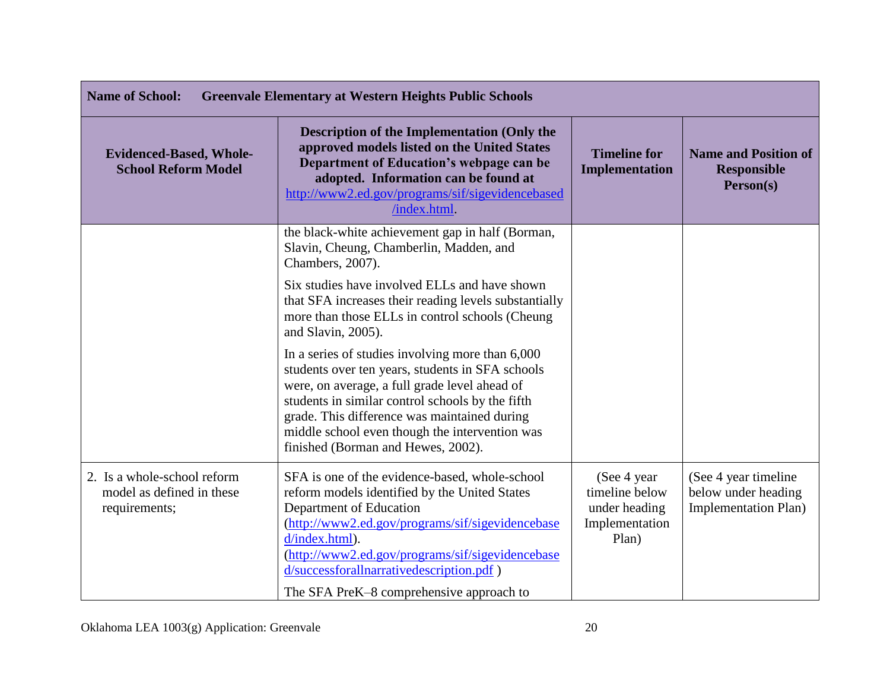| <b>Name of School:</b><br><b>Greenvale Elementary at Western Heights Public Schools</b> |                                                                                                                                                                                                                                                                                                                                                   |                                                                            |                                                                             |
|-----------------------------------------------------------------------------------------|---------------------------------------------------------------------------------------------------------------------------------------------------------------------------------------------------------------------------------------------------------------------------------------------------------------------------------------------------|----------------------------------------------------------------------------|-----------------------------------------------------------------------------|
| <b>Evidenced-Based, Whole-</b><br><b>School Reform Model</b>                            | <b>Description of the Implementation (Only the</b><br>approved models listed on the United States<br>Department of Education's webpage can be<br>adopted. Information can be found at<br>http://www2.ed.gov/programs/sif/sigevidencebased<br>/index.html.                                                                                         | <b>Timeline for</b><br>Implementation                                      | <b>Name and Position of</b><br><b>Responsible</b><br>Person(s)              |
|                                                                                         | the black-white achievement gap in half (Borman,<br>Slavin, Cheung, Chamberlin, Madden, and<br>Chambers, 2007).                                                                                                                                                                                                                                   |                                                                            |                                                                             |
|                                                                                         | Six studies have involved ELLs and have shown<br>that SFA increases their reading levels substantially<br>more than those ELLs in control schools (Cheung<br>and Slavin, 2005).                                                                                                                                                                   |                                                                            |                                                                             |
|                                                                                         | In a series of studies involving more than 6,000<br>students over ten years, students in SFA schools<br>were, on average, a full grade level ahead of<br>students in similar control schools by the fifth<br>grade. This difference was maintained during<br>middle school even though the intervention was<br>finished (Borman and Hewes, 2002). |                                                                            |                                                                             |
| 2. Is a whole-school reform<br>model as defined in these<br>requirements;               | SFA is one of the evidence-based, whole-school<br>reform models identified by the United States<br>Department of Education<br>(http://www2.ed.gov/programs/sif/sigevidencebase<br>d/index.html).<br>(http://www2.ed.gov/programs/sif/sigevidencebase<br>d/successforallnarrativedescription.pdf)<br>The SFA PreK–8 comprehensive approach to      | (See 4 year)<br>timeline below<br>under heading<br>Implementation<br>Plan) | (See 4 year timeline)<br>below under heading<br><b>Implementation Plan)</b> |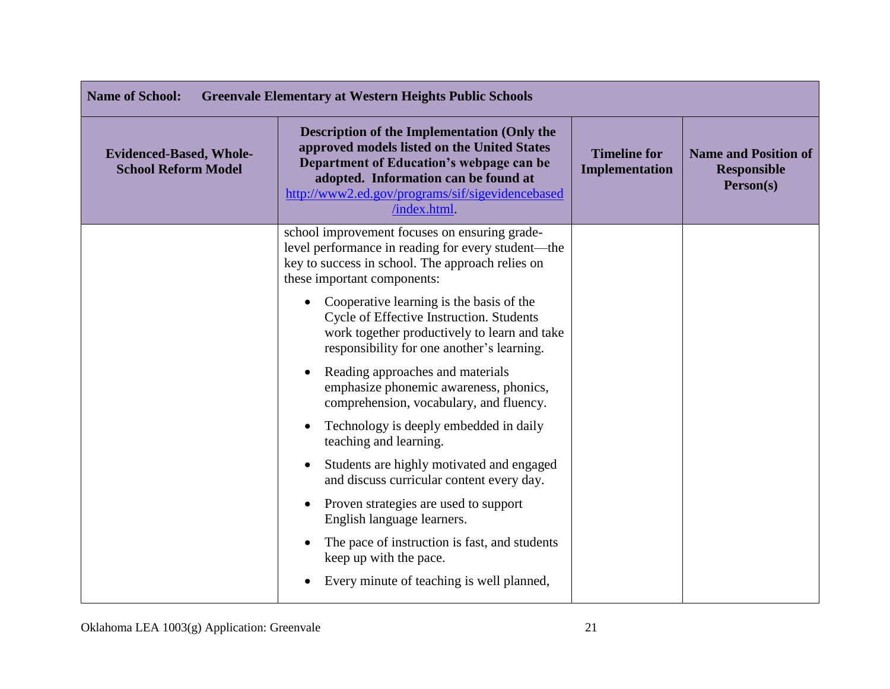| <b>Name of School:</b><br><b>Greenvale Elementary at Western Heights Public Schools</b> |                                                                                                                                                                                                                                                           |                                       |                                                                |
|-----------------------------------------------------------------------------------------|-----------------------------------------------------------------------------------------------------------------------------------------------------------------------------------------------------------------------------------------------------------|---------------------------------------|----------------------------------------------------------------|
| <b>Evidenced-Based, Whole-</b><br><b>School Reform Model</b>                            | <b>Description of the Implementation (Only the</b><br>approved models listed on the United States<br>Department of Education's webpage can be<br>adopted. Information can be found at<br>http://www2.ed.gov/programs/sif/sigevidencebased<br>/index.html. | <b>Timeline for</b><br>Implementation | <b>Name and Position of</b><br><b>Responsible</b><br>Person(s) |
|                                                                                         | school improvement focuses on ensuring grade-<br>level performance in reading for every student—the<br>key to success in school. The approach relies on<br>these important components:                                                                    |                                       |                                                                |
|                                                                                         | Cooperative learning is the basis of the<br>Cycle of Effective Instruction. Students<br>work together productively to learn and take<br>responsibility for one another's learning.                                                                        |                                       |                                                                |
|                                                                                         | Reading approaches and materials<br>emphasize phonemic awareness, phonics,<br>comprehension, vocabulary, and fluency.                                                                                                                                     |                                       |                                                                |
|                                                                                         | Technology is deeply embedded in daily<br>$\bullet$<br>teaching and learning.                                                                                                                                                                             |                                       |                                                                |
|                                                                                         | Students are highly motivated and engaged<br>and discuss curricular content every day.                                                                                                                                                                    |                                       |                                                                |
|                                                                                         | Proven strategies are used to support<br>$\bullet$<br>English language learners.                                                                                                                                                                          |                                       |                                                                |
|                                                                                         | The pace of instruction is fast, and students<br>keep up with the pace.                                                                                                                                                                                   |                                       |                                                                |
|                                                                                         | Every minute of teaching is well planned,                                                                                                                                                                                                                 |                                       |                                                                |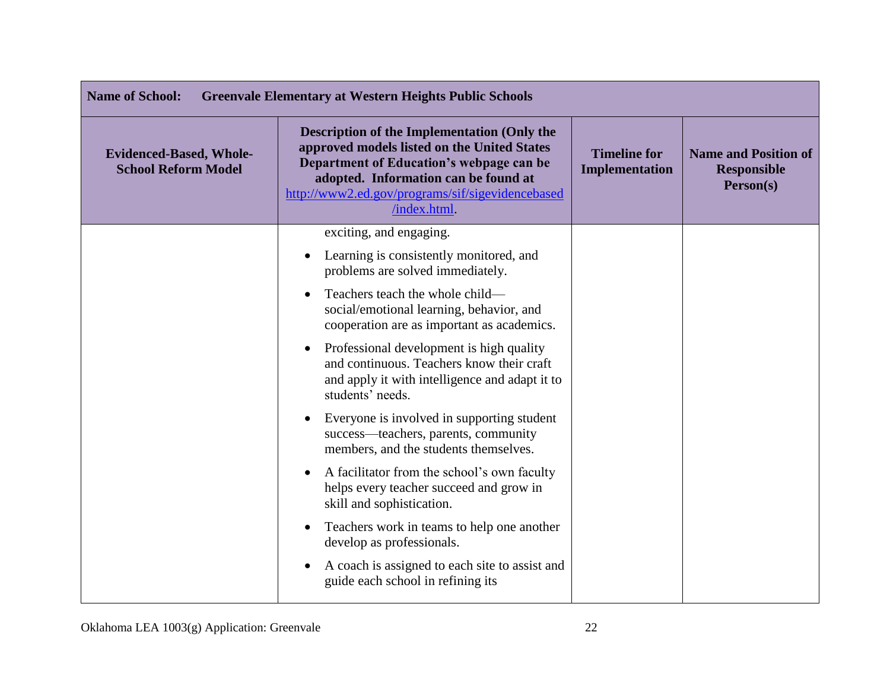| <b>Name of School:</b><br><b>Greenvale Elementary at Western Heights Public Schools</b> |                                                                                                                                                                                                                                                          |                                              |                                                                |
|-----------------------------------------------------------------------------------------|----------------------------------------------------------------------------------------------------------------------------------------------------------------------------------------------------------------------------------------------------------|----------------------------------------------|----------------------------------------------------------------|
| <b>Evidenced-Based, Whole-</b><br><b>School Reform Model</b>                            | <b>Description of the Implementation (Only the</b><br>approved models listed on the United States<br>Department of Education's webpage can be<br>adopted. Information can be found at<br>http://www2.ed.gov/programs/sif/sigevidencebased<br>/index.html | <b>Timeline for</b><br><b>Implementation</b> | <b>Name and Position of</b><br><b>Responsible</b><br>Person(s) |
|                                                                                         | exciting, and engaging.                                                                                                                                                                                                                                  |                                              |                                                                |
|                                                                                         | Learning is consistently monitored, and<br>$\bullet$<br>problems are solved immediately.                                                                                                                                                                 |                                              |                                                                |
|                                                                                         | Teachers teach the whole child—<br>social/emotional learning, behavior, and<br>cooperation are as important as academics.                                                                                                                                |                                              |                                                                |
|                                                                                         | Professional development is high quality<br>$\bullet$<br>and continuous. Teachers know their craft<br>and apply it with intelligence and adapt it to<br>students' needs.                                                                                 |                                              |                                                                |
|                                                                                         | Everyone is involved in supporting student<br>$\bullet$<br>success—teachers, parents, community<br>members, and the students themselves.                                                                                                                 |                                              |                                                                |
|                                                                                         | A facilitator from the school's own faculty<br>helps every teacher succeed and grow in<br>skill and sophistication.                                                                                                                                      |                                              |                                                                |
|                                                                                         | Teachers work in teams to help one another<br>develop as professionals.                                                                                                                                                                                  |                                              |                                                                |
|                                                                                         | A coach is assigned to each site to assist and<br>guide each school in refining its                                                                                                                                                                      |                                              |                                                                |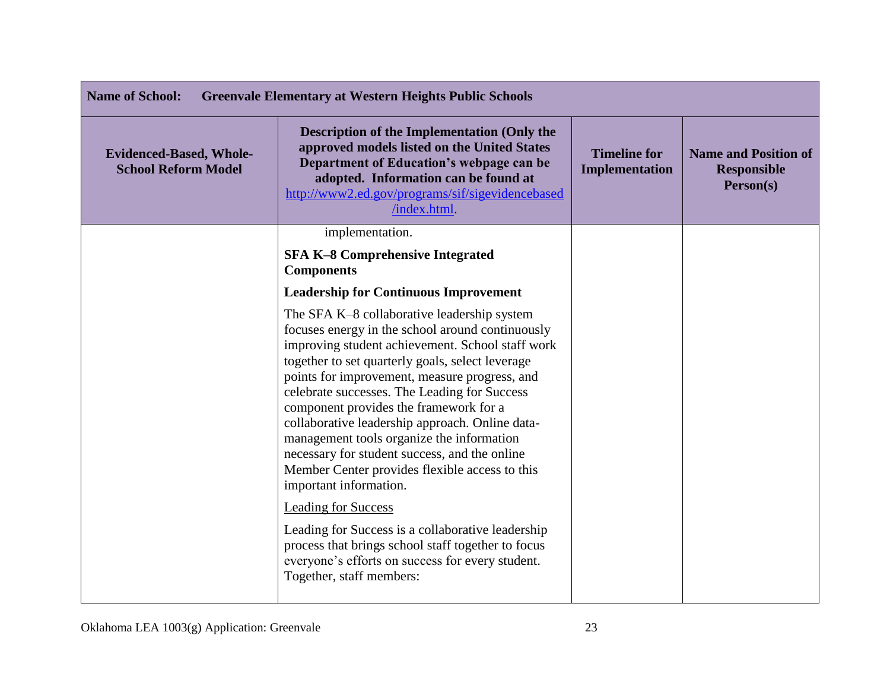| <b>Name of School:</b><br><b>Greenvale Elementary at Western Heights Public Schools</b> |                                                                                                                                                                                                                                                                                                                                                                                                                                                                                                                                                                                                               |                                              |                                                                |
|-----------------------------------------------------------------------------------------|---------------------------------------------------------------------------------------------------------------------------------------------------------------------------------------------------------------------------------------------------------------------------------------------------------------------------------------------------------------------------------------------------------------------------------------------------------------------------------------------------------------------------------------------------------------------------------------------------------------|----------------------------------------------|----------------------------------------------------------------|
| <b>Evidenced-Based, Whole-</b><br><b>School Reform Model</b>                            | Description of the Implementation (Only the<br>approved models listed on the United States<br>Department of Education's webpage can be<br>adopted. Information can be found at<br>http://www2.ed.gov/programs/sif/sigevidencebased<br>/index.html.                                                                                                                                                                                                                                                                                                                                                            | <b>Timeline for</b><br><b>Implementation</b> | <b>Name and Position of</b><br><b>Responsible</b><br>Person(s) |
|                                                                                         | implementation.                                                                                                                                                                                                                                                                                                                                                                                                                                                                                                                                                                                               |                                              |                                                                |
|                                                                                         | <b>SFA K-8 Comprehensive Integrated</b><br><b>Components</b>                                                                                                                                                                                                                                                                                                                                                                                                                                                                                                                                                  |                                              |                                                                |
|                                                                                         | <b>Leadership for Continuous Improvement</b>                                                                                                                                                                                                                                                                                                                                                                                                                                                                                                                                                                  |                                              |                                                                |
|                                                                                         | The SFA K-8 collaborative leadership system<br>focuses energy in the school around continuously<br>improving student achievement. School staff work<br>together to set quarterly goals, select leverage<br>points for improvement, measure progress, and<br>celebrate successes. The Leading for Success<br>component provides the framework for a<br>collaborative leadership approach. Online data-<br>management tools organize the information<br>necessary for student success, and the online<br>Member Center provides flexible access to this<br>important information.<br><b>Leading for Success</b> |                                              |                                                                |
|                                                                                         | Leading for Success is a collaborative leadership<br>process that brings school staff together to focus<br>everyone's efforts on success for every student.<br>Together, staff members:                                                                                                                                                                                                                                                                                                                                                                                                                       |                                              |                                                                |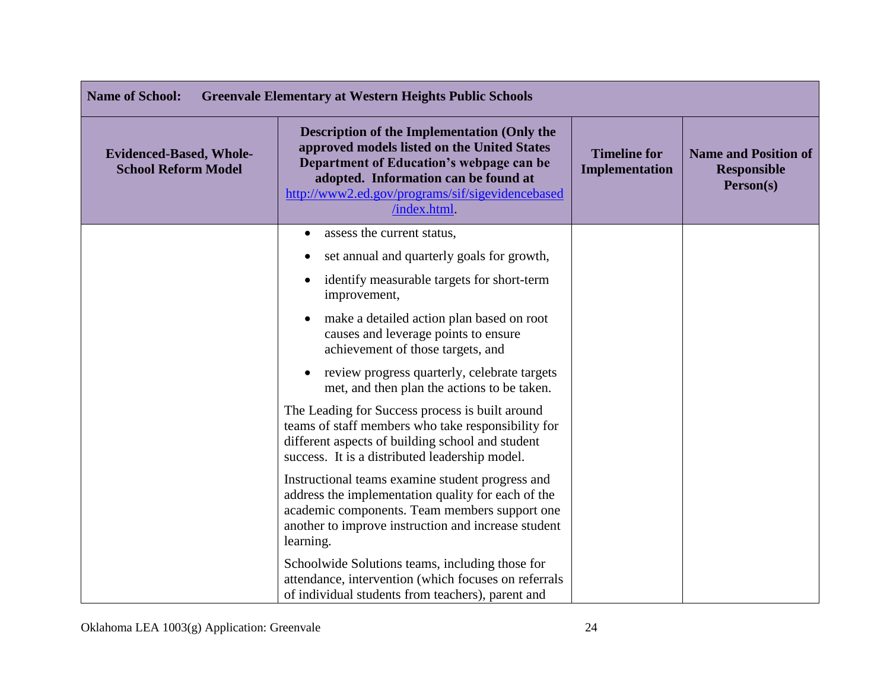| <b>Name of School:</b><br><b>Greenvale Elementary at Western Heights Public Schools</b> |                                                                                                                                                                                                                                                    |                                              |                                                                |
|-----------------------------------------------------------------------------------------|----------------------------------------------------------------------------------------------------------------------------------------------------------------------------------------------------------------------------------------------------|----------------------------------------------|----------------------------------------------------------------|
| <b>Evidenced-Based, Whole-</b><br><b>School Reform Model</b>                            | Description of the Implementation (Only the<br>approved models listed on the United States<br>Department of Education's webpage can be<br>adopted. Information can be found at<br>http://www2.ed.gov/programs/sif/sigevidencebased<br>/index.html. | <b>Timeline for</b><br><b>Implementation</b> | <b>Name and Position of</b><br><b>Responsible</b><br>Person(s) |
|                                                                                         | assess the current status,<br>$\bullet$                                                                                                                                                                                                            |                                              |                                                                |
|                                                                                         | set annual and quarterly goals for growth,                                                                                                                                                                                                         |                                              |                                                                |
|                                                                                         | identify measurable targets for short-term<br>$\bullet$<br>improvement,                                                                                                                                                                            |                                              |                                                                |
|                                                                                         | make a detailed action plan based on root<br>causes and leverage points to ensure<br>achievement of those targets, and                                                                                                                             |                                              |                                                                |
|                                                                                         | review progress quarterly, celebrate targets<br>met, and then plan the actions to be taken.                                                                                                                                                        |                                              |                                                                |
|                                                                                         | The Leading for Success process is built around<br>teams of staff members who take responsibility for<br>different aspects of building school and student<br>success. It is a distributed leadership model.                                        |                                              |                                                                |
|                                                                                         | Instructional teams examine student progress and<br>address the implementation quality for each of the<br>academic components. Team members support one<br>another to improve instruction and increase student<br>learning.                        |                                              |                                                                |
|                                                                                         | Schoolwide Solutions teams, including those for<br>attendance, intervention (which focuses on referrals<br>of individual students from teachers), parent and                                                                                       |                                              |                                                                |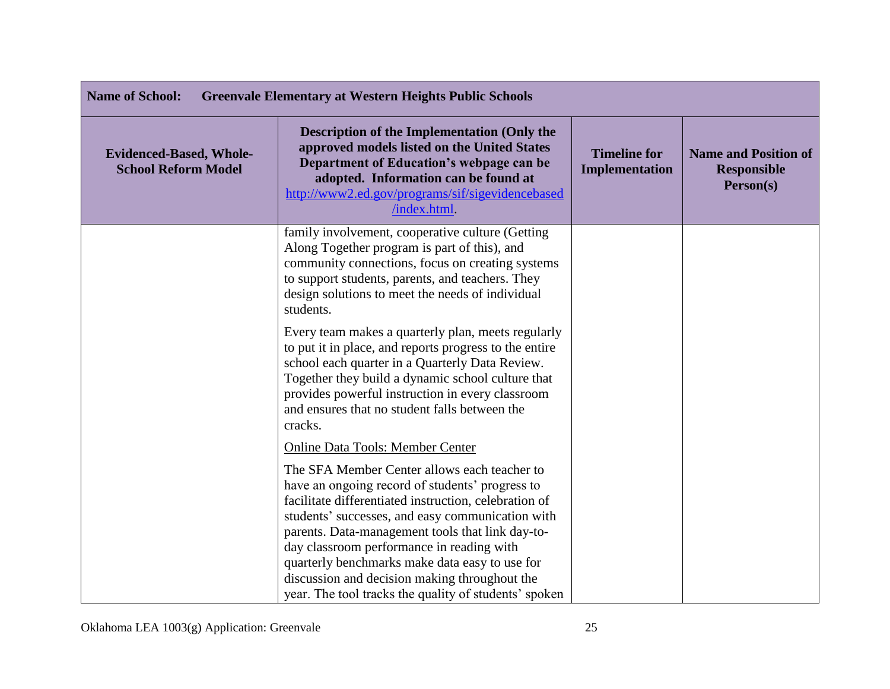| <b>Name of School:</b><br><b>Greenvale Elementary at Western Heights Public Schools</b> |                                                                                                                                                                                                                                                                                                                                                                                                                                                                           |                                       |                                                                |
|-----------------------------------------------------------------------------------------|---------------------------------------------------------------------------------------------------------------------------------------------------------------------------------------------------------------------------------------------------------------------------------------------------------------------------------------------------------------------------------------------------------------------------------------------------------------------------|---------------------------------------|----------------------------------------------------------------|
| <b>Evidenced-Based, Whole-</b><br><b>School Reform Model</b>                            | <b>Description of the Implementation (Only the</b><br>approved models listed on the United States<br>Department of Education's webpage can be<br>adopted. Information can be found at<br>http://www2.ed.gov/programs/sif/sigevidencebased<br>/index.html.                                                                                                                                                                                                                 | <b>Timeline for</b><br>Implementation | <b>Name and Position of</b><br><b>Responsible</b><br>Person(s) |
|                                                                                         | family involvement, cooperative culture (Getting<br>Along Together program is part of this), and<br>community connections, focus on creating systems<br>to support students, parents, and teachers. They<br>design solutions to meet the needs of individual<br>students.                                                                                                                                                                                                 |                                       |                                                                |
|                                                                                         | Every team makes a quarterly plan, meets regularly<br>to put it in place, and reports progress to the entire<br>school each quarter in a Quarterly Data Review.<br>Together they build a dynamic school culture that<br>provides powerful instruction in every classroom<br>and ensures that no student falls between the<br>cracks.                                                                                                                                      |                                       |                                                                |
|                                                                                         | <b>Online Data Tools: Member Center</b>                                                                                                                                                                                                                                                                                                                                                                                                                                   |                                       |                                                                |
|                                                                                         | The SFA Member Center allows each teacher to<br>have an ongoing record of students' progress to<br>facilitate differentiated instruction, celebration of<br>students' successes, and easy communication with<br>parents. Data-management tools that link day-to-<br>day classroom performance in reading with<br>quarterly benchmarks make data easy to use for<br>discussion and decision making throughout the<br>year. The tool tracks the quality of students' spoken |                                       |                                                                |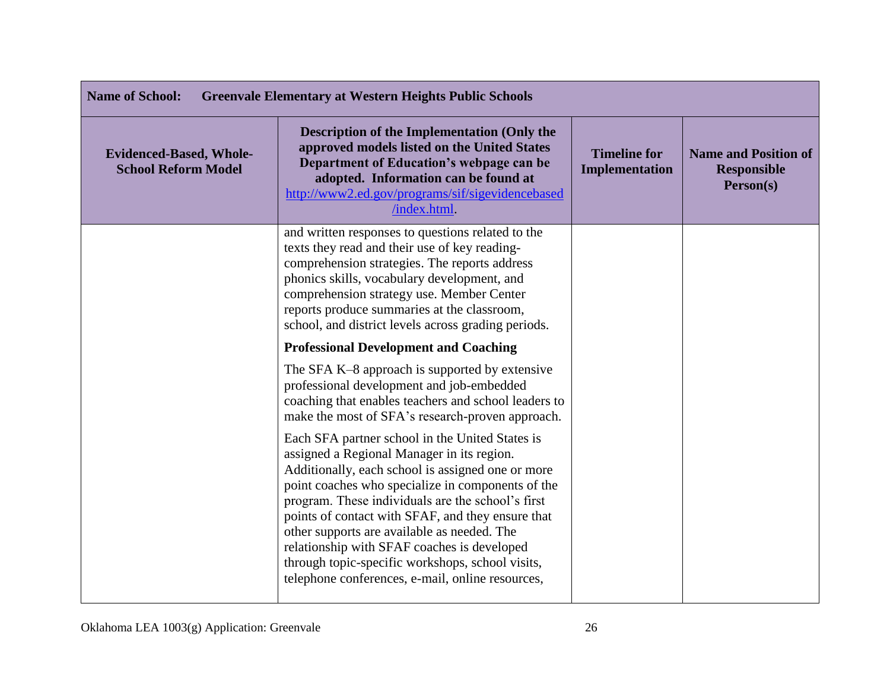| <b>Name of School:</b><br><b>Greenvale Elementary at Western Heights Public Schools</b> |                                                                                                                                                                                                                                                                                                                                                                                                                                                                                                                         |                                       |                                                                |
|-----------------------------------------------------------------------------------------|-------------------------------------------------------------------------------------------------------------------------------------------------------------------------------------------------------------------------------------------------------------------------------------------------------------------------------------------------------------------------------------------------------------------------------------------------------------------------------------------------------------------------|---------------------------------------|----------------------------------------------------------------|
| <b>Evidenced-Based, Whole-</b><br><b>School Reform Model</b>                            | Description of the Implementation (Only the<br>approved models listed on the United States<br>Department of Education's webpage can be<br>adopted. Information can be found at<br>http://www2.ed.gov/programs/sif/sigevidencebased<br>/index.html.                                                                                                                                                                                                                                                                      | <b>Timeline for</b><br>Implementation | <b>Name and Position of</b><br><b>Responsible</b><br>Person(s) |
|                                                                                         | and written responses to questions related to the<br>texts they read and their use of key reading-<br>comprehension strategies. The reports address<br>phonics skills, vocabulary development, and<br>comprehension strategy use. Member Center<br>reports produce summaries at the classroom,<br>school, and district levels across grading periods.                                                                                                                                                                   |                                       |                                                                |
|                                                                                         | <b>Professional Development and Coaching</b>                                                                                                                                                                                                                                                                                                                                                                                                                                                                            |                                       |                                                                |
|                                                                                         | The SFA K-8 approach is supported by extensive<br>professional development and job-embedded<br>coaching that enables teachers and school leaders to<br>make the most of SFA's research-proven approach.                                                                                                                                                                                                                                                                                                                 |                                       |                                                                |
|                                                                                         | Each SFA partner school in the United States is<br>assigned a Regional Manager in its region.<br>Additionally, each school is assigned one or more<br>point coaches who specialize in components of the<br>program. These individuals are the school's first<br>points of contact with SFAF, and they ensure that<br>other supports are available as needed. The<br>relationship with SFAF coaches is developed<br>through topic-specific workshops, school visits,<br>telephone conferences, e-mail, online resources, |                                       |                                                                |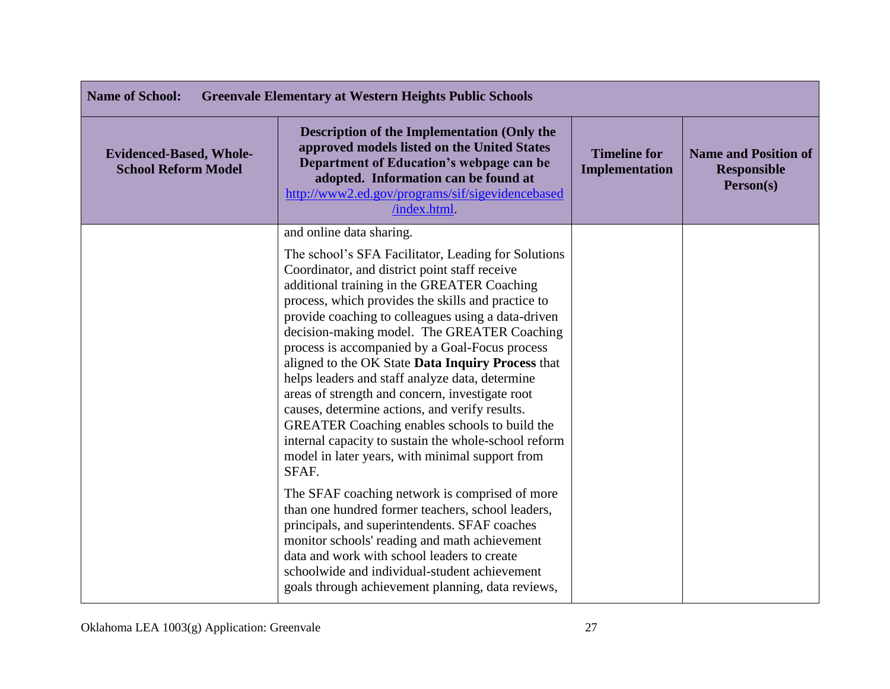| <b>Name of School:</b><br><b>Greenvale Elementary at Western Heights Public Schools</b> |                                                                                                                                                                                                                                                                                                                                                                                                                                                                                                                                                                                                                                                                                             |                                              |                                                                |
|-----------------------------------------------------------------------------------------|---------------------------------------------------------------------------------------------------------------------------------------------------------------------------------------------------------------------------------------------------------------------------------------------------------------------------------------------------------------------------------------------------------------------------------------------------------------------------------------------------------------------------------------------------------------------------------------------------------------------------------------------------------------------------------------------|----------------------------------------------|----------------------------------------------------------------|
| <b>Evidenced-Based, Whole-</b><br><b>School Reform Model</b>                            | <b>Description of the Implementation (Only the</b><br>approved models listed on the United States<br>Department of Education's webpage can be<br>adopted. Information can be found at<br>http://www2.ed.gov/programs/sif/sigevidencebased<br>/index.html.                                                                                                                                                                                                                                                                                                                                                                                                                                   | <b>Timeline for</b><br><b>Implementation</b> | <b>Name and Position of</b><br><b>Responsible</b><br>Person(s) |
|                                                                                         | and online data sharing.<br>The school's SFA Facilitator, Leading for Solutions                                                                                                                                                                                                                                                                                                                                                                                                                                                                                                                                                                                                             |                                              |                                                                |
|                                                                                         | Coordinator, and district point staff receive<br>additional training in the GREATER Coaching<br>process, which provides the skills and practice to<br>provide coaching to colleagues using a data-driven<br>decision-making model. The GREATER Coaching<br>process is accompanied by a Goal-Focus process<br>aligned to the OK State Data Inquiry Process that<br>helps leaders and staff analyze data, determine<br>areas of strength and concern, investigate root<br>causes, determine actions, and verify results.<br>GREATER Coaching enables schools to build the<br>internal capacity to sustain the whole-school reform<br>model in later years, with minimal support from<br>SFAF. |                                              |                                                                |
|                                                                                         | The SFAF coaching network is comprised of more<br>than one hundred former teachers, school leaders,<br>principals, and superintendents. SFAF coaches<br>monitor schools' reading and math achievement<br>data and work with school leaders to create<br>schoolwide and individual-student achievement<br>goals through achievement planning, data reviews,                                                                                                                                                                                                                                                                                                                                  |                                              |                                                                |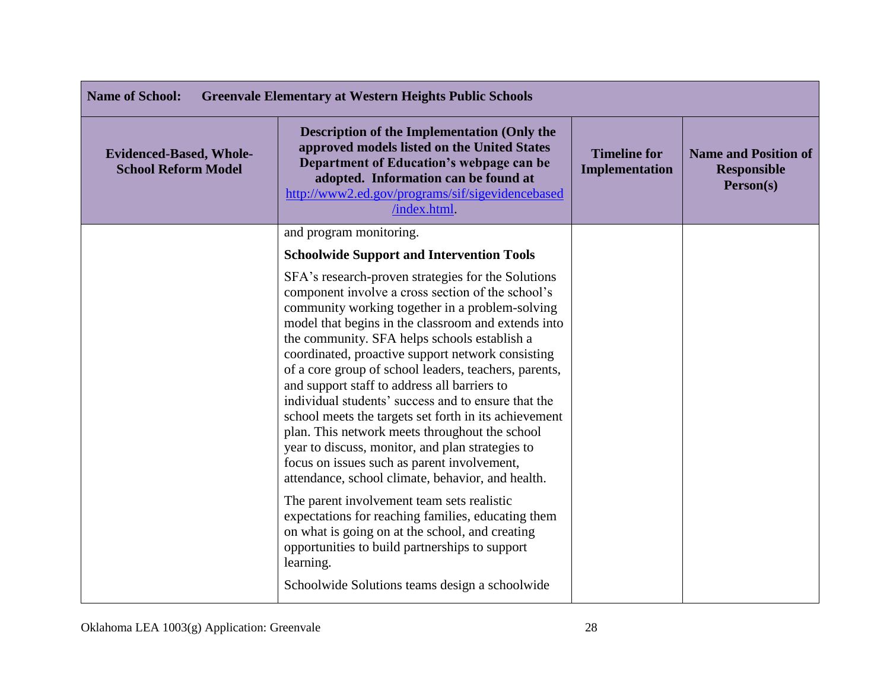| <b>Name of School:</b><br><b>Greenvale Elementary at Western Heights Public Schools</b> |                                                                                                                                                                                                                                                                                                                                                                                                                                                                                                                                                                                                                                                                                                                                                           |                                       |                                                                |
|-----------------------------------------------------------------------------------------|-----------------------------------------------------------------------------------------------------------------------------------------------------------------------------------------------------------------------------------------------------------------------------------------------------------------------------------------------------------------------------------------------------------------------------------------------------------------------------------------------------------------------------------------------------------------------------------------------------------------------------------------------------------------------------------------------------------------------------------------------------------|---------------------------------------|----------------------------------------------------------------|
| <b>Evidenced-Based, Whole-</b><br><b>School Reform Model</b>                            | <b>Description of the Implementation (Only the</b><br>approved models listed on the United States<br>Department of Education's webpage can be<br>adopted. Information can be found at<br>http://www2.ed.gov/programs/sif/sigevidencebased<br>/index.html.                                                                                                                                                                                                                                                                                                                                                                                                                                                                                                 | <b>Timeline for</b><br>Implementation | <b>Name and Position of</b><br><b>Responsible</b><br>Person(s) |
|                                                                                         | and program monitoring.                                                                                                                                                                                                                                                                                                                                                                                                                                                                                                                                                                                                                                                                                                                                   |                                       |                                                                |
|                                                                                         | <b>Schoolwide Support and Intervention Tools</b>                                                                                                                                                                                                                                                                                                                                                                                                                                                                                                                                                                                                                                                                                                          |                                       |                                                                |
|                                                                                         | SFA's research-proven strategies for the Solutions<br>component involve a cross section of the school's<br>community working together in a problem-solving<br>model that begins in the classroom and extends into<br>the community. SFA helps schools establish a<br>coordinated, proactive support network consisting<br>of a core group of school leaders, teachers, parents,<br>and support staff to address all barriers to<br>individual students' success and to ensure that the<br>school meets the targets set forth in its achievement<br>plan. This network meets throughout the school<br>year to discuss, monitor, and plan strategies to<br>focus on issues such as parent involvement,<br>attendance, school climate, behavior, and health. |                                       |                                                                |
|                                                                                         | The parent involvement team sets realistic<br>expectations for reaching families, educating them<br>on what is going on at the school, and creating<br>opportunities to build partnerships to support<br>learning.<br>Schoolwide Solutions teams design a schoolwide                                                                                                                                                                                                                                                                                                                                                                                                                                                                                      |                                       |                                                                |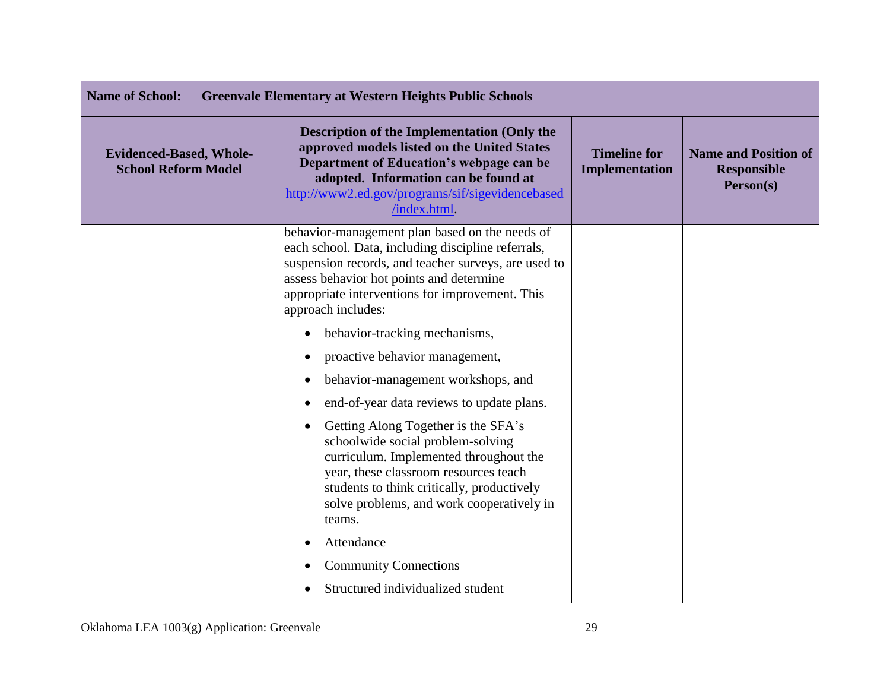| <b>Name of School:</b><br><b>Greenvale Elementary at Western Heights Public Schools</b> |                                                                                                                                                                                                                                                                                   |                                       |                                                                |
|-----------------------------------------------------------------------------------------|-----------------------------------------------------------------------------------------------------------------------------------------------------------------------------------------------------------------------------------------------------------------------------------|---------------------------------------|----------------------------------------------------------------|
| <b>Evidenced-Based, Whole-</b><br><b>School Reform Model</b>                            | <b>Description of the Implementation (Only the</b><br>approved models listed on the United States<br>Department of Education's webpage can be<br>adopted. Information can be found at<br>http://www2.ed.gov/programs/sif/sigevidencebased<br>/index.html                          | <b>Timeline for</b><br>Implementation | <b>Name and Position of</b><br><b>Responsible</b><br>Person(s) |
|                                                                                         | behavior-management plan based on the needs of<br>each school. Data, including discipline referrals,<br>suspension records, and teacher surveys, are used to<br>assess behavior hot points and determine<br>appropriate interventions for improvement. This<br>approach includes: |                                       |                                                                |
|                                                                                         | behavior-tracking mechanisms,<br>$\bullet$                                                                                                                                                                                                                                        |                                       |                                                                |
|                                                                                         | proactive behavior management,                                                                                                                                                                                                                                                    |                                       |                                                                |
|                                                                                         | behavior-management workshops, and                                                                                                                                                                                                                                                |                                       |                                                                |
|                                                                                         | end-of-year data reviews to update plans.                                                                                                                                                                                                                                         |                                       |                                                                |
|                                                                                         | Getting Along Together is the SFA's<br>schoolwide social problem-solving<br>curriculum. Implemented throughout the<br>year, these classroom resources teach<br>students to think critically, productively<br>solve problems, and work cooperatively in<br>teams.                  |                                       |                                                                |
|                                                                                         | Attendance                                                                                                                                                                                                                                                                        |                                       |                                                                |
|                                                                                         | <b>Community Connections</b>                                                                                                                                                                                                                                                      |                                       |                                                                |
|                                                                                         | Structured individualized student                                                                                                                                                                                                                                                 |                                       |                                                                |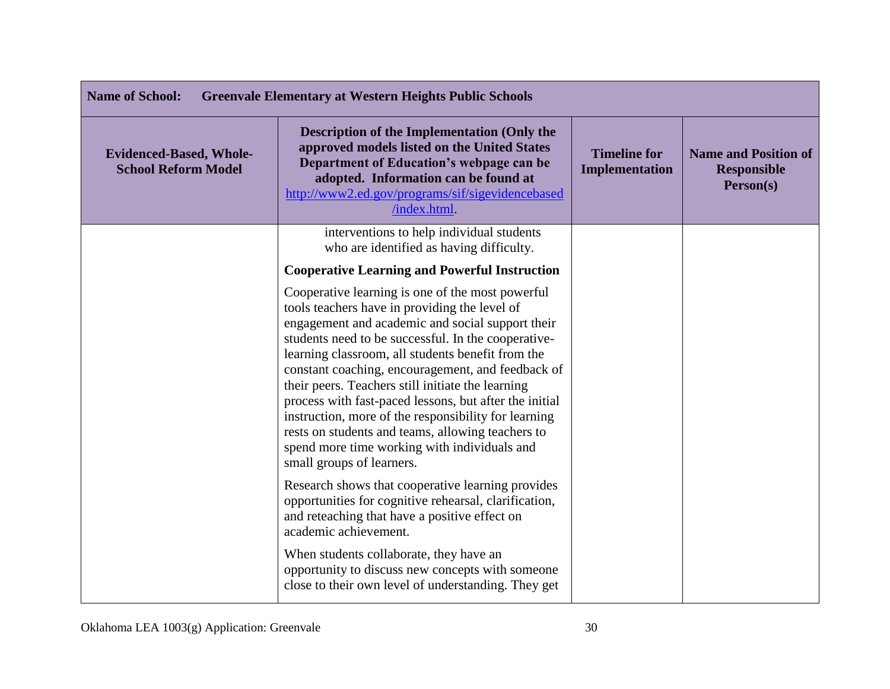| <b>Name of School:</b><br><b>Greenvale Elementary at Western Heights Public Schools</b> |                                                                                                                                                                                                                                                                                                                                                                                                                                                                                                                                                                                                                                 |                                       |                                                                |
|-----------------------------------------------------------------------------------------|---------------------------------------------------------------------------------------------------------------------------------------------------------------------------------------------------------------------------------------------------------------------------------------------------------------------------------------------------------------------------------------------------------------------------------------------------------------------------------------------------------------------------------------------------------------------------------------------------------------------------------|---------------------------------------|----------------------------------------------------------------|
| <b>Evidenced-Based, Whole-</b><br><b>School Reform Model</b>                            | <b>Description of the Implementation (Only the</b><br>approved models listed on the United States<br>Department of Education's webpage can be<br>adopted. Information can be found at<br>http://www2.ed.gov/programs/sif/sigevidencebased<br>/index.html.                                                                                                                                                                                                                                                                                                                                                                       | <b>Timeline for</b><br>Implementation | <b>Name and Position of</b><br><b>Responsible</b><br>Person(s) |
|                                                                                         | interventions to help individual students<br>who are identified as having difficulty.                                                                                                                                                                                                                                                                                                                                                                                                                                                                                                                                           |                                       |                                                                |
|                                                                                         | <b>Cooperative Learning and Powerful Instruction</b>                                                                                                                                                                                                                                                                                                                                                                                                                                                                                                                                                                            |                                       |                                                                |
|                                                                                         | Cooperative learning is one of the most powerful<br>tools teachers have in providing the level of<br>engagement and academic and social support their<br>students need to be successful. In the cooperative-<br>learning classroom, all students benefit from the<br>constant coaching, encouragement, and feedback of<br>their peers. Teachers still initiate the learning<br>process with fast-paced lessons, but after the initial<br>instruction, more of the responsibility for learning<br>rests on students and teams, allowing teachers to<br>spend more time working with individuals and<br>small groups of learners. |                                       |                                                                |
|                                                                                         | Research shows that cooperative learning provides<br>opportunities for cognitive rehearsal, clarification,<br>and reteaching that have a positive effect on<br>academic achievement.                                                                                                                                                                                                                                                                                                                                                                                                                                            |                                       |                                                                |
|                                                                                         | When students collaborate, they have an<br>opportunity to discuss new concepts with someone<br>close to their own level of understanding. They get                                                                                                                                                                                                                                                                                                                                                                                                                                                                              |                                       |                                                                |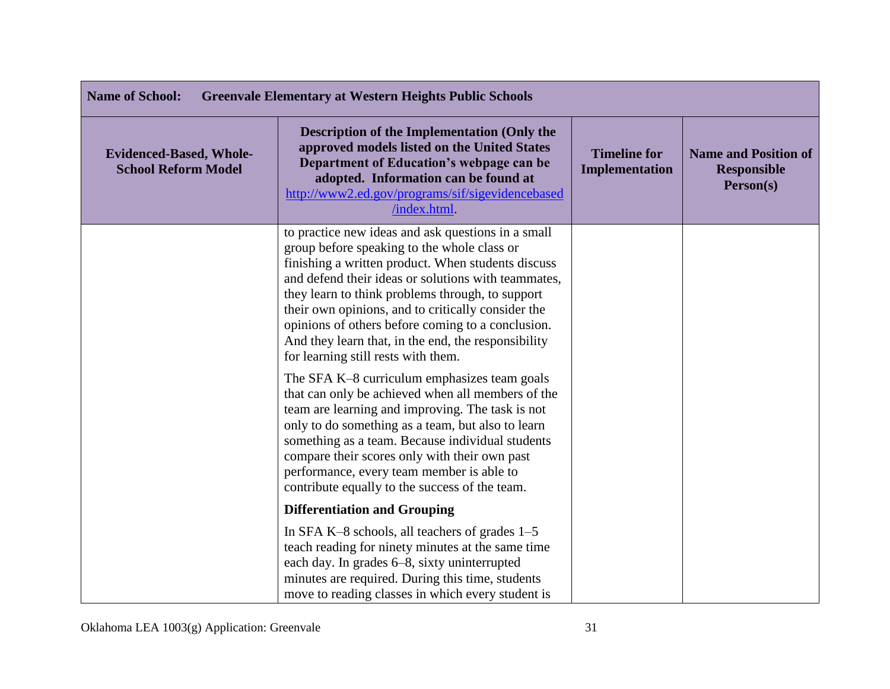| <b>Name of School:</b><br><b>Greenvale Elementary at Western Heights Public Schools</b> |                                                                                                                                                                                                                                                                                                                                                                                                                                                                             |                                       |                                                                |
|-----------------------------------------------------------------------------------------|-----------------------------------------------------------------------------------------------------------------------------------------------------------------------------------------------------------------------------------------------------------------------------------------------------------------------------------------------------------------------------------------------------------------------------------------------------------------------------|---------------------------------------|----------------------------------------------------------------|
| <b>Evidenced-Based, Whole-</b><br><b>School Reform Model</b>                            | <b>Description of the Implementation (Only the</b><br>approved models listed on the United States<br>Department of Education's webpage can be<br>adopted. Information can be found at<br>http://www2.ed.gov/programs/sif/sigevidencebased<br>/index.html.                                                                                                                                                                                                                   | <b>Timeline for</b><br>Implementation | <b>Name and Position of</b><br><b>Responsible</b><br>Person(s) |
|                                                                                         | to practice new ideas and ask questions in a small<br>group before speaking to the whole class or<br>finishing a written product. When students discuss<br>and defend their ideas or solutions with teammates,<br>they learn to think problems through, to support<br>their own opinions, and to critically consider the<br>opinions of others before coming to a conclusion.<br>And they learn that, in the end, the responsibility<br>for learning still rests with them. |                                       |                                                                |
|                                                                                         | The SFA K-8 curriculum emphasizes team goals<br>that can only be achieved when all members of the<br>team are learning and improving. The task is not<br>only to do something as a team, but also to learn<br>something as a team. Because individual students<br>compare their scores only with their own past<br>performance, every team member is able to<br>contribute equally to the success of the team.                                                              |                                       |                                                                |
|                                                                                         | <b>Differentiation and Grouping</b>                                                                                                                                                                                                                                                                                                                                                                                                                                         |                                       |                                                                |
|                                                                                         | In SFA K-8 schools, all teachers of grades 1-5<br>teach reading for ninety minutes at the same time<br>each day. In grades 6–8, sixty uninterrupted<br>minutes are required. During this time, students<br>move to reading classes in which every student is                                                                                                                                                                                                                |                                       |                                                                |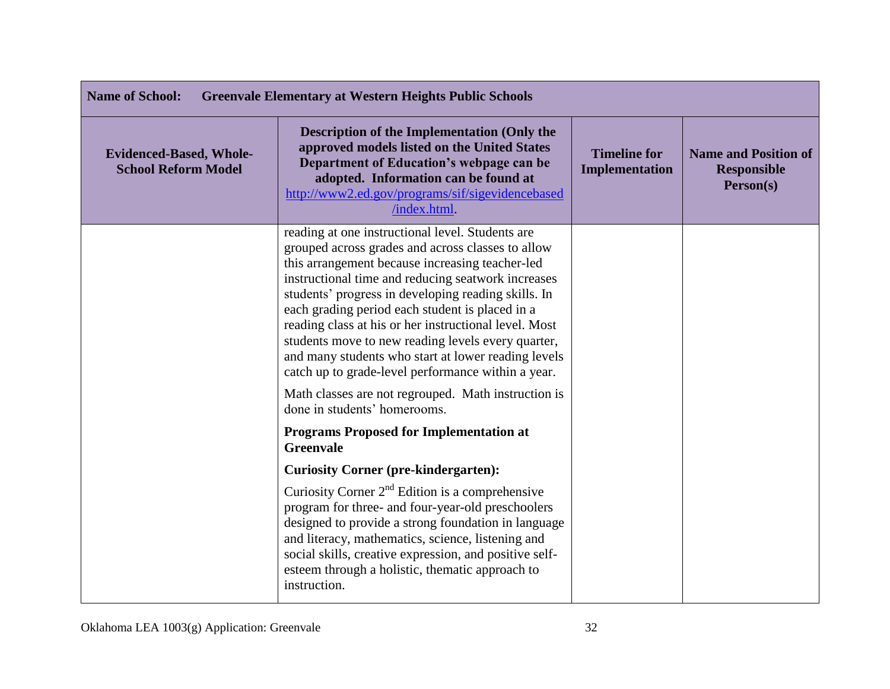| <b>Name of School:</b><br><b>Greenvale Elementary at Western Heights Public Schools</b> |                                                                                                                                                                                                                                                                                                                                                                                                                                                                                                                                                      |                                              |                                                                |
|-----------------------------------------------------------------------------------------|------------------------------------------------------------------------------------------------------------------------------------------------------------------------------------------------------------------------------------------------------------------------------------------------------------------------------------------------------------------------------------------------------------------------------------------------------------------------------------------------------------------------------------------------------|----------------------------------------------|----------------------------------------------------------------|
| <b>Evidenced-Based, Whole-</b><br><b>School Reform Model</b>                            | <b>Description of the Implementation (Only the</b><br>approved models listed on the United States<br>Department of Education's webpage can be<br>adopted. Information can be found at<br>http://www2.ed.gov/programs/sif/sigevidencebased<br>/index.html.                                                                                                                                                                                                                                                                                            | <b>Timeline for</b><br><b>Implementation</b> | <b>Name and Position of</b><br><b>Responsible</b><br>Person(s) |
|                                                                                         | reading at one instructional level. Students are<br>grouped across grades and across classes to allow<br>this arrangement because increasing teacher-led<br>instructional time and reducing seatwork increases<br>students' progress in developing reading skills. In<br>each grading period each student is placed in a<br>reading class at his or her instructional level. Most<br>students move to new reading levels every quarter,<br>and many students who start at lower reading levels<br>catch up to grade-level performance within a year. |                                              |                                                                |
|                                                                                         | Math classes are not regrouped. Math instruction is<br>done in students' homerooms.                                                                                                                                                                                                                                                                                                                                                                                                                                                                  |                                              |                                                                |
|                                                                                         | <b>Programs Proposed for Implementation at</b><br><b>Greenvale</b>                                                                                                                                                                                                                                                                                                                                                                                                                                                                                   |                                              |                                                                |
|                                                                                         | <b>Curiosity Corner (pre-kindergarten):</b>                                                                                                                                                                                                                                                                                                                                                                                                                                                                                                          |                                              |                                                                |
|                                                                                         | Curiosity Corner $2nd$ Edition is a comprehensive<br>program for three- and four-year-old preschoolers<br>designed to provide a strong foundation in language<br>and literacy, mathematics, science, listening and<br>social skills, creative expression, and positive self-<br>esteem through a holistic, thematic approach to<br>instruction.                                                                                                                                                                                                      |                                              |                                                                |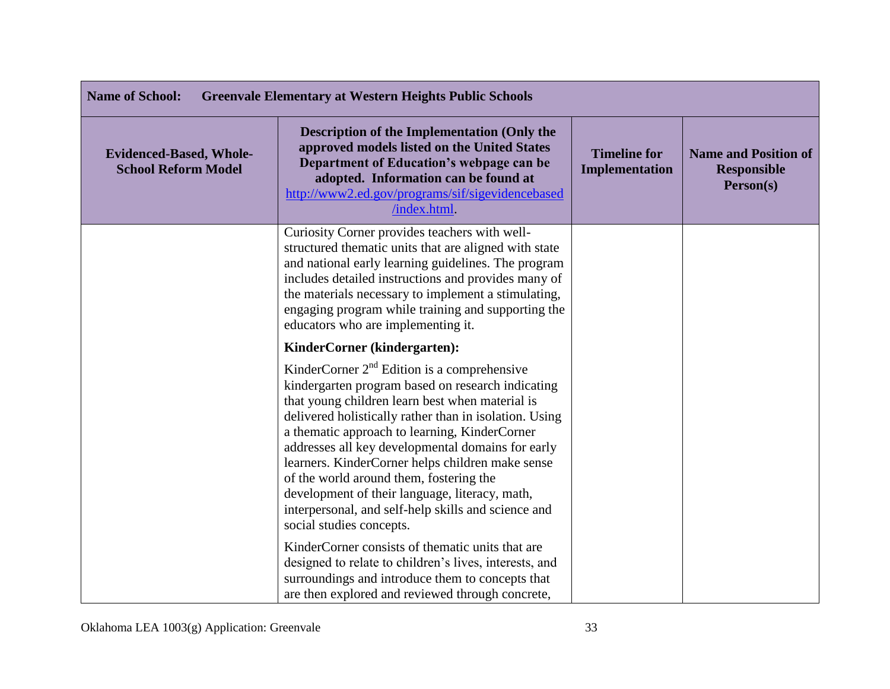| <b>Name of School:</b><br><b>Greenvale Elementary at Western Heights Public Schools</b> |                                                                                                                                                                                                                                                                                                                                                                                                                                                                                                                                                           |                                              |                                                                |
|-----------------------------------------------------------------------------------------|-----------------------------------------------------------------------------------------------------------------------------------------------------------------------------------------------------------------------------------------------------------------------------------------------------------------------------------------------------------------------------------------------------------------------------------------------------------------------------------------------------------------------------------------------------------|----------------------------------------------|----------------------------------------------------------------|
| <b>Evidenced-Based, Whole-</b><br><b>School Reform Model</b>                            | Description of the Implementation (Only the<br>approved models listed on the United States<br>Department of Education's webpage can be<br>adopted. Information can be found at<br>http://www2.ed.gov/programs/sif/sigevidencebased<br>/index.html.                                                                                                                                                                                                                                                                                                        | <b>Timeline for</b><br><b>Implementation</b> | <b>Name and Position of</b><br><b>Responsible</b><br>Person(s) |
|                                                                                         | Curiosity Corner provides teachers with well-<br>structured thematic units that are aligned with state<br>and national early learning guidelines. The program<br>includes detailed instructions and provides many of<br>the materials necessary to implement a stimulating,<br>engaging program while training and supporting the<br>educators who are implementing it.                                                                                                                                                                                   |                                              |                                                                |
|                                                                                         | KinderCorner (kindergarten):                                                                                                                                                                                                                                                                                                                                                                                                                                                                                                                              |                                              |                                                                |
|                                                                                         | KinderCorner $2nd$ Edition is a comprehensive<br>kindergarten program based on research indicating<br>that young children learn best when material is<br>delivered holistically rather than in isolation. Using<br>a thematic approach to learning, KinderCorner<br>addresses all key developmental domains for early<br>learners. KinderCorner helps children make sense<br>of the world around them, fostering the<br>development of their language, literacy, math,<br>interpersonal, and self-help skills and science and<br>social studies concepts. |                                              |                                                                |
|                                                                                         | KinderCorner consists of thematic units that are<br>designed to relate to children's lives, interests, and<br>surroundings and introduce them to concepts that<br>are then explored and reviewed through concrete,                                                                                                                                                                                                                                                                                                                                        |                                              |                                                                |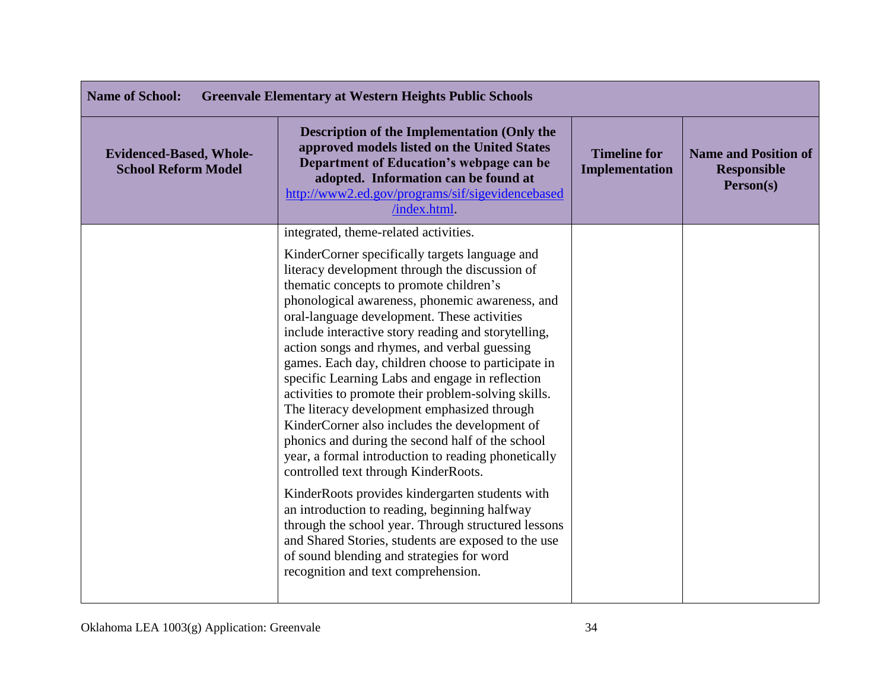| <b>Name of School:</b><br><b>Greenvale Elementary at Western Heights Public Schools</b> |                                                                                                                                                                                                                                                                                                                                                                                                                                                                                                                                                                                                                                                                                                                                                                                                                                                                                                                                                                                                                                                                                                                        |                                       |                                                                |
|-----------------------------------------------------------------------------------------|------------------------------------------------------------------------------------------------------------------------------------------------------------------------------------------------------------------------------------------------------------------------------------------------------------------------------------------------------------------------------------------------------------------------------------------------------------------------------------------------------------------------------------------------------------------------------------------------------------------------------------------------------------------------------------------------------------------------------------------------------------------------------------------------------------------------------------------------------------------------------------------------------------------------------------------------------------------------------------------------------------------------------------------------------------------------------------------------------------------------|---------------------------------------|----------------------------------------------------------------|
| <b>Evidenced-Based, Whole-</b><br><b>School Reform Model</b>                            | <b>Description of the Implementation (Only the</b><br>approved models listed on the United States<br>Department of Education's webpage can be<br>adopted. Information can be found at<br>http://www2.ed.gov/programs/sif/sigevidencebased<br>/index.html.                                                                                                                                                                                                                                                                                                                                                                                                                                                                                                                                                                                                                                                                                                                                                                                                                                                              | <b>Timeline for</b><br>Implementation | <b>Name and Position of</b><br><b>Responsible</b><br>Person(s) |
|                                                                                         | integrated, theme-related activities.<br>KinderCorner specifically targets language and<br>literacy development through the discussion of<br>thematic concepts to promote children's<br>phonological awareness, phonemic awareness, and<br>oral-language development. These activities<br>include interactive story reading and storytelling,<br>action songs and rhymes, and verbal guessing<br>games. Each day, children choose to participate in<br>specific Learning Labs and engage in reflection<br>activities to promote their problem-solving skills.<br>The literacy development emphasized through<br>KinderCorner also includes the development of<br>phonics and during the second half of the school<br>year, a formal introduction to reading phonetically<br>controlled text through KinderRoots.<br>KinderRoots provides kindergarten students with<br>an introduction to reading, beginning halfway<br>through the school year. Through structured lessons<br>and Shared Stories, students are exposed to the use<br>of sound blending and strategies for word<br>recognition and text comprehension. |                                       |                                                                |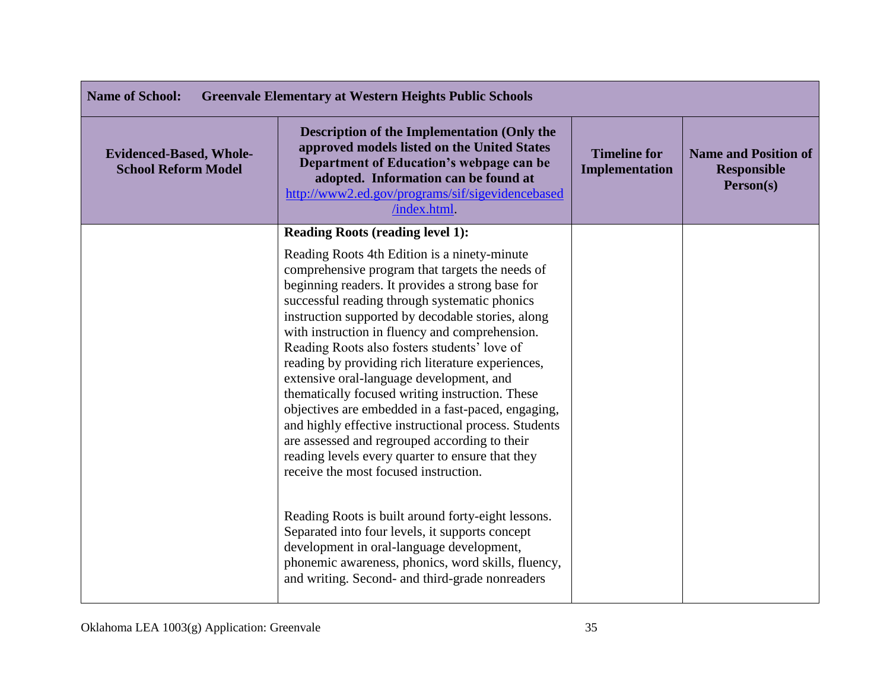| <b>Name of School:</b><br><b>Greenvale Elementary at Western Heights Public Schools</b> |                                                                                                                                                                                                                                                                                                                                                                                                                                                                                                                                                                                                                                                                                                                                                                                                                                                                                                                                                                                                                                            |                                       |                                                                |
|-----------------------------------------------------------------------------------------|--------------------------------------------------------------------------------------------------------------------------------------------------------------------------------------------------------------------------------------------------------------------------------------------------------------------------------------------------------------------------------------------------------------------------------------------------------------------------------------------------------------------------------------------------------------------------------------------------------------------------------------------------------------------------------------------------------------------------------------------------------------------------------------------------------------------------------------------------------------------------------------------------------------------------------------------------------------------------------------------------------------------------------------------|---------------------------------------|----------------------------------------------------------------|
| <b>Evidenced-Based, Whole-</b><br><b>School Reform Model</b>                            | Description of the Implementation (Only the<br>approved models listed on the United States<br>Department of Education's webpage can be<br>adopted. Information can be found at<br>http://www2.ed.gov/programs/sif/sigevidencebased<br>/index.html.                                                                                                                                                                                                                                                                                                                                                                                                                                                                                                                                                                                                                                                                                                                                                                                         | <b>Timeline for</b><br>Implementation | <b>Name and Position of</b><br><b>Responsible</b><br>Person(s) |
|                                                                                         | <b>Reading Roots (reading level 1):</b>                                                                                                                                                                                                                                                                                                                                                                                                                                                                                                                                                                                                                                                                                                                                                                                                                                                                                                                                                                                                    |                                       |                                                                |
|                                                                                         | Reading Roots 4th Edition is a ninety-minute<br>comprehensive program that targets the needs of<br>beginning readers. It provides a strong base for<br>successful reading through systematic phonics<br>instruction supported by decodable stories, along<br>with instruction in fluency and comprehension.<br>Reading Roots also fosters students' love of<br>reading by providing rich literature experiences,<br>extensive oral-language development, and<br>thematically focused writing instruction. These<br>objectives are embedded in a fast-paced, engaging,<br>and highly effective instructional process. Students<br>are assessed and regrouped according to their<br>reading levels every quarter to ensure that they<br>receive the most focused instruction.<br>Reading Roots is built around forty-eight lessons.<br>Separated into four levels, it supports concept<br>development in oral-language development,<br>phonemic awareness, phonics, word skills, fluency,<br>and writing. Second- and third-grade nonreaders |                                       |                                                                |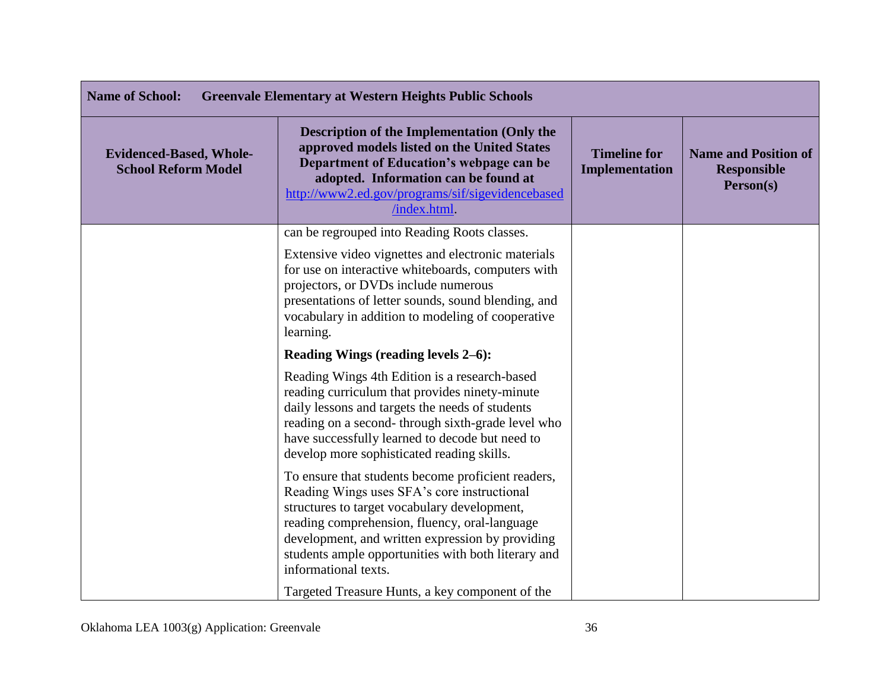| <b>Name of School:</b><br><b>Greenvale Elementary at Western Heights Public Schools</b> |                                                                                                                                                                                                                                                                                                                                       |                                              |                                                                |
|-----------------------------------------------------------------------------------------|---------------------------------------------------------------------------------------------------------------------------------------------------------------------------------------------------------------------------------------------------------------------------------------------------------------------------------------|----------------------------------------------|----------------------------------------------------------------|
| <b>Evidenced-Based, Whole-</b><br><b>School Reform Model</b>                            | <b>Description of the Implementation (Only the</b><br>approved models listed on the United States<br>Department of Education's webpage can be<br>adopted. Information can be found at<br>http://www2.ed.gov/programs/sif/sigevidencebased<br>/index.html.                                                                             | <b>Timeline for</b><br><b>Implementation</b> | <b>Name and Position of</b><br><b>Responsible</b><br>Person(s) |
|                                                                                         | can be regrouped into Reading Roots classes.<br>Extensive video vignettes and electronic materials<br>for use on interactive whiteboards, computers with                                                                                                                                                                              |                                              |                                                                |
|                                                                                         | projectors, or DVDs include numerous<br>presentations of letter sounds, sound blending, and<br>vocabulary in addition to modeling of cooperative<br>learning.                                                                                                                                                                         |                                              |                                                                |
|                                                                                         | Reading Wings (reading levels 2–6):                                                                                                                                                                                                                                                                                                   |                                              |                                                                |
|                                                                                         | Reading Wings 4th Edition is a research-based<br>reading curriculum that provides ninety-minute<br>daily lessons and targets the needs of students<br>reading on a second-through sixth-grade level who<br>have successfully learned to decode but need to<br>develop more sophisticated reading skills.                              |                                              |                                                                |
|                                                                                         | To ensure that students become proficient readers,<br>Reading Wings uses SFA's core instructional<br>structures to target vocabulary development,<br>reading comprehension, fluency, oral-language<br>development, and written expression by providing<br>students ample opportunities with both literary and<br>informational texts. |                                              |                                                                |
|                                                                                         | Targeted Treasure Hunts, a key component of the                                                                                                                                                                                                                                                                                       |                                              |                                                                |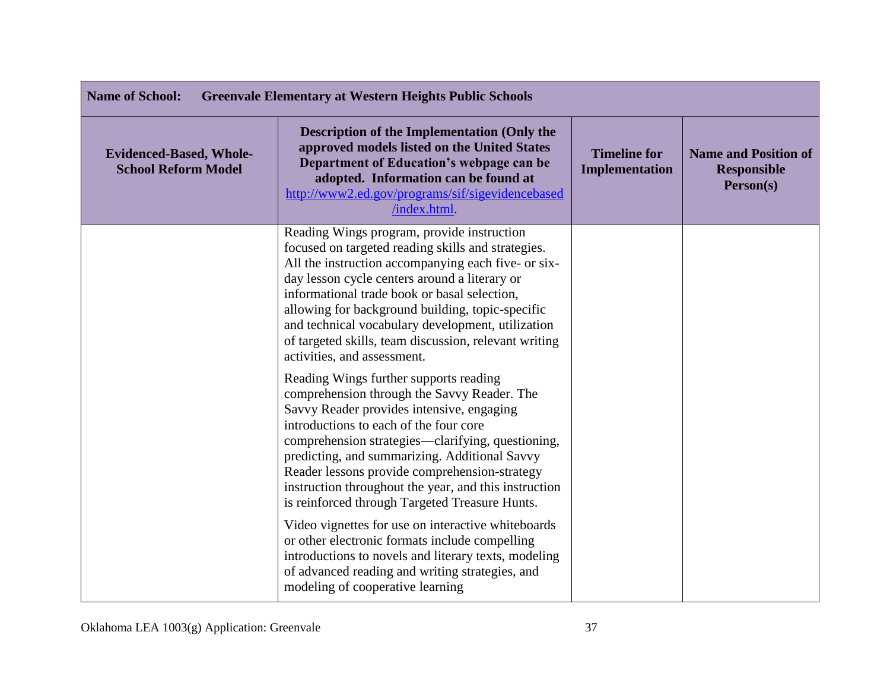| <b>Name of School:</b><br><b>Greenvale Elementary at Western Heights Public Schools</b> |                                                                                                                                                                                                                                                                                                                                                                                                                                                           |                                       |                                                                |
|-----------------------------------------------------------------------------------------|-----------------------------------------------------------------------------------------------------------------------------------------------------------------------------------------------------------------------------------------------------------------------------------------------------------------------------------------------------------------------------------------------------------------------------------------------------------|---------------------------------------|----------------------------------------------------------------|
| <b>Evidenced-Based, Whole-</b><br><b>School Reform Model</b>                            | Description of the Implementation (Only the<br>approved models listed on the United States<br>Department of Education's webpage can be<br>adopted. Information can be found at<br>http://www2.ed.gov/programs/sif/sigevidencebased<br>/index.html.                                                                                                                                                                                                        | <b>Timeline for</b><br>Implementation | <b>Name and Position of</b><br><b>Responsible</b><br>Person(s) |
|                                                                                         | Reading Wings program, provide instruction<br>focused on targeted reading skills and strategies.<br>All the instruction accompanying each five- or six-<br>day lesson cycle centers around a literary or<br>informational trade book or basal selection,<br>allowing for background building, topic-specific<br>and technical vocabulary development, utilization<br>of targeted skills, team discussion, relevant writing<br>activities, and assessment. |                                       |                                                                |
|                                                                                         | Reading Wings further supports reading<br>comprehension through the Savvy Reader. The<br>Savvy Reader provides intensive, engaging<br>introductions to each of the four core<br>comprehension strategies—clarifying, questioning,<br>predicting, and summarizing. Additional Savvy<br>Reader lessons provide comprehension-strategy<br>instruction throughout the year, and this instruction<br>is reinforced through Targeted Treasure Hunts.            |                                       |                                                                |
|                                                                                         | Video vignettes for use on interactive whiteboards<br>or other electronic formats include compelling<br>introductions to novels and literary texts, modeling<br>of advanced reading and writing strategies, and<br>modeling of cooperative learning                                                                                                                                                                                                       |                                       |                                                                |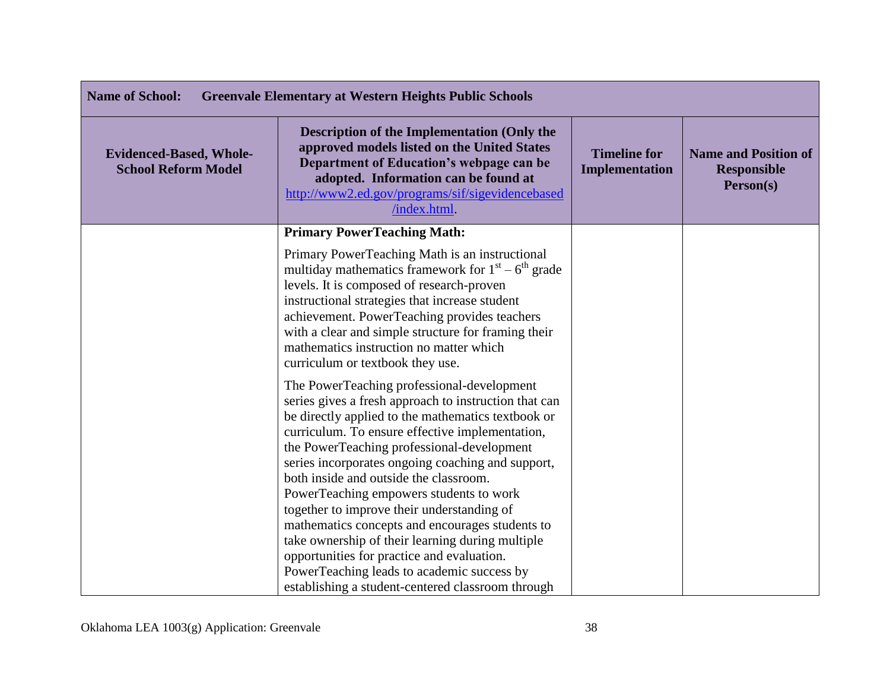| <b>Name of School:</b><br><b>Greenvale Elementary at Western Heights Public Schools</b> |                                                                                                                                                                                                                                                                                                                                                                                                                                                                                                                                                                                                                                                                                                            |                                              |                                                                |
|-----------------------------------------------------------------------------------------|------------------------------------------------------------------------------------------------------------------------------------------------------------------------------------------------------------------------------------------------------------------------------------------------------------------------------------------------------------------------------------------------------------------------------------------------------------------------------------------------------------------------------------------------------------------------------------------------------------------------------------------------------------------------------------------------------------|----------------------------------------------|----------------------------------------------------------------|
| <b>Evidenced-Based, Whole-</b><br><b>School Reform Model</b>                            | <b>Description of the Implementation (Only the</b><br>approved models listed on the United States<br>Department of Education's webpage can be<br>adopted. Information can be found at<br>http://www2.ed.gov/programs/sif/sigevidencebased<br>/index.html                                                                                                                                                                                                                                                                                                                                                                                                                                                   | <b>Timeline for</b><br><b>Implementation</b> | <b>Name and Position of</b><br><b>Responsible</b><br>Person(s) |
|                                                                                         | <b>Primary PowerTeaching Math:</b>                                                                                                                                                                                                                                                                                                                                                                                                                                                                                                                                                                                                                                                                         |                                              |                                                                |
|                                                                                         | Primary PowerTeaching Math is an instructional<br>multiday mathematics framework for $1st - 6th$ grade<br>levels. It is composed of research-proven<br>instructional strategies that increase student<br>achievement. PowerTeaching provides teachers<br>with a clear and simple structure for framing their<br>mathematics instruction no matter which<br>curriculum or textbook they use.                                                                                                                                                                                                                                                                                                                |                                              |                                                                |
|                                                                                         | The PowerTeaching professional-development<br>series gives a fresh approach to instruction that can<br>be directly applied to the mathematics textbook or<br>curriculum. To ensure effective implementation,<br>the PowerTeaching professional-development<br>series incorporates ongoing coaching and support,<br>both inside and outside the classroom.<br>PowerTeaching empowers students to work<br>together to improve their understanding of<br>mathematics concepts and encourages students to<br>take ownership of their learning during multiple<br>opportunities for practice and evaluation.<br>PowerTeaching leads to academic success by<br>establishing a student-centered classroom through |                                              |                                                                |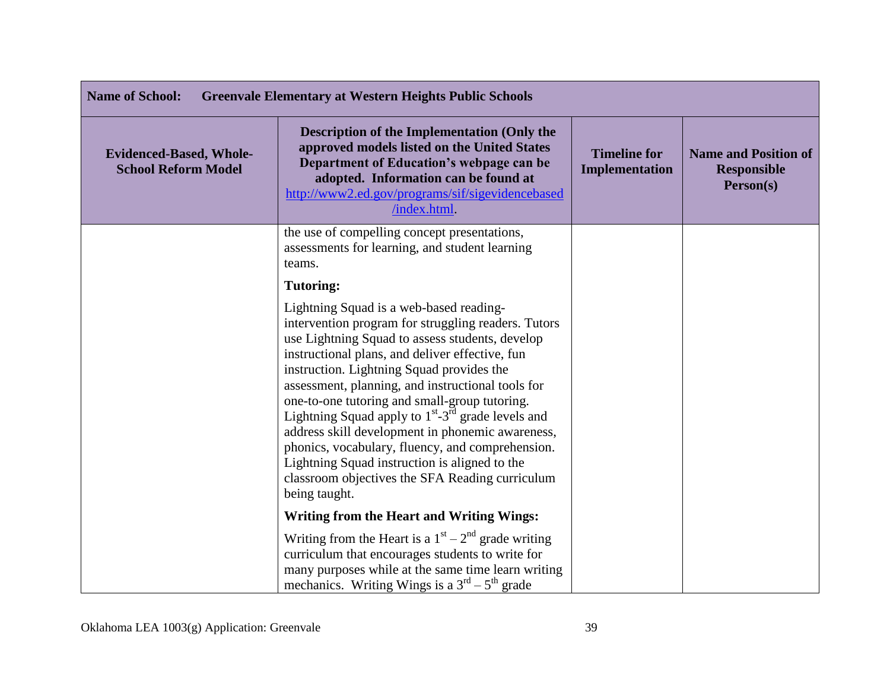| <b>Name of School:</b><br><b>Greenvale Elementary at Western Heights Public Schools</b> |                                                                                                                                                                                                                                                                                                                                                                                                                                                                                                                                                                                                                                               |                                              |                                                                |
|-----------------------------------------------------------------------------------------|-----------------------------------------------------------------------------------------------------------------------------------------------------------------------------------------------------------------------------------------------------------------------------------------------------------------------------------------------------------------------------------------------------------------------------------------------------------------------------------------------------------------------------------------------------------------------------------------------------------------------------------------------|----------------------------------------------|----------------------------------------------------------------|
| <b>Evidenced-Based, Whole-</b><br><b>School Reform Model</b>                            | <b>Description of the Implementation (Only the</b><br>approved models listed on the United States<br>Department of Education's webpage can be<br>adopted. Information can be found at<br>http://www2.ed.gov/programs/sif/sigevidencebased<br>/index.html                                                                                                                                                                                                                                                                                                                                                                                      | <b>Timeline for</b><br><b>Implementation</b> | <b>Name and Position of</b><br><b>Responsible</b><br>Person(s) |
|                                                                                         | the use of compelling concept presentations,<br>assessments for learning, and student learning<br>teams.                                                                                                                                                                                                                                                                                                                                                                                                                                                                                                                                      |                                              |                                                                |
|                                                                                         | <b>Tutoring:</b>                                                                                                                                                                                                                                                                                                                                                                                                                                                                                                                                                                                                                              |                                              |                                                                |
|                                                                                         | Lightning Squad is a web-based reading-<br>intervention program for struggling readers. Tutors<br>use Lightning Squad to assess students, develop<br>instructional plans, and deliver effective, fun<br>instruction. Lightning Squad provides the<br>assessment, planning, and instructional tools for<br>one-to-one tutoring and small-group tutoring.<br>Lightning Squad apply to $1st - 3rd$ grade levels and<br>address skill development in phonemic awareness,<br>phonics, vocabulary, fluency, and comprehension.<br>Lightning Squad instruction is aligned to the<br>classroom objectives the SFA Reading curriculum<br>being taught. |                                              |                                                                |
|                                                                                         | <b>Writing from the Heart and Writing Wings:</b>                                                                                                                                                                                                                                                                                                                                                                                                                                                                                                                                                                                              |                                              |                                                                |
|                                                                                         | Writing from the Heart is a $1st - 2nd$ grade writing<br>curriculum that encourages students to write for<br>many purposes while at the same time learn writing<br>mechanics. Writing Wings is a $3rd - 5th$ grade                                                                                                                                                                                                                                                                                                                                                                                                                            |                                              |                                                                |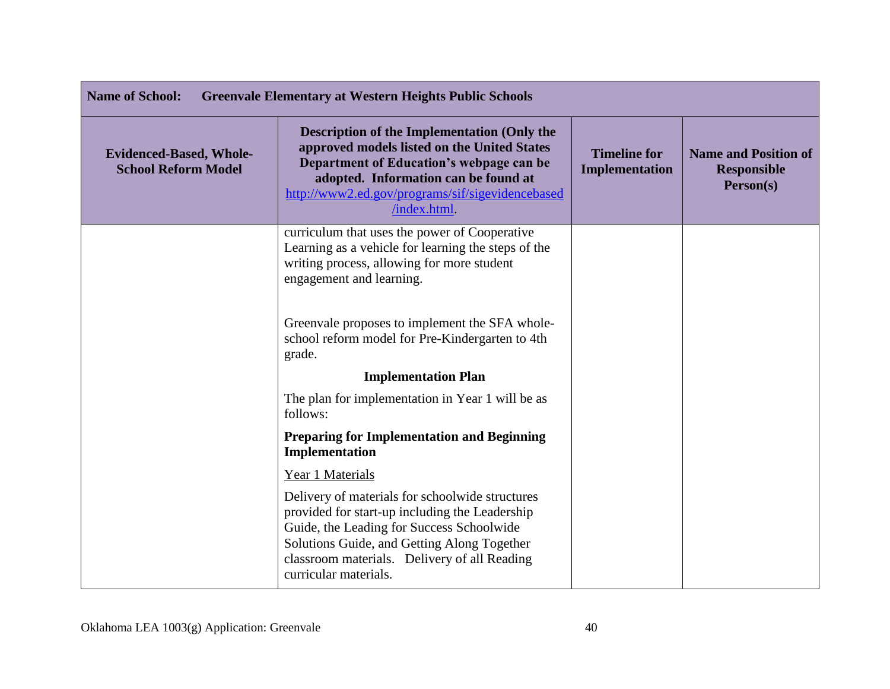| <b>Name of School:</b><br><b>Greenvale Elementary at Western Heights Public Schools</b> |                                                                                                                                                                                                                                                                        |                                              |                                                                |
|-----------------------------------------------------------------------------------------|------------------------------------------------------------------------------------------------------------------------------------------------------------------------------------------------------------------------------------------------------------------------|----------------------------------------------|----------------------------------------------------------------|
| <b>Evidenced-Based, Whole-</b><br><b>School Reform Model</b>                            | <b>Description of the Implementation (Only the</b><br>approved models listed on the United States<br>Department of Education's webpage can be<br>adopted. Information can be found at<br>http://www2.ed.gov/programs/sif/sigevidencebased<br>/index.html.              | <b>Timeline for</b><br><b>Implementation</b> | <b>Name and Position of</b><br><b>Responsible</b><br>Person(s) |
|                                                                                         | curriculum that uses the power of Cooperative<br>Learning as a vehicle for learning the steps of the<br>writing process, allowing for more student<br>engagement and learning.                                                                                         |                                              |                                                                |
|                                                                                         | Greenvale proposes to implement the SFA whole-<br>school reform model for Pre-Kindergarten to 4th<br>grade.                                                                                                                                                            |                                              |                                                                |
|                                                                                         | <b>Implementation Plan</b>                                                                                                                                                                                                                                             |                                              |                                                                |
|                                                                                         | The plan for implementation in Year 1 will be as<br>follows:                                                                                                                                                                                                           |                                              |                                                                |
|                                                                                         | <b>Preparing for Implementation and Beginning</b><br>Implementation                                                                                                                                                                                                    |                                              |                                                                |
|                                                                                         | Year 1 Materials                                                                                                                                                                                                                                                       |                                              |                                                                |
|                                                                                         | Delivery of materials for schoolwide structures<br>provided for start-up including the Leadership<br>Guide, the Leading for Success Schoolwide<br>Solutions Guide, and Getting Along Together<br>classroom materials. Delivery of all Reading<br>curricular materials. |                                              |                                                                |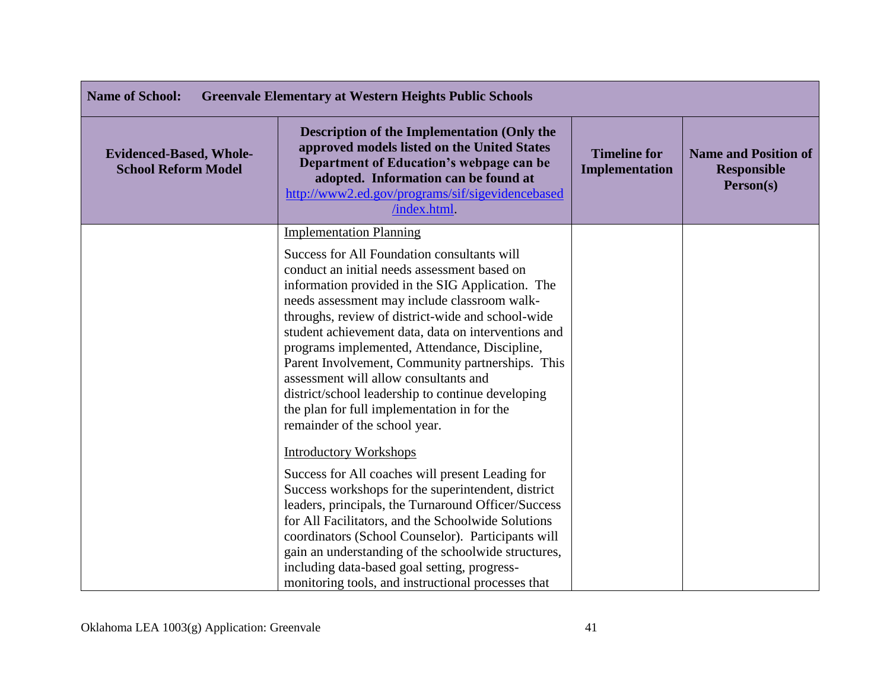| <b>Name of School:</b><br><b>Greenvale Elementary at Western Heights Public Schools</b> |                                                                                                                                                                                                                                                                                                                                                                                                                                                                                                                                                                                                                                                                                                                                                                                                                                                                                                                                                                                                       |                                              |                                                                |
|-----------------------------------------------------------------------------------------|-------------------------------------------------------------------------------------------------------------------------------------------------------------------------------------------------------------------------------------------------------------------------------------------------------------------------------------------------------------------------------------------------------------------------------------------------------------------------------------------------------------------------------------------------------------------------------------------------------------------------------------------------------------------------------------------------------------------------------------------------------------------------------------------------------------------------------------------------------------------------------------------------------------------------------------------------------------------------------------------------------|----------------------------------------------|----------------------------------------------------------------|
| <b>Evidenced-Based, Whole-</b><br><b>School Reform Model</b>                            | <b>Description of the Implementation (Only the</b><br>approved models listed on the United States<br>Department of Education's webpage can be<br>adopted. Information can be found at<br>http://www2.ed.gov/programs/sif/sigevidencebased<br>/index.html                                                                                                                                                                                                                                                                                                                                                                                                                                                                                                                                                                                                                                                                                                                                              | <b>Timeline for</b><br><b>Implementation</b> | <b>Name and Position of</b><br><b>Responsible</b><br>Person(s) |
|                                                                                         | <b>Implementation Planning</b><br>Success for All Foundation consultants will<br>conduct an initial needs assessment based on<br>information provided in the SIG Application. The<br>needs assessment may include classroom walk-<br>throughs, review of district-wide and school-wide<br>student achievement data, data on interventions and<br>programs implemented, Attendance, Discipline,<br>Parent Involvement, Community partnerships. This<br>assessment will allow consultants and<br>district/school leadership to continue developing<br>the plan for full implementation in for the<br>remainder of the school year.<br><b>Introductory Workshops</b><br>Success for All coaches will present Leading for<br>Success workshops for the superintendent, district<br>leaders, principals, the Turnaround Officer/Success<br>for All Facilitators, and the Schoolwide Solutions<br>coordinators (School Counselor). Participants will<br>gain an understanding of the schoolwide structures, |                                              |                                                                |
|                                                                                         | including data-based goal setting, progress-<br>monitoring tools, and instructional processes that                                                                                                                                                                                                                                                                                                                                                                                                                                                                                                                                                                                                                                                                                                                                                                                                                                                                                                    |                                              |                                                                |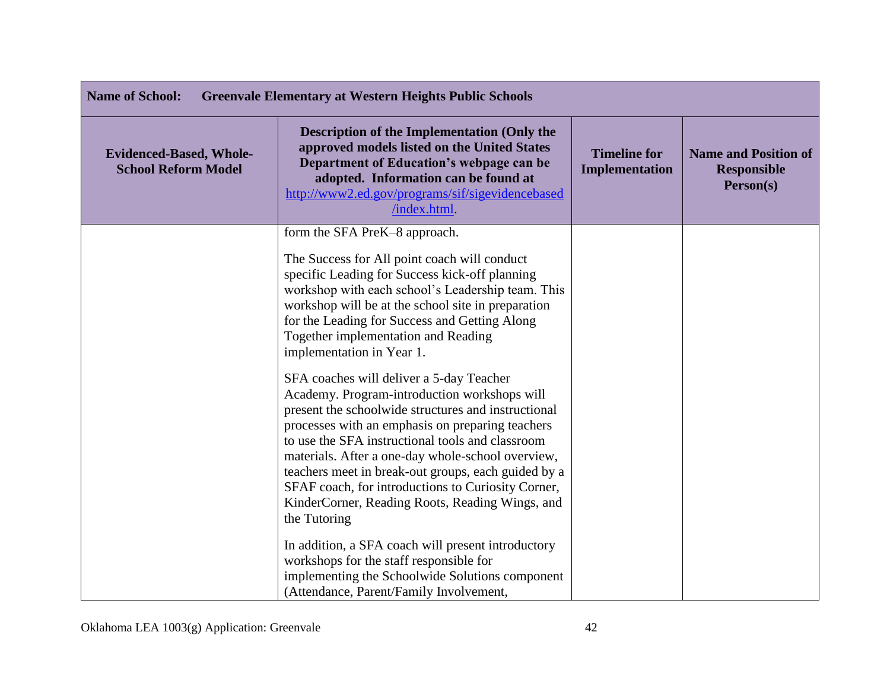| <b>Name of School:</b><br><b>Greenvale Elementary at Western Heights Public Schools</b> |                                                                                                                                                                                                                                                                                                                                                                                                                                                                                              |                                              |                                                                |
|-----------------------------------------------------------------------------------------|----------------------------------------------------------------------------------------------------------------------------------------------------------------------------------------------------------------------------------------------------------------------------------------------------------------------------------------------------------------------------------------------------------------------------------------------------------------------------------------------|----------------------------------------------|----------------------------------------------------------------|
| <b>Evidenced-Based, Whole-</b><br><b>School Reform Model</b>                            | Description of the Implementation (Only the<br>approved models listed on the United States<br>Department of Education's webpage can be<br>adopted. Information can be found at<br>http://www2.ed.gov/programs/sif/sigevidencebased<br>/index.html.                                                                                                                                                                                                                                           | <b>Timeline for</b><br><b>Implementation</b> | <b>Name and Position of</b><br><b>Responsible</b><br>Person(s) |
|                                                                                         | form the SFA PreK-8 approach.<br>The Success for All point coach will conduct<br>specific Leading for Success kick-off planning<br>workshop with each school's Leadership team. This<br>workshop will be at the school site in preparation<br>for the Leading for Success and Getting Along<br>Together implementation and Reading<br>implementation in Year 1.                                                                                                                              |                                              |                                                                |
|                                                                                         | SFA coaches will deliver a 5-day Teacher<br>Academy. Program-introduction workshops will<br>present the schoolwide structures and instructional<br>processes with an emphasis on preparing teachers<br>to use the SFA instructional tools and classroom<br>materials. After a one-day whole-school overview,<br>teachers meet in break-out groups, each guided by a<br>SFAF coach, for introductions to Curiosity Corner,<br>KinderCorner, Reading Roots, Reading Wings, and<br>the Tutoring |                                              |                                                                |
|                                                                                         | In addition, a SFA coach will present introductory<br>workshops for the staff responsible for<br>implementing the Schoolwide Solutions component<br>(Attendance, Parent/Family Involvement,                                                                                                                                                                                                                                                                                                  |                                              |                                                                |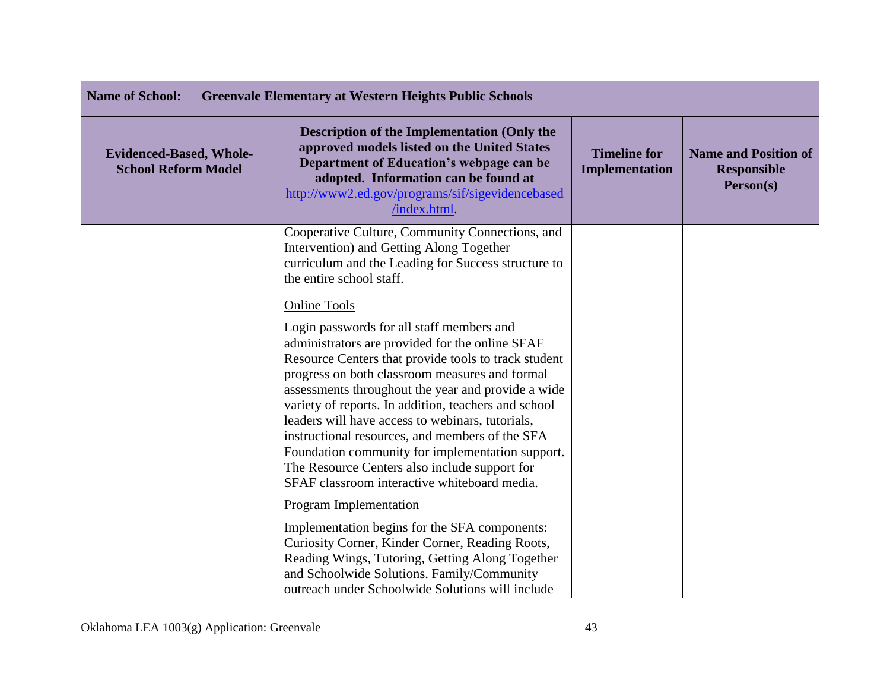| <b>Name of School:</b><br><b>Greenvale Elementary at Western Heights Public Schools</b> |                                                                                                                                                                                                                                                                                                                                                                                                                                                                                                                                                                                                         |                                       |                                                                |
|-----------------------------------------------------------------------------------------|---------------------------------------------------------------------------------------------------------------------------------------------------------------------------------------------------------------------------------------------------------------------------------------------------------------------------------------------------------------------------------------------------------------------------------------------------------------------------------------------------------------------------------------------------------------------------------------------------------|---------------------------------------|----------------------------------------------------------------|
| <b>Evidenced-Based, Whole-</b><br><b>School Reform Model</b>                            | <b>Description of the Implementation (Only the</b><br>approved models listed on the United States<br>Department of Education's webpage can be<br>adopted. Information can be found at<br>http://www2.ed.gov/programs/sif/sigevidencebased<br>/index.html                                                                                                                                                                                                                                                                                                                                                | <b>Timeline for</b><br>Implementation | <b>Name and Position of</b><br><b>Responsible</b><br>Person(s) |
|                                                                                         | Cooperative Culture, Community Connections, and<br>Intervention) and Getting Along Together<br>curriculum and the Leading for Success structure to<br>the entire school staff.                                                                                                                                                                                                                                                                                                                                                                                                                          |                                       |                                                                |
|                                                                                         | <b>Online Tools</b><br>Login passwords for all staff members and<br>administrators are provided for the online SFAF<br>Resource Centers that provide tools to track student<br>progress on both classroom measures and formal<br>assessments throughout the year and provide a wide<br>variety of reports. In addition, teachers and school<br>leaders will have access to webinars, tutorials,<br>instructional resources, and members of the SFA<br>Foundation community for implementation support.<br>The Resource Centers also include support for<br>SFAF classroom interactive whiteboard media. |                                       |                                                                |
|                                                                                         | <b>Program Implementation</b><br>Implementation begins for the SFA components:<br>Curiosity Corner, Kinder Corner, Reading Roots,<br>Reading Wings, Tutoring, Getting Along Together<br>and Schoolwide Solutions. Family/Community<br>outreach under Schoolwide Solutions will include                                                                                                                                                                                                                                                                                                                  |                                       |                                                                |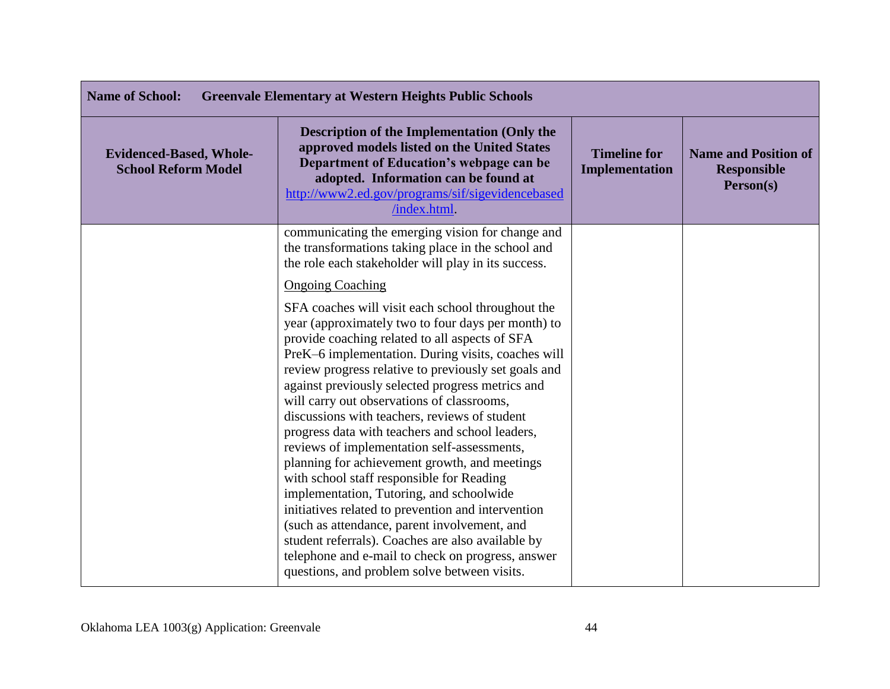| <b>Name of School:</b><br><b>Greenvale Elementary at Western Heights Public Schools</b> |                                                                                                                                                                                                                                                                                                                                                                                                                                                                                                                                                                                                                                                                                                                                                                                                                                                                                                                                        |                                       |                                                                |
|-----------------------------------------------------------------------------------------|----------------------------------------------------------------------------------------------------------------------------------------------------------------------------------------------------------------------------------------------------------------------------------------------------------------------------------------------------------------------------------------------------------------------------------------------------------------------------------------------------------------------------------------------------------------------------------------------------------------------------------------------------------------------------------------------------------------------------------------------------------------------------------------------------------------------------------------------------------------------------------------------------------------------------------------|---------------------------------------|----------------------------------------------------------------|
| <b>Evidenced-Based, Whole-</b><br><b>School Reform Model</b>                            | <b>Description of the Implementation (Only the</b><br>approved models listed on the United States<br>Department of Education's webpage can be<br>adopted. Information can be found at<br>http://www2.ed.gov/programs/sif/sigevidencebased<br>/index.html.                                                                                                                                                                                                                                                                                                                                                                                                                                                                                                                                                                                                                                                                              | <b>Timeline for</b><br>Implementation | <b>Name and Position of</b><br><b>Responsible</b><br>Person(s) |
|                                                                                         | communicating the emerging vision for change and<br>the transformations taking place in the school and<br>the role each stakeholder will play in its success.                                                                                                                                                                                                                                                                                                                                                                                                                                                                                                                                                                                                                                                                                                                                                                          |                                       |                                                                |
|                                                                                         | <b>Ongoing Coaching</b>                                                                                                                                                                                                                                                                                                                                                                                                                                                                                                                                                                                                                                                                                                                                                                                                                                                                                                                |                                       |                                                                |
|                                                                                         | SFA coaches will visit each school throughout the<br>year (approximately two to four days per month) to<br>provide coaching related to all aspects of SFA<br>PreK-6 implementation. During visits, coaches will<br>review progress relative to previously set goals and<br>against previously selected progress metrics and<br>will carry out observations of classrooms,<br>discussions with teachers, reviews of student<br>progress data with teachers and school leaders,<br>reviews of implementation self-assessments,<br>planning for achievement growth, and meetings<br>with school staff responsible for Reading<br>implementation, Tutoring, and schoolwide<br>initiatives related to prevention and intervention<br>(such as attendance, parent involvement, and<br>student referrals). Coaches are also available by<br>telephone and e-mail to check on progress, answer<br>questions, and problem solve between visits. |                                       |                                                                |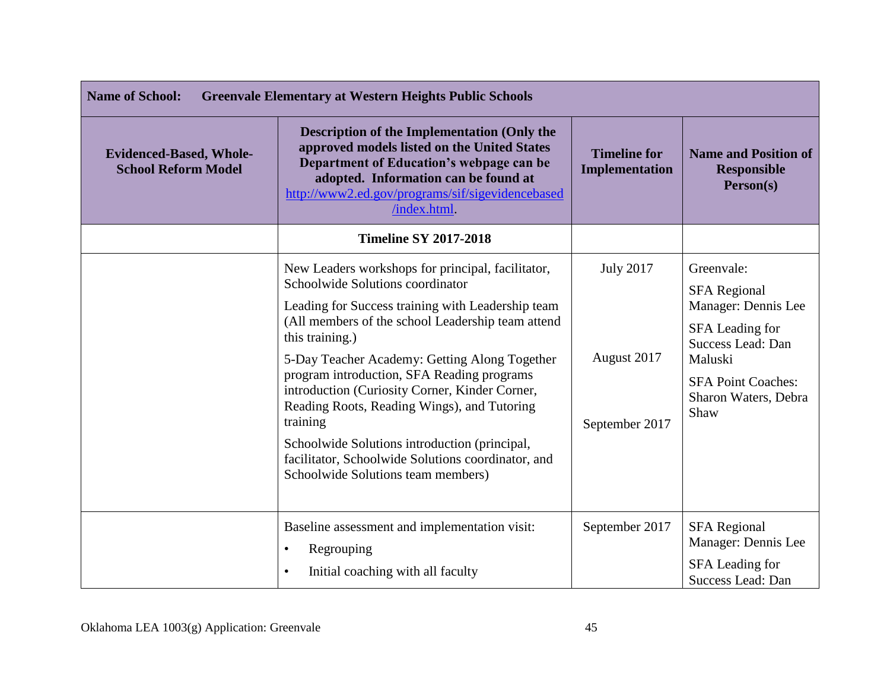| <b>Name of School:</b><br><b>Greenvale Elementary at Western Heights Public Schools</b> |                                                                                                                                                                                                                                                                                                                                                                                                                                                                                                                                                                             |                                                   |                                                                                                                                                                          |
|-----------------------------------------------------------------------------------------|-----------------------------------------------------------------------------------------------------------------------------------------------------------------------------------------------------------------------------------------------------------------------------------------------------------------------------------------------------------------------------------------------------------------------------------------------------------------------------------------------------------------------------------------------------------------------------|---------------------------------------------------|--------------------------------------------------------------------------------------------------------------------------------------------------------------------------|
| <b>Evidenced-Based, Whole-</b><br><b>School Reform Model</b>                            | <b>Description of the Implementation (Only the</b><br>approved models listed on the United States<br>Department of Education's webpage can be<br>adopted. Information can be found at<br>http://www2.ed.gov/programs/sif/sigevidencebased<br>/index.html.                                                                                                                                                                                                                                                                                                                   | <b>Timeline for</b><br>Implementation             | <b>Name and Position of</b><br><b>Responsible</b><br>Person(s)                                                                                                           |
|                                                                                         | <b>Timeline SY 2017-2018</b>                                                                                                                                                                                                                                                                                                                                                                                                                                                                                                                                                |                                                   |                                                                                                                                                                          |
|                                                                                         | New Leaders workshops for principal, facilitator,<br>Schoolwide Solutions coordinator<br>Leading for Success training with Leadership team<br>(All members of the school Leadership team attend<br>this training.)<br>5-Day Teacher Academy: Getting Along Together<br>program introduction, SFA Reading programs<br>introduction (Curiosity Corner, Kinder Corner,<br>Reading Roots, Reading Wings), and Tutoring<br>training<br>Schoolwide Solutions introduction (principal,<br>facilitator, Schoolwide Solutions coordinator, and<br>Schoolwide Solutions team members) | <b>July 2017</b><br>August 2017<br>September 2017 | Greenvale:<br><b>SFA Regional</b><br>Manager: Dennis Lee<br>SFA Leading for<br>Success Lead: Dan<br>Maluski<br><b>SFA Point Coaches:</b><br>Sharon Waters, Debra<br>Shaw |
|                                                                                         | Baseline assessment and implementation visit:<br>Regrouping<br>$\bullet$<br>Initial coaching with all faculty<br>$\bullet$                                                                                                                                                                                                                                                                                                                                                                                                                                                  | September 2017                                    | <b>SFA Regional</b><br>Manager: Dennis Lee<br>SFA Leading for<br>Success Lead: Dan                                                                                       |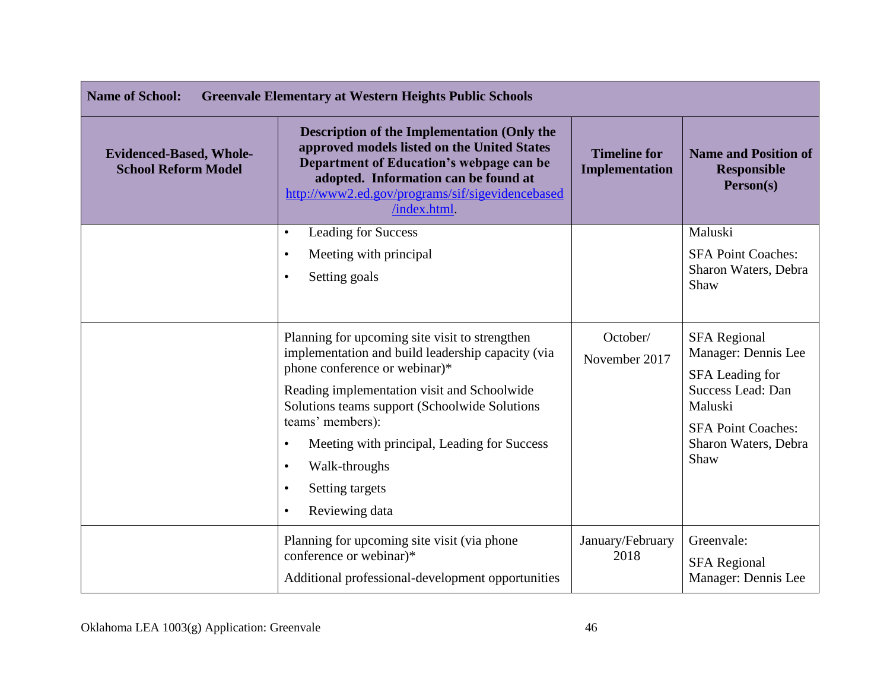| <b>Name of School:</b><br><b>Greenvale Elementary at Western Heights Public Schools</b> |                                                                                                                                                                                                                                                          |                                              |                                                                |
|-----------------------------------------------------------------------------------------|----------------------------------------------------------------------------------------------------------------------------------------------------------------------------------------------------------------------------------------------------------|----------------------------------------------|----------------------------------------------------------------|
| <b>Evidenced-Based, Whole-</b><br><b>School Reform Model</b>                            | <b>Description of the Implementation (Only the</b><br>approved models listed on the United States<br>Department of Education's webpage can be<br>adopted. Information can be found at<br>http://www2.ed.gov/programs/sif/sigevidencebased<br>/index.html | <b>Timeline for</b><br><b>Implementation</b> | <b>Name and Position of</b><br><b>Responsible</b><br>Person(s) |
|                                                                                         | <b>Leading for Success</b><br>$\bullet$                                                                                                                                                                                                                  |                                              | Maluski                                                        |
|                                                                                         | Meeting with principal<br>$\bullet$                                                                                                                                                                                                                      |                                              | <b>SFA Point Coaches:</b>                                      |
|                                                                                         | Setting goals<br>$\bullet$                                                                                                                                                                                                                               |                                              | Sharon Waters, Debra<br>Shaw                                   |
|                                                                                         | Planning for upcoming site visit to strengthen                                                                                                                                                                                                           | October/                                     | <b>SFA Regional</b>                                            |
|                                                                                         | implementation and build leadership capacity (via<br>phone conference or webinar)*                                                                                                                                                                       | November 2017                                | Manager: Dennis Lee<br>SFA Leading for                         |
|                                                                                         | Reading implementation visit and Schoolwide<br>Solutions teams support (Schoolwide Solutions                                                                                                                                                             |                                              | Success Lead: Dan<br>Maluski                                   |
|                                                                                         | teams' members):                                                                                                                                                                                                                                         |                                              | <b>SFA Point Coaches:</b>                                      |
|                                                                                         | Meeting with principal, Leading for Success<br>$\bullet$                                                                                                                                                                                                 |                                              | Sharon Waters, Debra<br>Shaw                                   |
|                                                                                         | Walk-throughs<br>$\bullet$                                                                                                                                                                                                                               |                                              |                                                                |
|                                                                                         | Setting targets<br>$\bullet$                                                                                                                                                                                                                             |                                              |                                                                |
|                                                                                         | Reviewing data<br>$\bullet$                                                                                                                                                                                                                              |                                              |                                                                |
|                                                                                         | Planning for upcoming site visit (via phone                                                                                                                                                                                                              | January/February                             | Greenvale:                                                     |
|                                                                                         | conference or webinar)*                                                                                                                                                                                                                                  | 2018                                         | <b>SFA Regional</b>                                            |
|                                                                                         | Additional professional-development opportunities                                                                                                                                                                                                        |                                              | Manager: Dennis Lee                                            |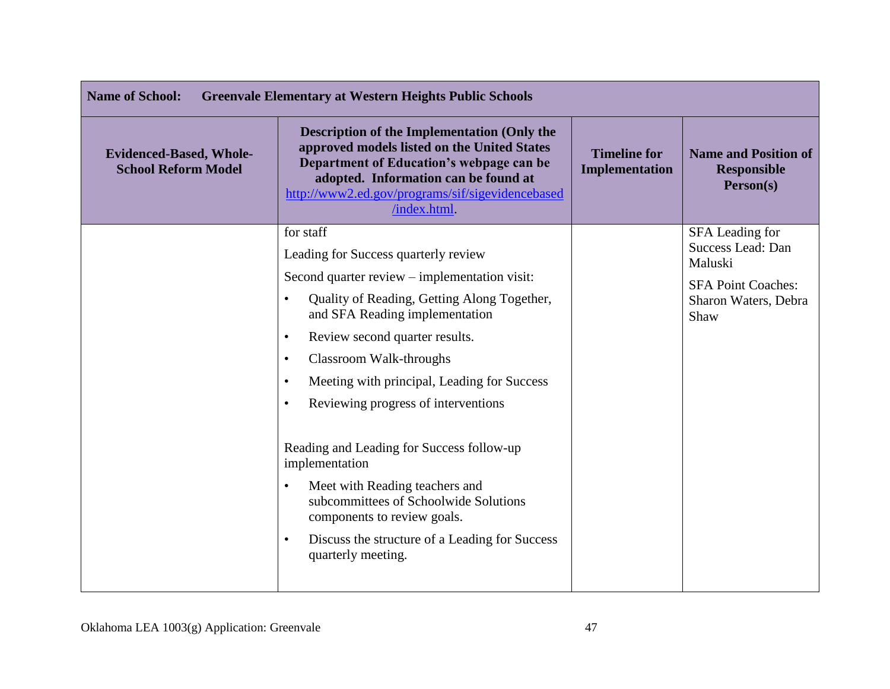| <b>Name of School:</b><br><b>Greenvale Elementary at Western Heights Public Schools</b> |                                                                                                                                                                                                                                                          |                                       |                                                                |
|-----------------------------------------------------------------------------------------|----------------------------------------------------------------------------------------------------------------------------------------------------------------------------------------------------------------------------------------------------------|---------------------------------------|----------------------------------------------------------------|
| <b>Evidenced-Based, Whole-</b><br><b>School Reform Model</b>                            | <b>Description of the Implementation (Only the</b><br>approved models listed on the United States<br>Department of Education's webpage can be<br>adopted. Information can be found at<br>http://www2.ed.gov/programs/sif/sigevidencebased<br>/index.html | <b>Timeline for</b><br>Implementation | <b>Name and Position of</b><br><b>Responsible</b><br>Person(s) |
|                                                                                         | for staff                                                                                                                                                                                                                                                |                                       | SFA Leading for<br>Success Lead: Dan                           |
|                                                                                         | Leading for Success quarterly review                                                                                                                                                                                                                     |                                       | Maluski                                                        |
|                                                                                         | Second quarter review – implementation visit:                                                                                                                                                                                                            |                                       | <b>SFA Point Coaches:</b>                                      |
|                                                                                         | Quality of Reading, Getting Along Together,<br>and SFA Reading implementation                                                                                                                                                                            |                                       | Sharon Waters, Debra<br>Shaw                                   |
|                                                                                         | Review second quarter results.<br>$\bullet$                                                                                                                                                                                                              |                                       |                                                                |
|                                                                                         | Classroom Walk-throughs<br>$\bullet$                                                                                                                                                                                                                     |                                       |                                                                |
|                                                                                         | Meeting with principal, Leading for Success<br>$\bullet$                                                                                                                                                                                                 |                                       |                                                                |
|                                                                                         | Reviewing progress of interventions<br>$\bullet$                                                                                                                                                                                                         |                                       |                                                                |
|                                                                                         | Reading and Leading for Success follow-up<br>implementation                                                                                                                                                                                              |                                       |                                                                |
|                                                                                         | Meet with Reading teachers and<br>$\bullet$<br>subcommittees of Schoolwide Solutions<br>components to review goals.                                                                                                                                      |                                       |                                                                |
|                                                                                         | Discuss the structure of a Leading for Success<br>$\bullet$<br>quarterly meeting.                                                                                                                                                                        |                                       |                                                                |
|                                                                                         |                                                                                                                                                                                                                                                          |                                       |                                                                |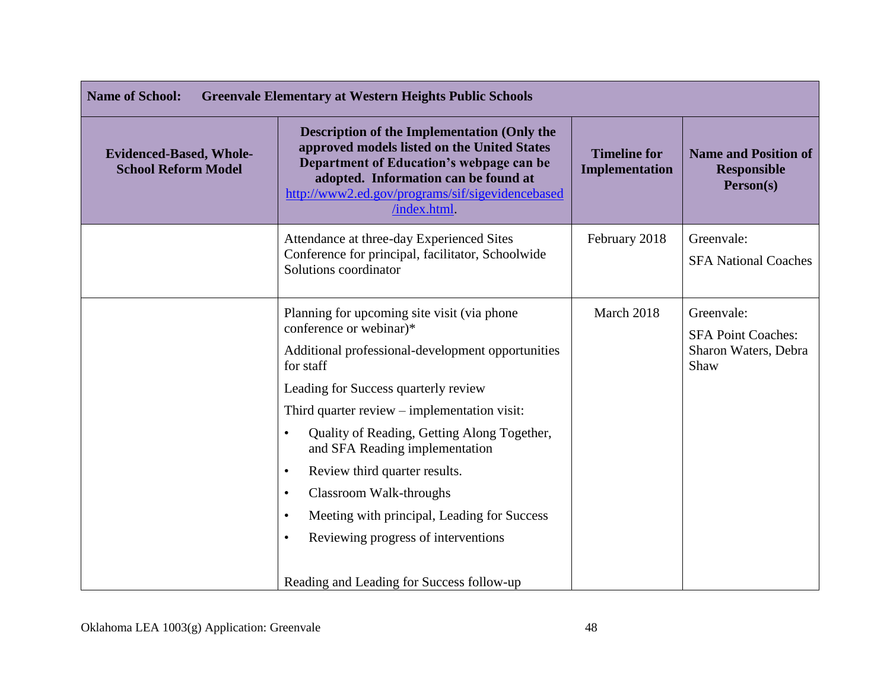| <b>Name of School:</b><br><b>Greenvale Elementary at Western Heights Public Schools</b> |                                                                                                                                                                                                                                                                                                                                                                                                                                                                                                                                                                                   |                                       |                                                                         |
|-----------------------------------------------------------------------------------------|-----------------------------------------------------------------------------------------------------------------------------------------------------------------------------------------------------------------------------------------------------------------------------------------------------------------------------------------------------------------------------------------------------------------------------------------------------------------------------------------------------------------------------------------------------------------------------------|---------------------------------------|-------------------------------------------------------------------------|
| <b>Evidenced-Based, Whole-</b><br><b>School Reform Model</b>                            | <b>Description of the Implementation (Only the</b><br>approved models listed on the United States<br>Department of Education's webpage can be<br>adopted. Information can be found at<br>http://www2.ed.gov/programs/sif/sigevidencebased<br>/index.html                                                                                                                                                                                                                                                                                                                          | <b>Timeline for</b><br>Implementation | <b>Name and Position of</b><br><b>Responsible</b><br>Person(s)          |
|                                                                                         | Attendance at three-day Experienced Sites<br>Conference for principal, facilitator, Schoolwide<br>Solutions coordinator                                                                                                                                                                                                                                                                                                                                                                                                                                                           | February 2018                         | Greenvale:<br><b>SFA National Coaches</b>                               |
|                                                                                         | Planning for upcoming site visit (via phone<br>conference or webinar)*<br>Additional professional-development opportunities<br>for staff<br>Leading for Success quarterly review<br>Third quarter review – implementation visit:<br>Quality of Reading, Getting Along Together,<br>$\bullet$<br>and SFA Reading implementation<br>Review third quarter results.<br>$\bullet$<br>Classroom Walk-throughs<br>$\bullet$<br>Meeting with principal, Leading for Success<br>$\bullet$<br>Reviewing progress of interventions<br>$\bullet$<br>Reading and Leading for Success follow-up | March 2018                            | Greenvale:<br><b>SFA Point Coaches:</b><br>Sharon Waters, Debra<br>Shaw |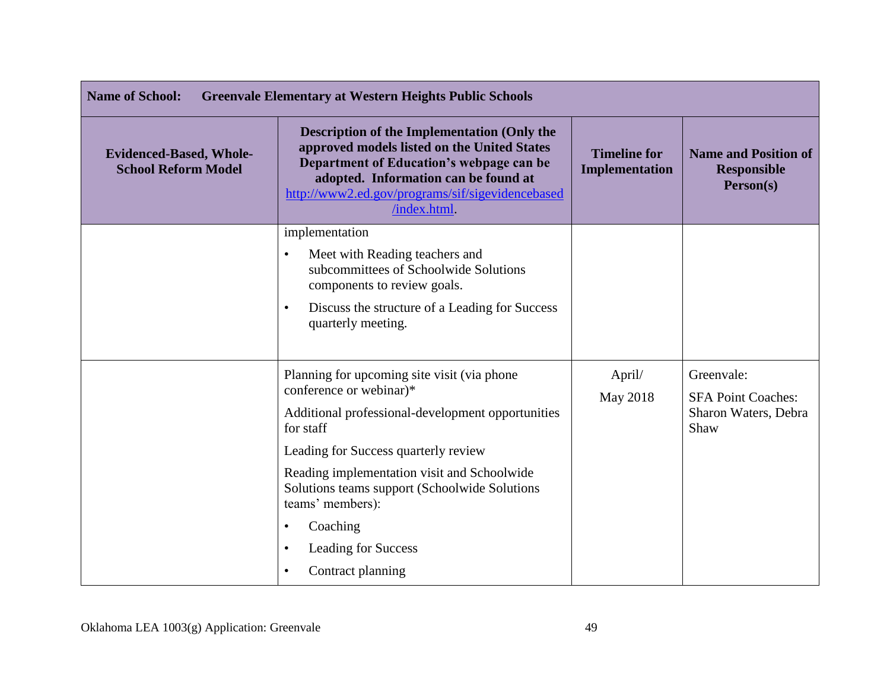| <b>Name of School:</b><br><b>Greenvale Elementary at Western Heights Public Schools</b> |                                                                                                                                                                                                                                                                                                                                                                                                             |                                       |                                                                         |
|-----------------------------------------------------------------------------------------|-------------------------------------------------------------------------------------------------------------------------------------------------------------------------------------------------------------------------------------------------------------------------------------------------------------------------------------------------------------------------------------------------------------|---------------------------------------|-------------------------------------------------------------------------|
| <b>Evidenced-Based, Whole-</b><br><b>School Reform Model</b>                            | <b>Description of the Implementation (Only the</b><br>approved models listed on the United States<br>Department of Education's webpage can be<br>adopted. Information can be found at<br>http://www2.ed.gov/programs/sif/sigevidencebased<br>/index.html                                                                                                                                                    | <b>Timeline for</b><br>Implementation | <b>Name and Position of</b><br><b>Responsible</b><br>Person(s)          |
|                                                                                         | implementation<br>Meet with Reading teachers and<br>$\bullet$<br>subcommittees of Schoolwide Solutions<br>components to review goals.<br>Discuss the structure of a Leading for Success<br>$\bullet$<br>quarterly meeting.                                                                                                                                                                                  |                                       |                                                                         |
|                                                                                         | Planning for upcoming site visit (via phone)<br>conference or webinar)*<br>Additional professional-development opportunities<br>for staff<br>Leading for Success quarterly review<br>Reading implementation visit and Schoolwide<br>Solutions teams support (Schoolwide Solutions<br>teams' members):<br>Coaching<br>$\bullet$<br><b>Leading for Success</b><br>$\bullet$<br>Contract planning<br>$\bullet$ | April/<br>May 2018                    | Greenvale:<br><b>SFA Point Coaches:</b><br>Sharon Waters, Debra<br>Shaw |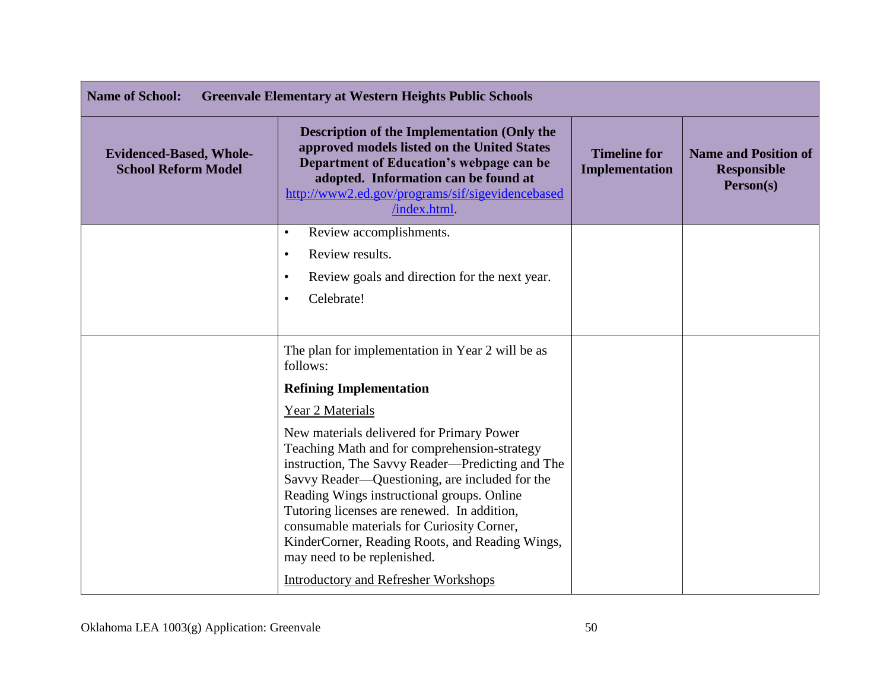| <b>Name of School:</b><br><b>Greenvale Elementary at Western Heights Public Schools</b> |                                                                                                                                                                                                                                                                                                                                                                                                                              |                                       |                                                                |
|-----------------------------------------------------------------------------------------|------------------------------------------------------------------------------------------------------------------------------------------------------------------------------------------------------------------------------------------------------------------------------------------------------------------------------------------------------------------------------------------------------------------------------|---------------------------------------|----------------------------------------------------------------|
| <b>Evidenced-Based, Whole-</b><br><b>School Reform Model</b>                            | <b>Description of the Implementation (Only the</b><br>approved models listed on the United States<br>Department of Education's webpage can be<br>adopted. Information can be found at<br>http://www2.ed.gov/programs/sif/sigevidencebased<br>/index.html.                                                                                                                                                                    | <b>Timeline for</b><br>Implementation | <b>Name and Position of</b><br><b>Responsible</b><br>Person(s) |
|                                                                                         | Review accomplishments.<br>$\bullet$                                                                                                                                                                                                                                                                                                                                                                                         |                                       |                                                                |
|                                                                                         | Review results.<br>$\bullet$<br>Review goals and direction for the next year.<br>٠                                                                                                                                                                                                                                                                                                                                           |                                       |                                                                |
|                                                                                         | Celebrate!<br>$\bullet$                                                                                                                                                                                                                                                                                                                                                                                                      |                                       |                                                                |
|                                                                                         | The plan for implementation in Year 2 will be as<br>follows:                                                                                                                                                                                                                                                                                                                                                                 |                                       |                                                                |
|                                                                                         | <b>Refining Implementation</b>                                                                                                                                                                                                                                                                                                                                                                                               |                                       |                                                                |
|                                                                                         | Year 2 Materials                                                                                                                                                                                                                                                                                                                                                                                                             |                                       |                                                                |
|                                                                                         | New materials delivered for Primary Power<br>Teaching Math and for comprehension-strategy<br>instruction, The Savvy Reader—Predicting and The<br>Savvy Reader—Questioning, are included for the<br>Reading Wings instructional groups. Online<br>Tutoring licenses are renewed. In addition,<br>consumable materials for Curiosity Corner,<br>KinderCorner, Reading Roots, and Reading Wings,<br>may need to be replenished. |                                       |                                                                |
|                                                                                         | <b>Introductory and Refresher Workshops</b>                                                                                                                                                                                                                                                                                                                                                                                  |                                       |                                                                |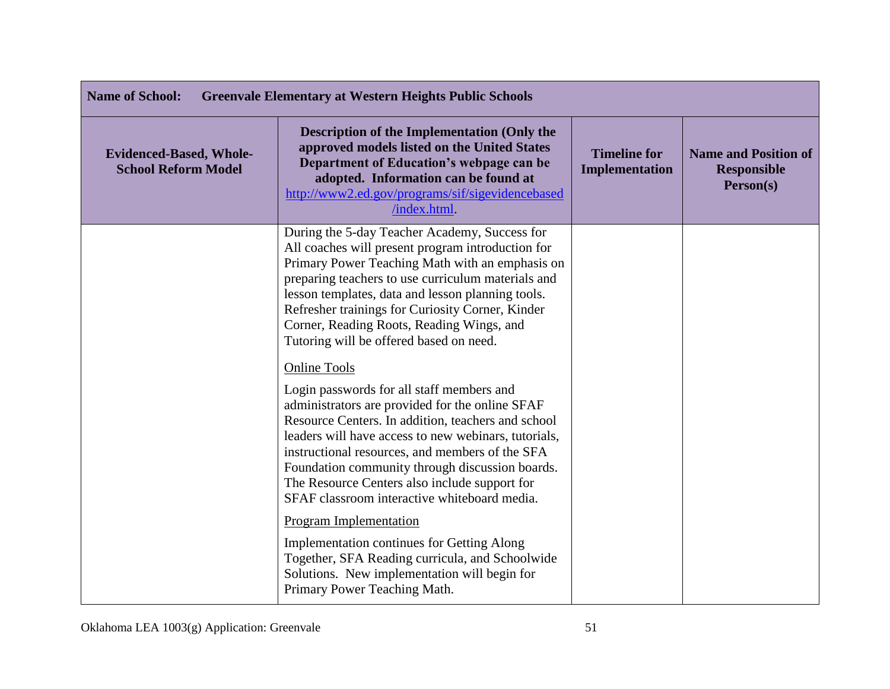| <b>Name of School:</b><br><b>Greenvale Elementary at Western Heights Public Schools</b> |                                                                                                                                                                                                                                                                                                                                                                                                                                          |                                       |                                                                |
|-----------------------------------------------------------------------------------------|------------------------------------------------------------------------------------------------------------------------------------------------------------------------------------------------------------------------------------------------------------------------------------------------------------------------------------------------------------------------------------------------------------------------------------------|---------------------------------------|----------------------------------------------------------------|
| <b>Evidenced-Based, Whole-</b><br><b>School Reform Model</b>                            | Description of the Implementation (Only the<br>approved models listed on the United States<br>Department of Education's webpage can be<br>adopted. Information can be found at<br>http://www2.ed.gov/programs/sif/sigevidencebased<br>/index.html.                                                                                                                                                                                       | <b>Timeline for</b><br>Implementation | <b>Name and Position of</b><br><b>Responsible</b><br>Person(s) |
|                                                                                         | During the 5-day Teacher Academy, Success for<br>All coaches will present program introduction for<br>Primary Power Teaching Math with an emphasis on<br>preparing teachers to use curriculum materials and<br>lesson templates, data and lesson planning tools.<br>Refresher trainings for Curiosity Corner, Kinder<br>Corner, Reading Roots, Reading Wings, and<br>Tutoring will be offered based on need.                             |                                       |                                                                |
|                                                                                         | <b>Online Tools</b><br>Login passwords for all staff members and<br>administrators are provided for the online SFAF<br>Resource Centers. In addition, teachers and school<br>leaders will have access to new webinars, tutorials,<br>instructional resources, and members of the SFA<br>Foundation community through discussion boards.<br>The Resource Centers also include support for<br>SFAF classroom interactive whiteboard media. |                                       |                                                                |
|                                                                                         | <b>Program Implementation</b><br><b>Implementation continues for Getting Along</b><br>Together, SFA Reading curricula, and Schoolwide<br>Solutions. New implementation will begin for<br>Primary Power Teaching Math.                                                                                                                                                                                                                    |                                       |                                                                |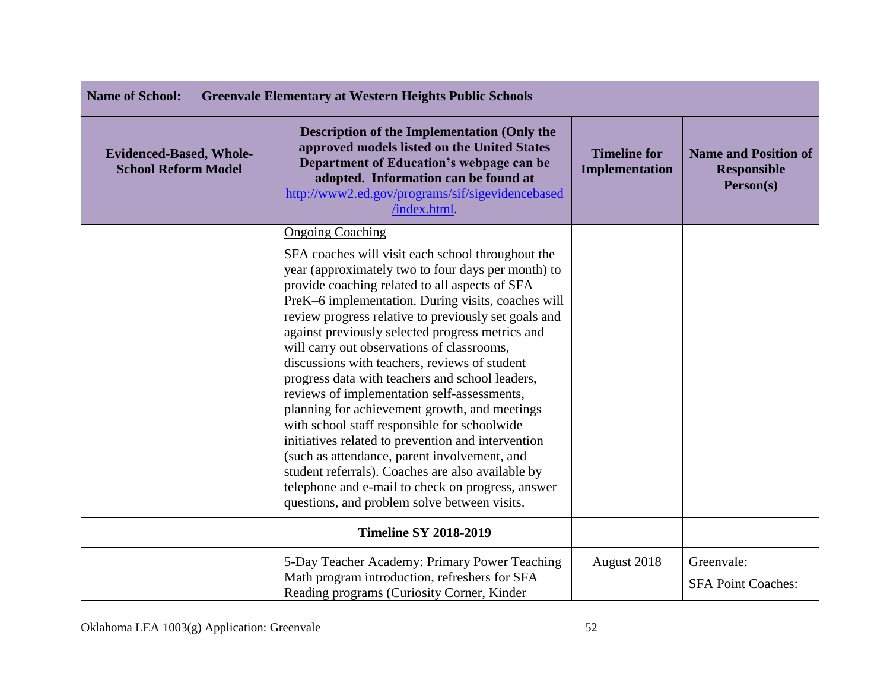| <b>Name of School:</b><br><b>Greenvale Elementary at Western Heights Public Schools</b> |                                                                                                                                                                                                                                                                                                                                                                                                                                                                                                                                                                                                                                                                                                                                                                                                                                                                                                                          |                                       |                                                                |
|-----------------------------------------------------------------------------------------|--------------------------------------------------------------------------------------------------------------------------------------------------------------------------------------------------------------------------------------------------------------------------------------------------------------------------------------------------------------------------------------------------------------------------------------------------------------------------------------------------------------------------------------------------------------------------------------------------------------------------------------------------------------------------------------------------------------------------------------------------------------------------------------------------------------------------------------------------------------------------------------------------------------------------|---------------------------------------|----------------------------------------------------------------|
| <b>Evidenced-Based, Whole-</b><br><b>School Reform Model</b>                            | <b>Description of the Implementation (Only the</b><br>approved models listed on the United States<br>Department of Education's webpage can be<br>adopted. Information can be found at<br>http://www2.ed.gov/programs/sif/sigevidencebased<br>/index.html.                                                                                                                                                                                                                                                                                                                                                                                                                                                                                                                                                                                                                                                                | <b>Timeline for</b><br>Implementation | <b>Name and Position of</b><br><b>Responsible</b><br>Person(s) |
|                                                                                         | <b>Ongoing Coaching</b><br>SFA coaches will visit each school throughout the<br>year (approximately two to four days per month) to<br>provide coaching related to all aspects of SFA<br>PreK-6 implementation. During visits, coaches will<br>review progress relative to previously set goals and<br>against previously selected progress metrics and<br>will carry out observations of classrooms,<br>discussions with teachers, reviews of student<br>progress data with teachers and school leaders,<br>reviews of implementation self-assessments,<br>planning for achievement growth, and meetings<br>with school staff responsible for schoolwide<br>initiatives related to prevention and intervention<br>(such as attendance, parent involvement, and<br>student referrals). Coaches are also available by<br>telephone and e-mail to check on progress, answer<br>questions, and problem solve between visits. |                                       |                                                                |
|                                                                                         | <b>Timeline SY 2018-2019</b>                                                                                                                                                                                                                                                                                                                                                                                                                                                                                                                                                                                                                                                                                                                                                                                                                                                                                             |                                       |                                                                |
|                                                                                         | 5-Day Teacher Academy: Primary Power Teaching<br>Math program introduction, refreshers for SFA<br>Reading programs (Curiosity Corner, Kinder                                                                                                                                                                                                                                                                                                                                                                                                                                                                                                                                                                                                                                                                                                                                                                             | August 2018                           | Greenvale:<br><b>SFA Point Coaches:</b>                        |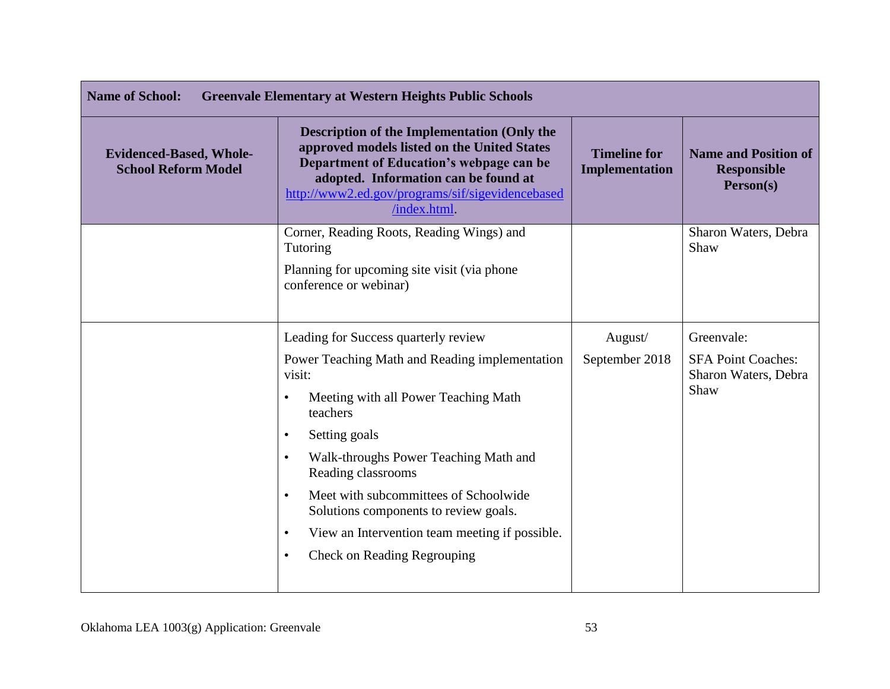| <b>Name of School:</b><br><b>Greenvale Elementary at Western Heights Public Schools</b> |                                                                                                                                                                                                                                                   |                                              |                                                                |
|-----------------------------------------------------------------------------------------|---------------------------------------------------------------------------------------------------------------------------------------------------------------------------------------------------------------------------------------------------|----------------------------------------------|----------------------------------------------------------------|
| <b>Evidenced-Based, Whole-</b><br><b>School Reform Model</b>                            | Description of the Implementation (Only the<br>approved models listed on the United States<br>Department of Education's webpage can be<br>adopted. Information can be found at<br>http://www2.ed.gov/programs/sif/sigevidencebased<br>/index.html | <b>Timeline for</b><br><b>Implementation</b> | <b>Name and Position of</b><br><b>Responsible</b><br>Person(s) |
|                                                                                         | Corner, Reading Roots, Reading Wings) and<br>Tutoring                                                                                                                                                                                             |                                              | Sharon Waters, Debra<br>Shaw                                   |
|                                                                                         | Planning for upcoming site visit (via phone<br>conference or webinar)                                                                                                                                                                             |                                              |                                                                |
|                                                                                         | Leading for Success quarterly review                                                                                                                                                                                                              | August/                                      | Greenvale:                                                     |
|                                                                                         | Power Teaching Math and Reading implementation<br>visit:<br>Meeting with all Power Teaching Math<br>$\bullet$<br>teachers                                                                                                                         | September 2018                               | <b>SFA Point Coaches:</b><br>Sharon Waters, Debra<br>Shaw      |
|                                                                                         | Setting goals<br>$\bullet$                                                                                                                                                                                                                        |                                              |                                                                |
|                                                                                         | Walk-throughs Power Teaching Math and<br>$\bullet$<br>Reading classrooms                                                                                                                                                                          |                                              |                                                                |
|                                                                                         | Meet with subcommittees of Schoolwide<br>$\bullet$<br>Solutions components to review goals.                                                                                                                                                       |                                              |                                                                |
|                                                                                         | View an Intervention team meeting if possible.<br>٠                                                                                                                                                                                               |                                              |                                                                |
|                                                                                         | <b>Check on Reading Regrouping</b><br>٠                                                                                                                                                                                                           |                                              |                                                                |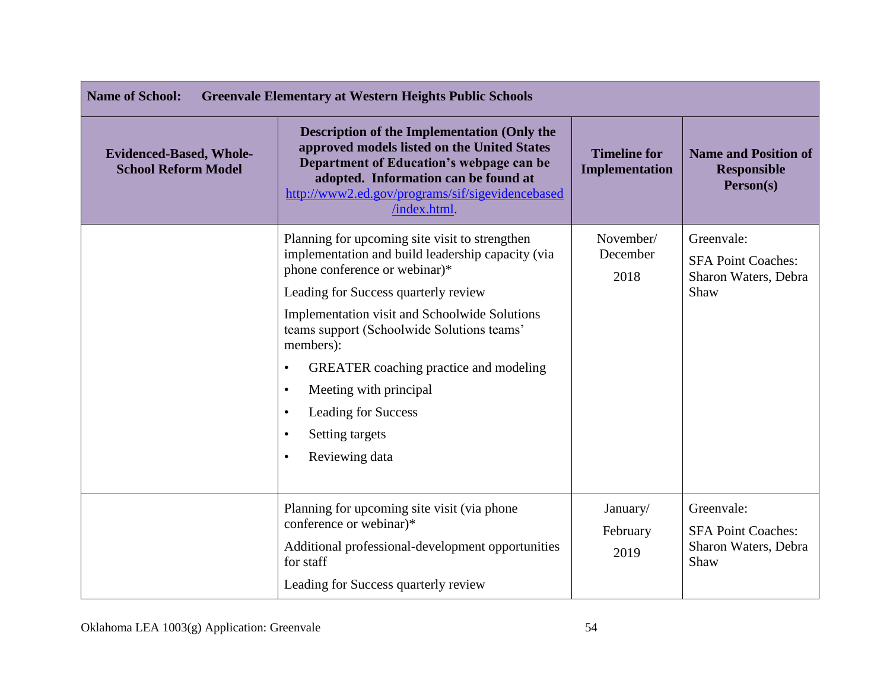| <b>Name of School:</b><br><b>Greenvale Elementary at Western Heights Public Schools</b> |                                                                                                                                                                                                                                                                                                                                                                                                                                                                                            |                                       |                                                                         |
|-----------------------------------------------------------------------------------------|--------------------------------------------------------------------------------------------------------------------------------------------------------------------------------------------------------------------------------------------------------------------------------------------------------------------------------------------------------------------------------------------------------------------------------------------------------------------------------------------|---------------------------------------|-------------------------------------------------------------------------|
| <b>Evidenced-Based, Whole-</b><br><b>School Reform Model</b>                            | <b>Description of the Implementation (Only the</b><br>approved models listed on the United States<br>Department of Education's webpage can be<br>adopted. Information can be found at<br>http://www2.ed.gov/programs/sif/sigevidencebased<br>/index.html.                                                                                                                                                                                                                                  | <b>Timeline for</b><br>Implementation | <b>Name and Position of</b><br><b>Responsible</b><br>Person(s)          |
|                                                                                         | Planning for upcoming site visit to strengthen<br>implementation and build leadership capacity (via<br>phone conference or webinar)*<br>Leading for Success quarterly review<br>Implementation visit and Schoolwide Solutions<br>teams support (Schoolwide Solutions teams'<br>members):<br><b>GREATER</b> coaching practice and modeling<br>$\bullet$<br>Meeting with principal<br>$\bullet$<br><b>Leading for Success</b><br>$\bullet$<br>Setting targets<br>Reviewing data<br>$\bullet$ | November/<br>December<br>2018         | Greenvale:<br><b>SFA Point Coaches:</b><br>Sharon Waters, Debra<br>Shaw |
|                                                                                         | Planning for upcoming site visit (via phone)<br>conference or webinar)*<br>Additional professional-development opportunities<br>for staff<br>Leading for Success quarterly review                                                                                                                                                                                                                                                                                                          | January/<br>February<br>2019          | Greenvale:<br><b>SFA Point Coaches:</b><br>Sharon Waters, Debra<br>Shaw |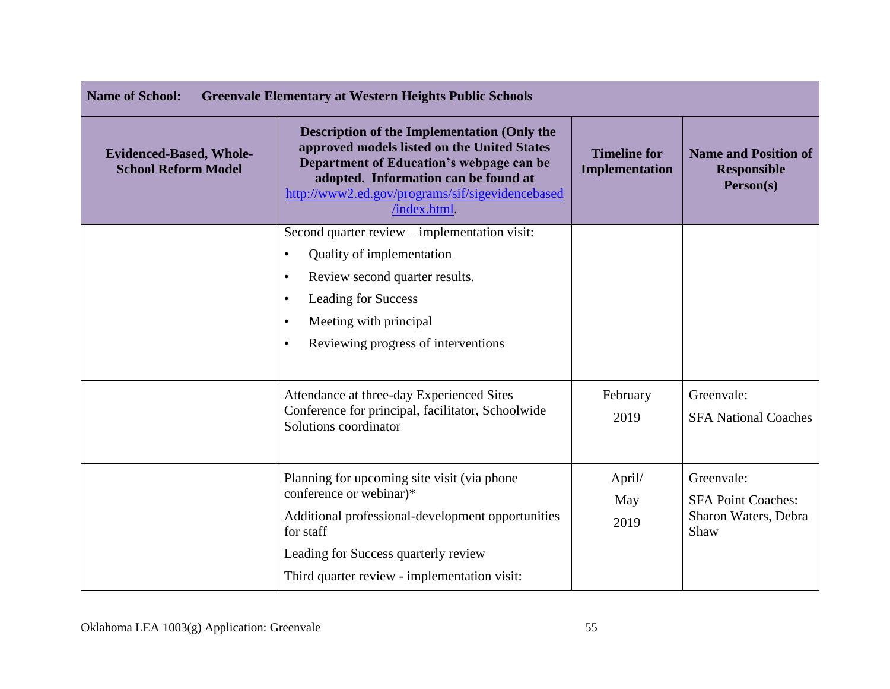| <b>Name of School:</b><br><b>Greenvale Elementary at Western Heights Public Schools</b> |                                                                                                                                                                                                                                                           |                                              |                                                                         |
|-----------------------------------------------------------------------------------------|-----------------------------------------------------------------------------------------------------------------------------------------------------------------------------------------------------------------------------------------------------------|----------------------------------------------|-------------------------------------------------------------------------|
| <b>Evidenced-Based, Whole-</b><br><b>School Reform Model</b>                            | <b>Description of the Implementation (Only the</b><br>approved models listed on the United States<br>Department of Education's webpage can be<br>adopted. Information can be found at<br>http://www2.ed.gov/programs/sif/sigevidencebased<br>/index.html. | <b>Timeline for</b><br><b>Implementation</b> | <b>Name and Position of</b><br><b>Responsible</b><br>Person(s)          |
|                                                                                         | Second quarter review - implementation visit:<br>Quality of implementation<br>$\bullet$<br>Review second quarter results.<br>$\bullet$<br><b>Leading for Success</b><br>Meeting with principal<br>Reviewing progress of interventions<br>$\bullet$        |                                              |                                                                         |
|                                                                                         | Attendance at three-day Experienced Sites<br>Conference for principal, facilitator, Schoolwide<br>Solutions coordinator                                                                                                                                   | February<br>2019                             | Greenvale:<br><b>SFA National Coaches</b>                               |
|                                                                                         | Planning for upcoming site visit (via phone)<br>conference or webinar)*<br>Additional professional-development opportunities<br>for staff<br>Leading for Success quarterly review<br>Third quarter review - implementation visit:                         | April/<br>May<br>2019                        | Greenvale:<br><b>SFA Point Coaches:</b><br>Sharon Waters, Debra<br>Shaw |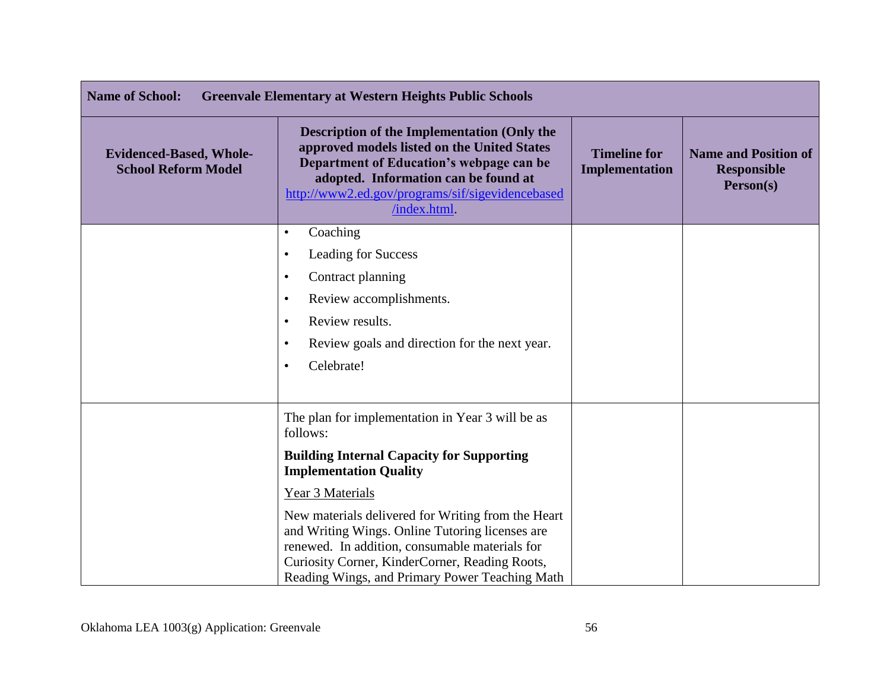| <b>Greenvale Elementary at Western Heights Public Schools</b><br><b>Name of School:</b> |                                                                                                                                                                                                                                                             |                                              |                                                                |
|-----------------------------------------------------------------------------------------|-------------------------------------------------------------------------------------------------------------------------------------------------------------------------------------------------------------------------------------------------------------|----------------------------------------------|----------------------------------------------------------------|
| <b>Evidenced-Based, Whole-</b><br><b>School Reform Model</b>                            | <b>Description of the Implementation (Only the</b><br>approved models listed on the United States<br>Department of Education's webpage can be<br>adopted. Information can be found at<br>http://www2.ed.gov/programs/sif/sigevidencebased<br>/index.html    | <b>Timeline for</b><br><b>Implementation</b> | <b>Name and Position of</b><br><b>Responsible</b><br>Person(s) |
|                                                                                         | Coaching<br>$\bullet$                                                                                                                                                                                                                                       |                                              |                                                                |
|                                                                                         | <b>Leading for Success</b><br>٠                                                                                                                                                                                                                             |                                              |                                                                |
|                                                                                         | Contract planning<br>$\bullet$                                                                                                                                                                                                                              |                                              |                                                                |
|                                                                                         | Review accomplishments.<br>٠                                                                                                                                                                                                                                |                                              |                                                                |
|                                                                                         | Review results.<br>٠                                                                                                                                                                                                                                        |                                              |                                                                |
|                                                                                         | Review goals and direction for the next year.<br>$\bullet$                                                                                                                                                                                                  |                                              |                                                                |
|                                                                                         | Celebrate!<br>$\bullet$                                                                                                                                                                                                                                     |                                              |                                                                |
|                                                                                         | The plan for implementation in Year 3 will be as<br>follows:                                                                                                                                                                                                |                                              |                                                                |
|                                                                                         | <b>Building Internal Capacity for Supporting</b><br><b>Implementation Quality</b>                                                                                                                                                                           |                                              |                                                                |
|                                                                                         | Year 3 Materials                                                                                                                                                                                                                                            |                                              |                                                                |
|                                                                                         | New materials delivered for Writing from the Heart<br>and Writing Wings. Online Tutoring licenses are<br>renewed. In addition, consumable materials for<br>Curiosity Corner, KinderCorner, Reading Roots,<br>Reading Wings, and Primary Power Teaching Math |                                              |                                                                |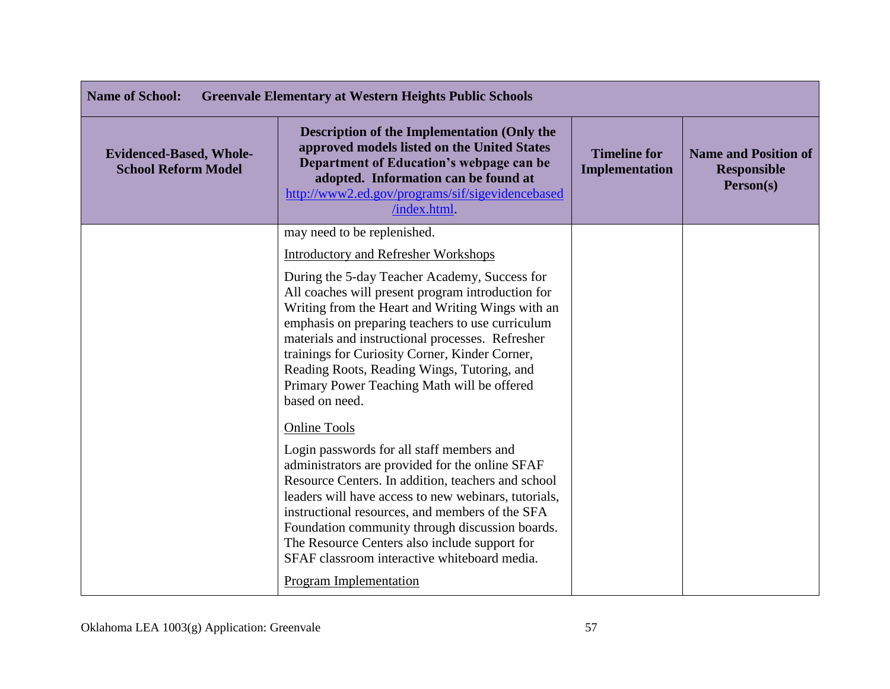| <b>Name of School:</b><br><b>Greenvale Elementary at Western Heights Public Schools</b> |                                                                                                                                                                                                                                                                                                                                                                                                                                                                           |                                              |                                                                |
|-----------------------------------------------------------------------------------------|---------------------------------------------------------------------------------------------------------------------------------------------------------------------------------------------------------------------------------------------------------------------------------------------------------------------------------------------------------------------------------------------------------------------------------------------------------------------------|----------------------------------------------|----------------------------------------------------------------|
| <b>Evidenced-Based, Whole-</b><br><b>School Reform Model</b>                            | <b>Description of the Implementation (Only the</b><br>approved models listed on the United States<br>Department of Education's webpage can be<br>adopted. Information can be found at<br>http://www2.ed.gov/programs/sif/sigevidencebased<br>/index.html.                                                                                                                                                                                                                 | <b>Timeline for</b><br><b>Implementation</b> | <b>Name and Position of</b><br><b>Responsible</b><br>Person(s) |
|                                                                                         | may need to be replenished.                                                                                                                                                                                                                                                                                                                                                                                                                                               |                                              |                                                                |
|                                                                                         | <b>Introductory and Refresher Workshops</b>                                                                                                                                                                                                                                                                                                                                                                                                                               |                                              |                                                                |
|                                                                                         | During the 5-day Teacher Academy, Success for<br>All coaches will present program introduction for<br>Writing from the Heart and Writing Wings with an<br>emphasis on preparing teachers to use curriculum<br>materials and instructional processes. Refresher<br>trainings for Curiosity Corner, Kinder Corner,<br>Reading Roots, Reading Wings, Tutoring, and<br>Primary Power Teaching Math will be offered<br>based on need.                                          |                                              |                                                                |
|                                                                                         | <b>Online Tools</b><br>Login passwords for all staff members and<br>administrators are provided for the online SFAF<br>Resource Centers. In addition, teachers and school<br>leaders will have access to new webinars, tutorials,<br>instructional resources, and members of the SFA<br>Foundation community through discussion boards.<br>The Resource Centers also include support for<br>SFAF classroom interactive whiteboard media.<br><b>Program Implementation</b> |                                              |                                                                |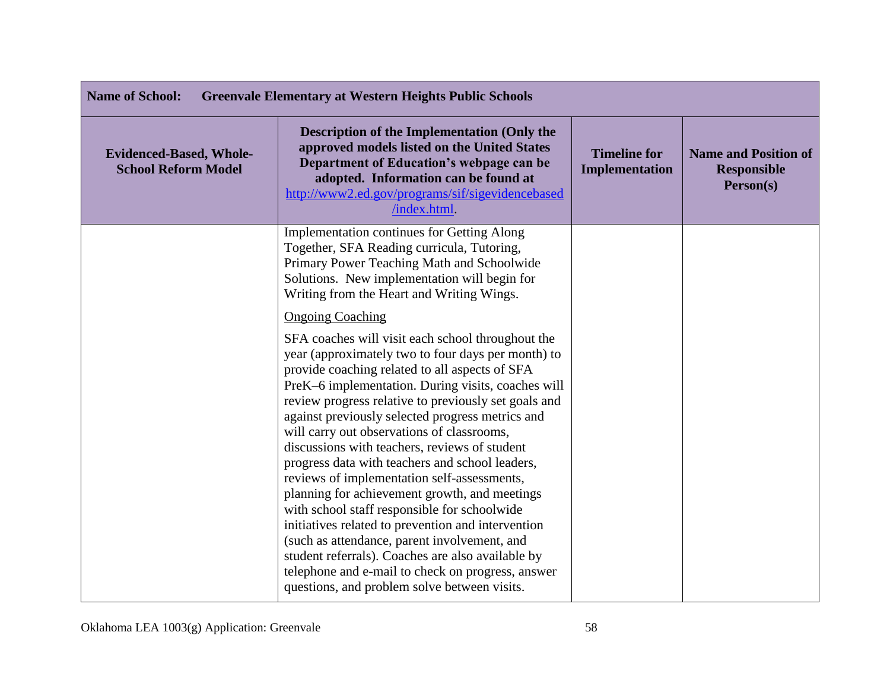| <b>Name of School:</b>                                       | <b>Greenvale Elementary at Western Heights Public Schools</b>                                                                                                                                                                                                                                                                                                                                                                                                                                                                                                                                                                                                                                                                                                                                                                                                                                                            |                                       |                                                                |
|--------------------------------------------------------------|--------------------------------------------------------------------------------------------------------------------------------------------------------------------------------------------------------------------------------------------------------------------------------------------------------------------------------------------------------------------------------------------------------------------------------------------------------------------------------------------------------------------------------------------------------------------------------------------------------------------------------------------------------------------------------------------------------------------------------------------------------------------------------------------------------------------------------------------------------------------------------------------------------------------------|---------------------------------------|----------------------------------------------------------------|
| <b>Evidenced-Based, Whole-</b><br><b>School Reform Model</b> | <b>Description of the Implementation (Only the</b><br>approved models listed on the United States<br>Department of Education's webpage can be<br>adopted. Information can be found at<br>http://www2.ed.gov/programs/sif/sigevidencebased<br>/index.html.                                                                                                                                                                                                                                                                                                                                                                                                                                                                                                                                                                                                                                                                | <b>Timeline for</b><br>Implementation | <b>Name and Position of</b><br><b>Responsible</b><br>Person(s) |
|                                                              | <b>Implementation continues for Getting Along</b><br>Together, SFA Reading curricula, Tutoring,<br>Primary Power Teaching Math and Schoolwide<br>Solutions. New implementation will begin for<br>Writing from the Heart and Writing Wings.                                                                                                                                                                                                                                                                                                                                                                                                                                                                                                                                                                                                                                                                               |                                       |                                                                |
|                                                              | <b>Ongoing Coaching</b><br>SFA coaches will visit each school throughout the<br>year (approximately two to four days per month) to<br>provide coaching related to all aspects of SFA<br>PreK-6 implementation. During visits, coaches will<br>review progress relative to previously set goals and<br>against previously selected progress metrics and<br>will carry out observations of classrooms,<br>discussions with teachers, reviews of student<br>progress data with teachers and school leaders,<br>reviews of implementation self-assessments,<br>planning for achievement growth, and meetings<br>with school staff responsible for schoolwide<br>initiatives related to prevention and intervention<br>(such as attendance, parent involvement, and<br>student referrals). Coaches are also available by<br>telephone and e-mail to check on progress, answer<br>questions, and problem solve between visits. |                                       |                                                                |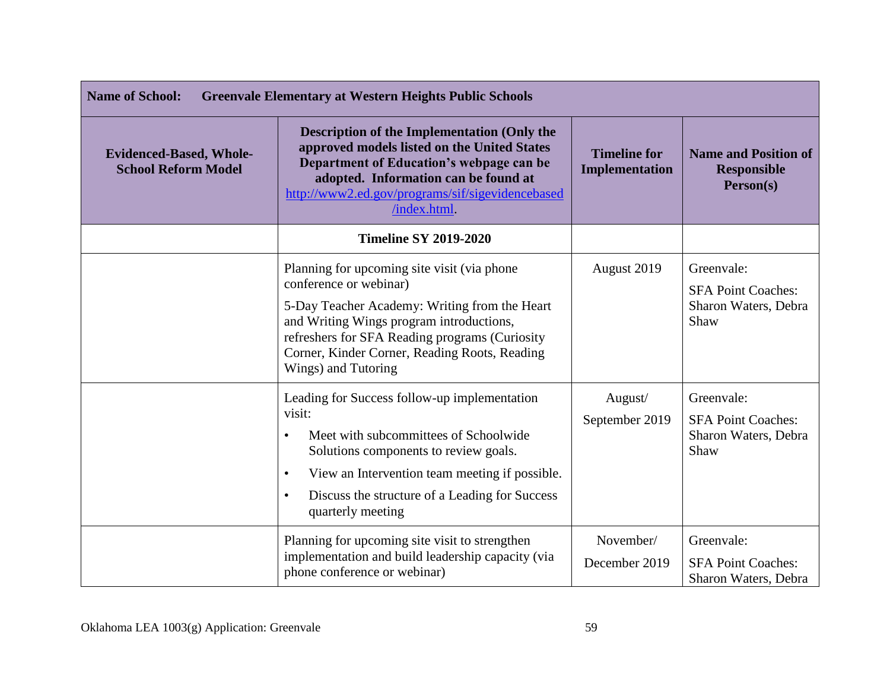| <b>Name of School:</b><br><b>Greenvale Elementary at Western Heights Public Schools</b> |                                                                                                                                                                                                                                                                                                          |                                              |                                                                         |
|-----------------------------------------------------------------------------------------|----------------------------------------------------------------------------------------------------------------------------------------------------------------------------------------------------------------------------------------------------------------------------------------------------------|----------------------------------------------|-------------------------------------------------------------------------|
| <b>Evidenced-Based, Whole-</b><br><b>School Reform Model</b>                            | <b>Description of the Implementation (Only the</b><br>approved models listed on the United States<br>Department of Education's webpage can be<br>adopted. Information can be found at<br>http://www2.ed.gov/programs/sif/sigevidencebased<br>/index.html                                                 | <b>Timeline for</b><br><b>Implementation</b> | <b>Name and Position of</b><br><b>Responsible</b><br>Person(s)          |
|                                                                                         | <b>Timeline SY 2019-2020</b>                                                                                                                                                                                                                                                                             |                                              |                                                                         |
|                                                                                         | Planning for upcoming site visit (via phone)<br>conference or webinar)<br>5-Day Teacher Academy: Writing from the Heart<br>and Writing Wings program introductions,<br>refreshers for SFA Reading programs (Curiosity<br>Corner, Kinder Corner, Reading Roots, Reading<br>Wings) and Tutoring            | August 2019                                  | Greenvale:<br><b>SFA Point Coaches:</b><br>Sharon Waters, Debra<br>Shaw |
|                                                                                         | Leading for Success follow-up implementation<br>visit:<br>Meet with subcommittees of Schoolwide<br>$\bullet$<br>Solutions components to review goals.<br>View an Intervention team meeting if possible.<br>$\bullet$<br>Discuss the structure of a Leading for Success<br>$\bullet$<br>quarterly meeting | August/<br>September 2019                    | Greenvale:<br><b>SFA Point Coaches:</b><br>Sharon Waters, Debra<br>Shaw |
|                                                                                         | Planning for upcoming site visit to strengthen<br>implementation and build leadership capacity (via<br>phone conference or webinar)                                                                                                                                                                      | November/<br>December 2019                   | Greenvale:<br><b>SFA Point Coaches:</b><br>Sharon Waters, Debra         |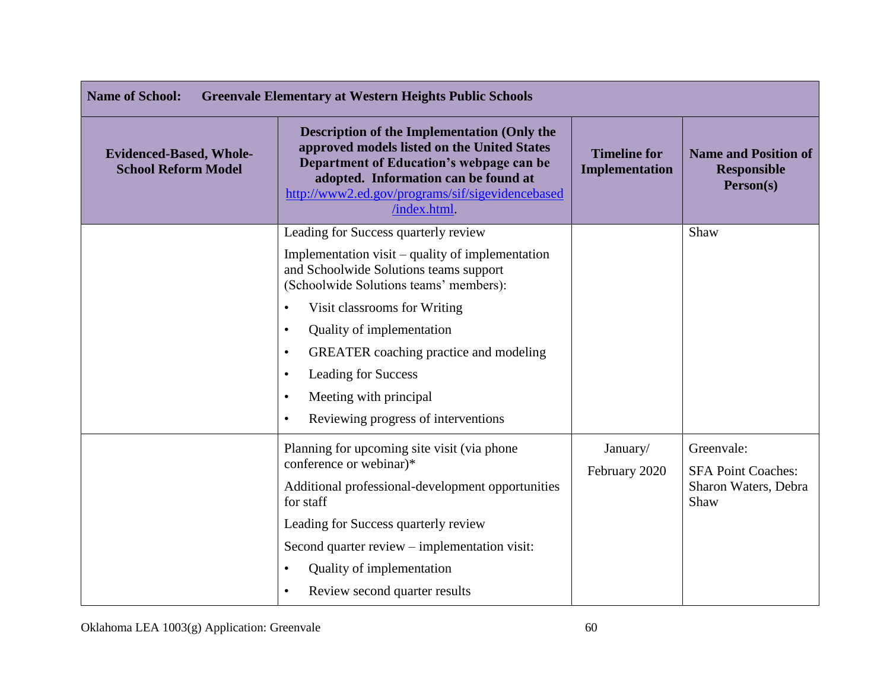| <b>Name of School:</b><br><b>Greenvale Elementary at Western Heights Public Schools</b> |                                                                                                                                                                                                                                                                                                                                                                                                                                        |                                       |                                                                         |
|-----------------------------------------------------------------------------------------|----------------------------------------------------------------------------------------------------------------------------------------------------------------------------------------------------------------------------------------------------------------------------------------------------------------------------------------------------------------------------------------------------------------------------------------|---------------------------------------|-------------------------------------------------------------------------|
| <b>Evidenced-Based, Whole-</b><br><b>School Reform Model</b>                            | <b>Description of the Implementation (Only the</b><br>approved models listed on the United States<br>Department of Education's webpage can be<br>adopted. Information can be found at<br>http://www2.ed.gov/programs/sif/sigevidencebased<br>/index.html.                                                                                                                                                                              | <b>Timeline for</b><br>Implementation | <b>Name and Position of</b><br><b>Responsible</b><br>Person(s)          |
|                                                                                         | Leading for Success quarterly review<br>Implementation visit – quality of implementation<br>and Schoolwide Solutions teams support<br>(Schoolwide Solutions teams' members):<br>Visit classrooms for Writing<br>Quality of implementation<br>$\bullet$<br><b>GREATER</b> coaching practice and modeling<br>$\bullet$<br>Leading for Success<br>$\bullet$<br>Meeting with principal<br>$\bullet$<br>Reviewing progress of interventions |                                       | Shaw                                                                    |
|                                                                                         | Planning for upcoming site visit (via phone<br>conference or webinar)*<br>Additional professional-development opportunities<br>for staff<br>Leading for Success quarterly review<br>Second quarter review – implementation visit:<br>Quality of implementation<br>Review second quarter results<br>$\bullet$                                                                                                                           | January/<br>February 2020             | Greenvale:<br><b>SFA Point Coaches:</b><br>Sharon Waters, Debra<br>Shaw |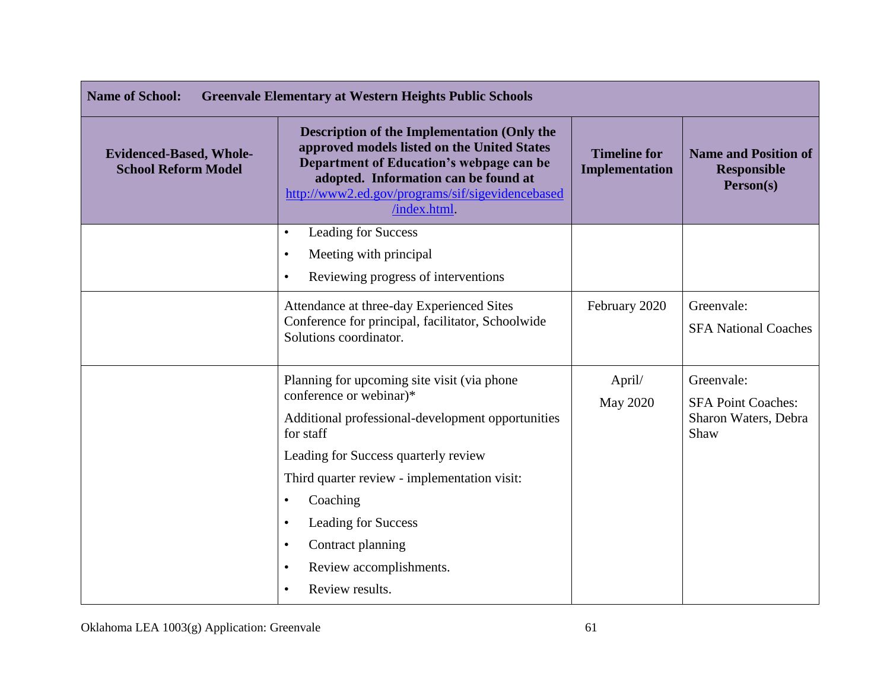| <b>Name of School:</b><br><b>Greenvale Elementary at Western Heights Public Schools</b> |                                                                                                                                                                                                                                                                                                                                                                                         |                                              |                                                                         |
|-----------------------------------------------------------------------------------------|-----------------------------------------------------------------------------------------------------------------------------------------------------------------------------------------------------------------------------------------------------------------------------------------------------------------------------------------------------------------------------------------|----------------------------------------------|-------------------------------------------------------------------------|
| <b>Evidenced-Based, Whole-</b><br><b>School Reform Model</b>                            | <b>Description of the Implementation (Only the</b><br>approved models listed on the United States<br>Department of Education's webpage can be<br>adopted. Information can be found at<br>http://www2.ed.gov/programs/sif/sigevidencebased<br>/index.html.                                                                                                                               | <b>Timeline for</b><br><b>Implementation</b> | <b>Name and Position of</b><br><b>Responsible</b><br>Person(s)          |
|                                                                                         | Leading for Success<br>$\bullet$<br>Meeting with principal<br>$\bullet$<br>Reviewing progress of interventions                                                                                                                                                                                                                                                                          |                                              |                                                                         |
|                                                                                         | Attendance at three-day Experienced Sites<br>Conference for principal, facilitator, Schoolwide<br>Solutions coordinator.                                                                                                                                                                                                                                                                | February 2020                                | Greenvale:<br><b>SFA National Coaches</b>                               |
|                                                                                         | Planning for upcoming site visit (via phone<br>conference or webinar)*<br>Additional professional-development opportunities<br>for staff<br>Leading for Success quarterly review<br>Third quarter review - implementation visit:<br>Coaching<br>٠<br>Leading for Success<br>$\bullet$<br>Contract planning<br>$\bullet$<br>Review accomplishments.<br>٠<br>Review results.<br>$\bullet$ | April/<br><b>May 2020</b>                    | Greenvale:<br><b>SFA Point Coaches:</b><br>Sharon Waters, Debra<br>Shaw |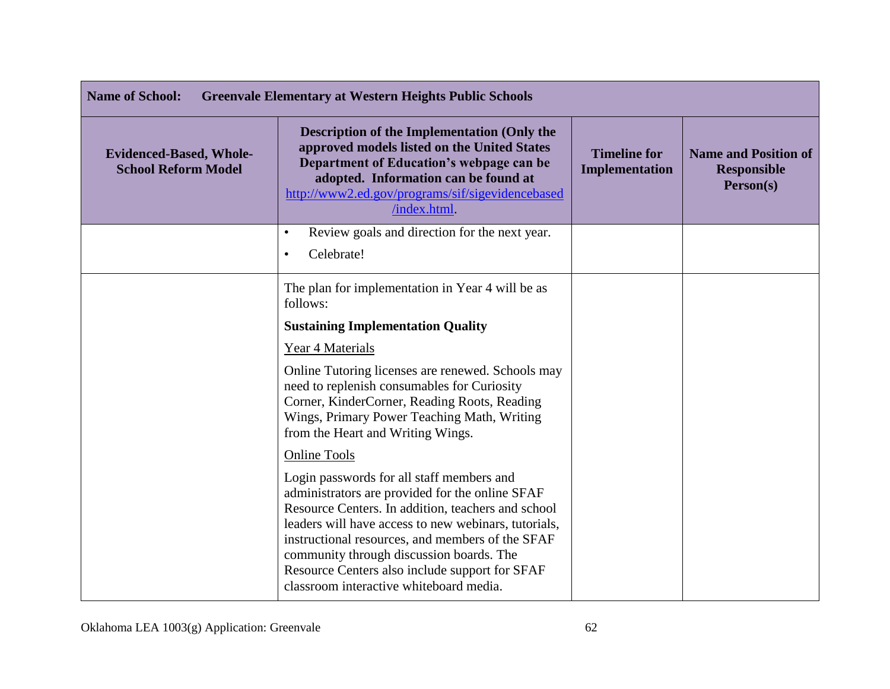| <b>Name of School:</b>                                       | <b>Greenvale Elementary at Western Heights Public Schools</b>                                                                                                                                                                                                                                                                                                                                           |                                       |                                                                |
|--------------------------------------------------------------|---------------------------------------------------------------------------------------------------------------------------------------------------------------------------------------------------------------------------------------------------------------------------------------------------------------------------------------------------------------------------------------------------------|---------------------------------------|----------------------------------------------------------------|
| <b>Evidenced-Based, Whole-</b><br><b>School Reform Model</b> | <b>Description of the Implementation (Only the</b><br>approved models listed on the United States<br>Department of Education's webpage can be<br>adopted. Information can be found at<br>http://www2.ed.gov/programs/sif/sigevidencebased<br>/index.html                                                                                                                                                | <b>Timeline for</b><br>Implementation | <b>Name and Position of</b><br><b>Responsible</b><br>Person(s) |
|                                                              | Review goals and direction for the next year.<br>$\bullet$<br>Celebrate!<br>$\bullet$                                                                                                                                                                                                                                                                                                                   |                                       |                                                                |
|                                                              | The plan for implementation in Year 4 will be as<br>follows:<br><b>Sustaining Implementation Quality</b>                                                                                                                                                                                                                                                                                                |                                       |                                                                |
|                                                              | Year 4 Materials                                                                                                                                                                                                                                                                                                                                                                                        |                                       |                                                                |
|                                                              | Online Tutoring licenses are renewed. Schools may<br>need to replenish consumables for Curiosity<br>Corner, KinderCorner, Reading Roots, Reading<br>Wings, Primary Power Teaching Math, Writing<br>from the Heart and Writing Wings.                                                                                                                                                                    |                                       |                                                                |
|                                                              | <b>Online Tools</b>                                                                                                                                                                                                                                                                                                                                                                                     |                                       |                                                                |
|                                                              | Login passwords for all staff members and<br>administrators are provided for the online SFAF<br>Resource Centers. In addition, teachers and school<br>leaders will have access to new webinars, tutorials,<br>instructional resources, and members of the SFAF<br>community through discussion boards. The<br>Resource Centers also include support for SFAF<br>classroom interactive whiteboard media. |                                       |                                                                |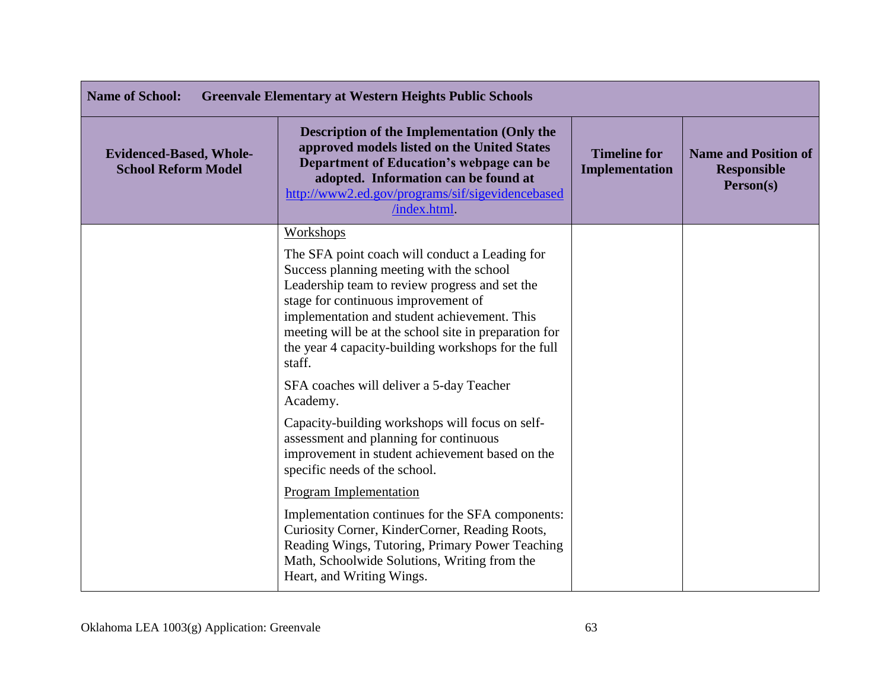| <b>Name of School:</b><br><b>Greenvale Elementary at Western Heights Public Schools</b> |                                                                                                                                                                                                                                                                                                                                                               |                                       |                                                                |
|-----------------------------------------------------------------------------------------|---------------------------------------------------------------------------------------------------------------------------------------------------------------------------------------------------------------------------------------------------------------------------------------------------------------------------------------------------------------|---------------------------------------|----------------------------------------------------------------|
| <b>Evidenced-Based, Whole-</b><br><b>School Reform Model</b>                            | <b>Description of the Implementation (Only the</b><br>approved models listed on the United States<br>Department of Education's webpage can be<br>adopted. Information can be found at<br>http://www2.ed.gov/programs/sif/sigevidencebased<br>/index.html.                                                                                                     | <b>Timeline for</b><br>Implementation | <b>Name and Position of</b><br><b>Responsible</b><br>Person(s) |
|                                                                                         | Workshops                                                                                                                                                                                                                                                                                                                                                     |                                       |                                                                |
|                                                                                         | The SFA point coach will conduct a Leading for<br>Success planning meeting with the school<br>Leadership team to review progress and set the<br>stage for continuous improvement of<br>implementation and student achievement. This<br>meeting will be at the school site in preparation for<br>the year 4 capacity-building workshops for the full<br>staff. |                                       |                                                                |
|                                                                                         | SFA coaches will deliver a 5-day Teacher<br>Academy.                                                                                                                                                                                                                                                                                                          |                                       |                                                                |
|                                                                                         | Capacity-building workshops will focus on self-<br>assessment and planning for continuous<br>improvement in student achievement based on the<br>specific needs of the school.                                                                                                                                                                                 |                                       |                                                                |
|                                                                                         | Program Implementation                                                                                                                                                                                                                                                                                                                                        |                                       |                                                                |
|                                                                                         | Implementation continues for the SFA components:<br>Curiosity Corner, KinderCorner, Reading Roots,<br>Reading Wings, Tutoring, Primary Power Teaching<br>Math, Schoolwide Solutions, Writing from the<br>Heart, and Writing Wings.                                                                                                                            |                                       |                                                                |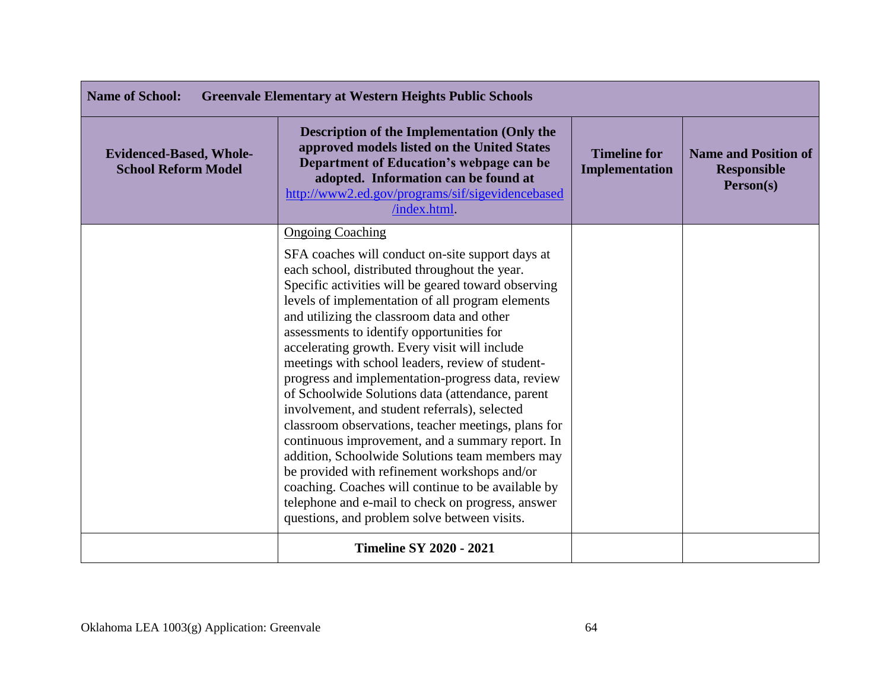| <b>Name of School:</b><br><b>Greenvale Elementary at Western Heights Public Schools</b> |                                                                                                                                                                                                                                                                                                                                                                                                                                                                                                                                                                                                                                                                                                                                                                                                                                                                                                                                                                            |                                       |                                                                |
|-----------------------------------------------------------------------------------------|----------------------------------------------------------------------------------------------------------------------------------------------------------------------------------------------------------------------------------------------------------------------------------------------------------------------------------------------------------------------------------------------------------------------------------------------------------------------------------------------------------------------------------------------------------------------------------------------------------------------------------------------------------------------------------------------------------------------------------------------------------------------------------------------------------------------------------------------------------------------------------------------------------------------------------------------------------------------------|---------------------------------------|----------------------------------------------------------------|
| <b>Evidenced-Based, Whole-</b><br><b>School Reform Model</b>                            | <b>Description of the Implementation (Only the</b><br>approved models listed on the United States<br>Department of Education's webpage can be<br>adopted. Information can be found at<br>http://www2.ed.gov/programs/sif/sigevidencebased<br>/index.html.                                                                                                                                                                                                                                                                                                                                                                                                                                                                                                                                                                                                                                                                                                                  | <b>Timeline for</b><br>Implementation | <b>Name and Position of</b><br><b>Responsible</b><br>Person(s) |
|                                                                                         | <b>Ongoing Coaching</b><br>SFA coaches will conduct on-site support days at<br>each school, distributed throughout the year.<br>Specific activities will be geared toward observing<br>levels of implementation of all program elements<br>and utilizing the classroom data and other<br>assessments to identify opportunities for<br>accelerating growth. Every visit will include<br>meetings with school leaders, review of student-<br>progress and implementation-progress data, review<br>of Schoolwide Solutions data (attendance, parent<br>involvement, and student referrals), selected<br>classroom observations, teacher meetings, plans for<br>continuous improvement, and a summary report. In<br>addition, Schoolwide Solutions team members may<br>be provided with refinement workshops and/or<br>coaching. Coaches will continue to be available by<br>telephone and e-mail to check on progress, answer<br>questions, and problem solve between visits. |                                       |                                                                |
|                                                                                         | <b>Timeline SY 2020 - 2021</b>                                                                                                                                                                                                                                                                                                                                                                                                                                                                                                                                                                                                                                                                                                                                                                                                                                                                                                                                             |                                       |                                                                |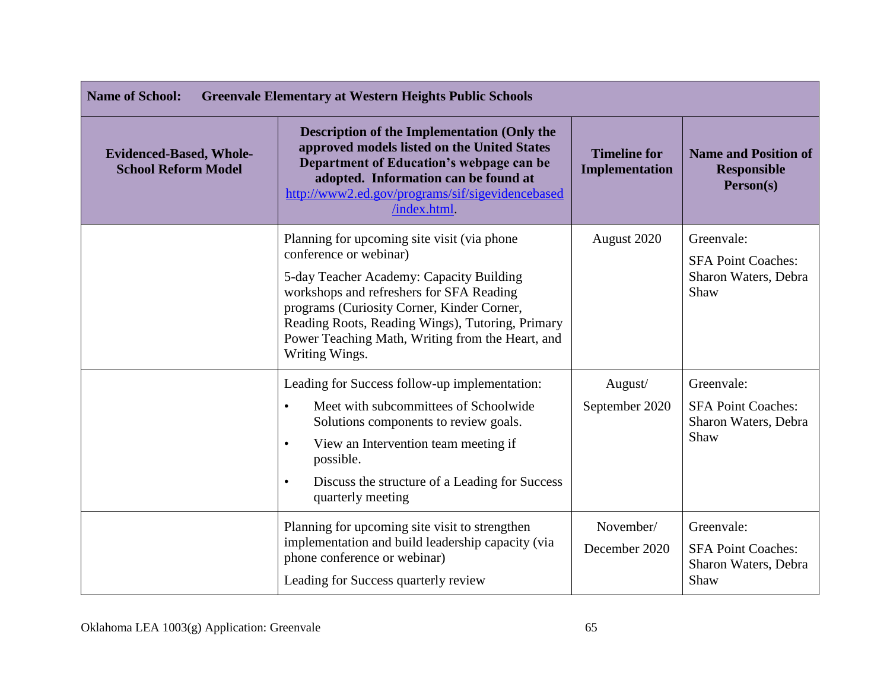| <b>Name of School:</b><br><b>Greenvale Elementary at Western Heights Public Schools</b> |                                                                                                                                                                                                                                                                                                                                        |                                              |                                                                         |
|-----------------------------------------------------------------------------------------|----------------------------------------------------------------------------------------------------------------------------------------------------------------------------------------------------------------------------------------------------------------------------------------------------------------------------------------|----------------------------------------------|-------------------------------------------------------------------------|
| <b>Evidenced-Based, Whole-</b><br><b>School Reform Model</b>                            | <b>Description of the Implementation (Only the</b><br>approved models listed on the United States<br>Department of Education's webpage can be<br>adopted. Information can be found at<br>http://www2.ed.gov/programs/sif/sigevidencebased<br>/index.html                                                                               | <b>Timeline for</b><br><b>Implementation</b> | <b>Name and Position of</b><br><b>Responsible</b><br>Person(s)          |
|                                                                                         | Planning for upcoming site visit (via phone)<br>conference or webinar)<br>5-day Teacher Academy: Capacity Building<br>workshops and refreshers for SFA Reading<br>programs (Curiosity Corner, Kinder Corner,<br>Reading Roots, Reading Wings), Tutoring, Primary<br>Power Teaching Math, Writing from the Heart, and<br>Writing Wings. | August 2020                                  | Greenvale:<br><b>SFA Point Coaches:</b><br>Sharon Waters, Debra<br>Shaw |
|                                                                                         | Leading for Success follow-up implementation:<br>Meet with subcommittees of Schoolwide<br>$\bullet$<br>Solutions components to review goals.<br>View an Intervention team meeting if<br>$\bullet$<br>possible.<br>Discuss the structure of a Leading for Success<br>$\bullet$<br>quarterly meeting                                     | August/<br>September 2020                    | Greenvale:<br><b>SFA Point Coaches:</b><br>Sharon Waters, Debra<br>Shaw |
|                                                                                         | Planning for upcoming site visit to strengthen<br>implementation and build leadership capacity (via<br>phone conference or webinar)<br>Leading for Success quarterly review                                                                                                                                                            | November/<br>December 2020                   | Greenvale:<br><b>SFA Point Coaches:</b><br>Sharon Waters, Debra<br>Shaw |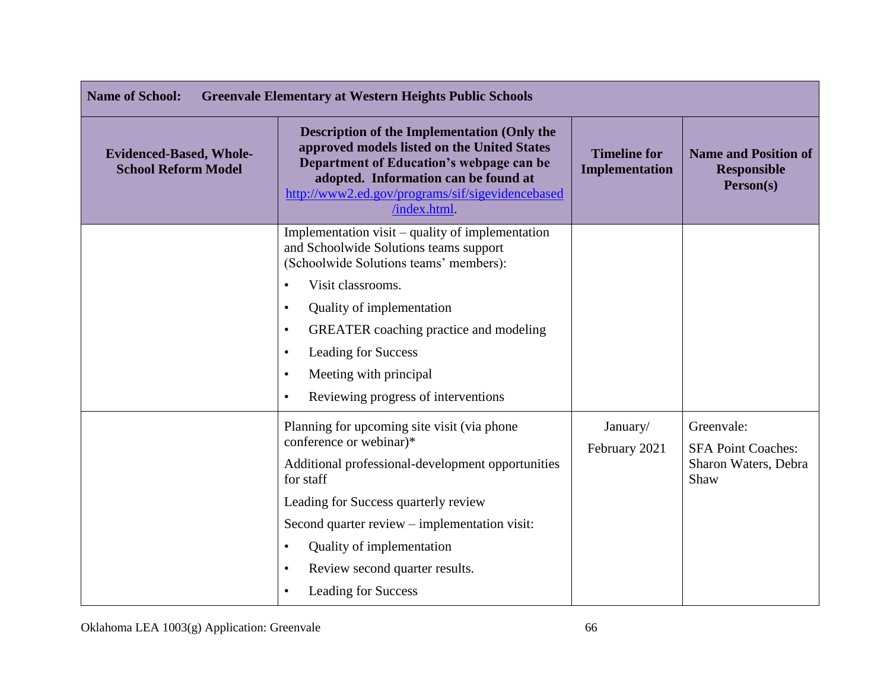| <b>Name of School:</b><br><b>Greenvale Elementary at Western Heights Public Schools</b> |                                                                                                                                                                                                                                                                                                                                                                                                                      |                                              |                                                                         |
|-----------------------------------------------------------------------------------------|----------------------------------------------------------------------------------------------------------------------------------------------------------------------------------------------------------------------------------------------------------------------------------------------------------------------------------------------------------------------------------------------------------------------|----------------------------------------------|-------------------------------------------------------------------------|
| <b>Evidenced-Based, Whole-</b><br><b>School Reform Model</b>                            | <b>Description of the Implementation (Only the</b><br>approved models listed on the United States<br>Department of Education's webpage can be<br>adopted. Information can be found at<br>http://www2.ed.gov/programs/sif/sigevidencebased<br>/index.html                                                                                                                                                             | <b>Timeline for</b><br><b>Implementation</b> | <b>Name and Position of</b><br><b>Responsible</b><br>Person(s)          |
|                                                                                         | Implementation visit – quality of implementation<br>and Schoolwide Solutions teams support<br>(Schoolwide Solutions teams' members):<br>Visit classrooms.<br>$\bullet$<br>Quality of implementation<br>$\bullet$<br><b>GREATER</b> coaching practice and modeling<br>$\bullet$<br><b>Leading for Success</b><br>$\bullet$<br>Meeting with principal<br>$\bullet$<br>Reviewing progress of interventions<br>$\bullet$ |                                              |                                                                         |
|                                                                                         | Planning for upcoming site visit (via phone)<br>conference or webinar)*<br>Additional professional-development opportunities<br>for staff<br>Leading for Success quarterly review<br>Second quarter review – implementation visit:<br>Quality of implementation<br>$\bullet$<br>Review second quarter results.<br>$\bullet$<br><b>Leading for Success</b><br>$\bullet$                                               | January/<br>February 2021                    | Greenvale:<br><b>SFA Point Coaches:</b><br>Sharon Waters, Debra<br>Shaw |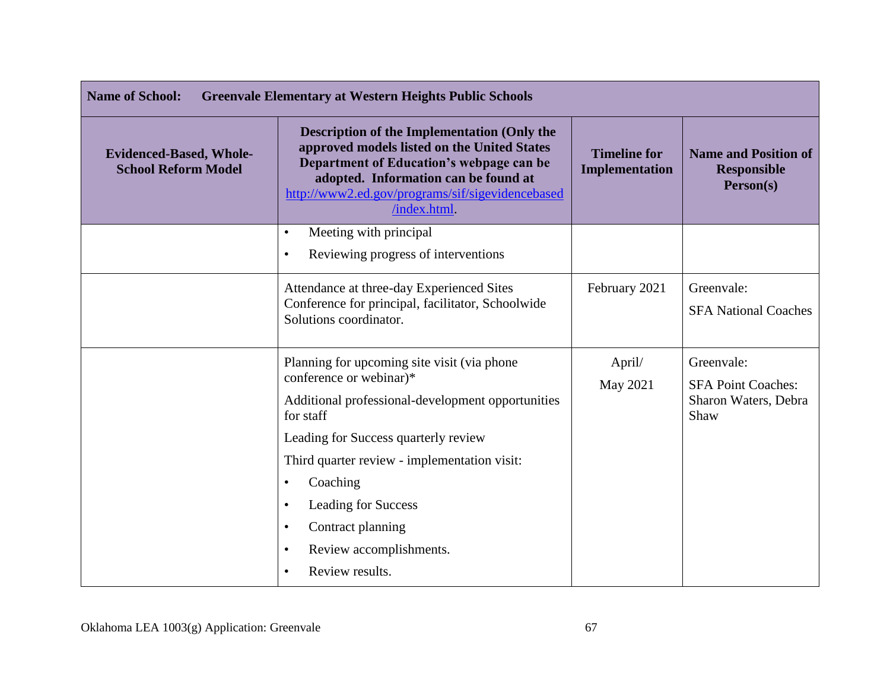| <b>Name of School:</b><br><b>Greenvale Elementary at Western Heights Public Schools</b> |                                                                                                                                                                                                                                                          |                                       |                                                                |
|-----------------------------------------------------------------------------------------|----------------------------------------------------------------------------------------------------------------------------------------------------------------------------------------------------------------------------------------------------------|---------------------------------------|----------------------------------------------------------------|
| <b>Evidenced-Based, Whole-</b><br><b>School Reform Model</b>                            | <b>Description of the Implementation (Only the</b><br>approved models listed on the United States<br>Department of Education's webpage can be<br>adopted. Information can be found at<br>http://www2.ed.gov/programs/sif/sigevidencebased<br>/index.html | <b>Timeline for</b><br>Implementation | <b>Name and Position of</b><br><b>Responsible</b><br>Person(s) |
|                                                                                         | Meeting with principal<br>$\bullet$                                                                                                                                                                                                                      |                                       |                                                                |
|                                                                                         | Reviewing progress of interventions<br>$\bullet$                                                                                                                                                                                                         |                                       |                                                                |
|                                                                                         | Attendance at three-day Experienced Sites<br>Conference for principal, facilitator, Schoolwide<br>Solutions coordinator.                                                                                                                                 | February 2021                         | Greenvale:<br><b>SFA National Coaches</b>                      |
|                                                                                         | Planning for upcoming site visit (via phone)<br>conference or webinar)*                                                                                                                                                                                  | April/<br>May 2021                    | Greenvale:<br><b>SFA Point Coaches:</b>                        |
|                                                                                         | Additional professional-development opportunities<br>for staff                                                                                                                                                                                           |                                       | Sharon Waters, Debra<br>Shaw                                   |
|                                                                                         | Leading for Success quarterly review                                                                                                                                                                                                                     |                                       |                                                                |
|                                                                                         | Third quarter review - implementation visit:                                                                                                                                                                                                             |                                       |                                                                |
|                                                                                         | Coaching<br>$\bullet$                                                                                                                                                                                                                                    |                                       |                                                                |
|                                                                                         | Leading for Success<br>$\bullet$                                                                                                                                                                                                                         |                                       |                                                                |
|                                                                                         | Contract planning<br>$\bullet$                                                                                                                                                                                                                           |                                       |                                                                |
|                                                                                         | Review accomplishments.<br>$\bullet$                                                                                                                                                                                                                     |                                       |                                                                |
|                                                                                         | Review results.<br>$\bullet$                                                                                                                                                                                                                             |                                       |                                                                |